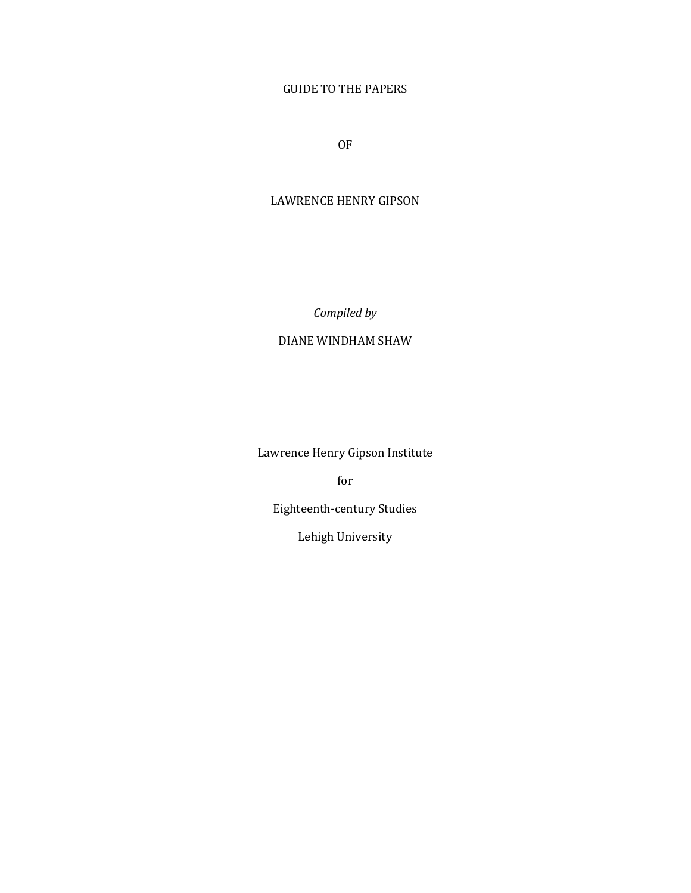# GUIDE TO THE PAPERS

OF

# LAWRENCE HENRY GIPSON

*Compiled by*

# DIANE WINDHAM SHAW

Lawrence Henry Gipson Institute

for

Eighteenth-century Studies

Lehigh University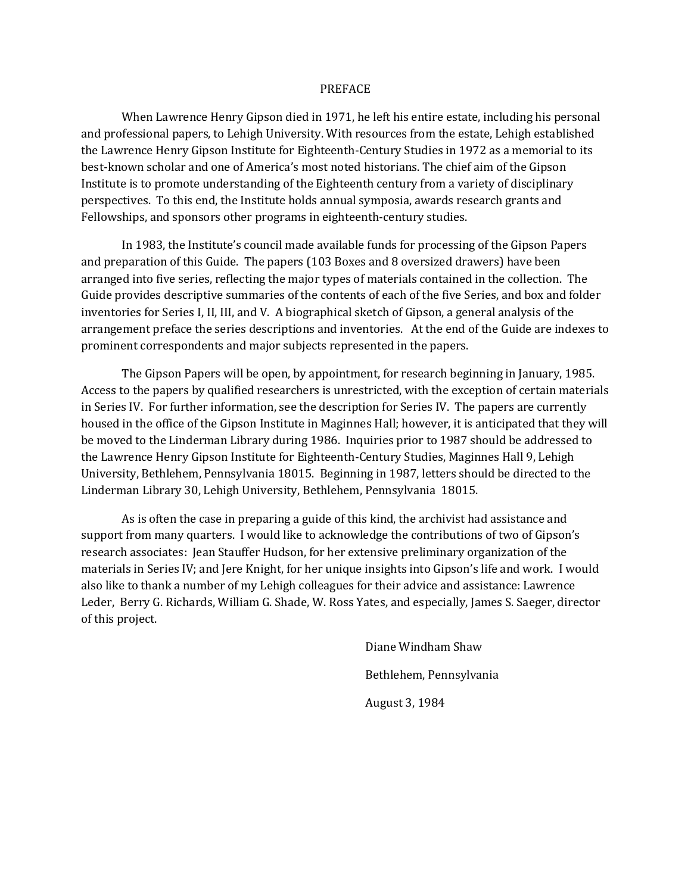#### PREFACE

When Lawrence Henry Gipson died in 1971, he left his entire estate, including his personal and professional papers, to Lehigh University. With resources from the estate, Lehigh established the Lawrence Henry Gipson Institute for Eighteenth-Century Studies in 1972 as a memorial to its best-known scholar and one of America's most noted historians. The chief aim of the Gipson Institute is to promote understanding of the Eighteenth century from a variety of disciplinary perspectives. To this end, the Institute holds annual symposia, awards research grants and Fellowships, and sponsors other programs in eighteenth-century studies.

In 1983, the Institute's council made available funds for processing of the Gipson Papers and preparation of this Guide. The papers (103 Boxes and 8 oversized drawers) have been arranged into five series, reflecting the major types of materials contained in the collection. The Guide provides descriptive summaries of the contents of each of the five Series, and box and folder inventories for Series I, II, III, and V. A biographical sketch of Gipson, a general analysis of the arrangement preface the series descriptions and inventories. At the end of the Guide are indexes to prominent correspondents and major subjects represented in the papers.

The Gipson Papers will be open, by appointment, for research beginning in January, 1985. Access to the papers by qualified researchers is unrestricted, with the exception of certain materials in Series IV. For further information, see the description for Series IV. The papers are currently housed in the office of the Gipson Institute in Maginnes Hall; however, it is anticipated that they will be moved to the Linderman Library during 1986. Inquiries prior to 1987 should be addressed to the Lawrence Henry Gipson Institute for Eighteenth-Century Studies, Maginnes Hall 9, Lehigh University, Bethlehem, Pennsylvania 18015. Beginning in 1987, letters should be directed to the Linderman Library 30, Lehigh University, Bethlehem, Pennsylvania 18015.

As is often the case in preparing a guide of this kind, the archivist had assistance and support from many quarters. I would like to acknowledge the contributions of two of Gipson's research associates: Jean Stauffer Hudson, for her extensive preliminary organization of the materials in Series IV; and Jere Knight, for her unique insights into Gipson's life and work. I would also like to thank a number of my Lehigh colleagues for their advice and assistance: Lawrence Leder, Berry G. Richards, William G. Shade, W. Ross Yates, and especially, James S. Saeger, director of this project.

> Diane Windham Shaw Bethlehem, Pennsylvania August 3, 1984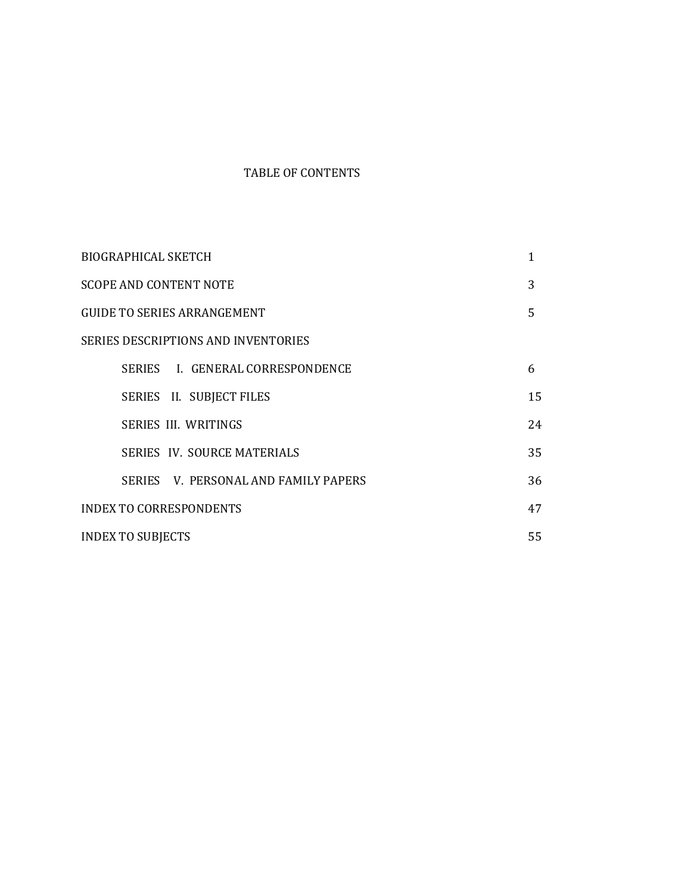# TABLE OF CONTENTS

| <b>BIOGRAPHICAL SKETCH</b>                 | 1  |  |  |
|--------------------------------------------|----|--|--|
| <b>SCOPE AND CONTENT NOTE</b>              | 3  |  |  |
| <b>GUIDE TO SERIES ARRANGEMENT</b>         | 5  |  |  |
| <b>SERIES DESCRIPTIONS AND INVENTORIES</b> |    |  |  |
| SERIES I. GENERAL CORRESPONDENCE           | 6  |  |  |
| SERIES II. SUBJECT FILES                   | 15 |  |  |
| <b>SERIES III. WRITINGS</b>                | 24 |  |  |
| SERIES IV. SOURCE MATERIALS                | 35 |  |  |
| SERIES V. PERSONAL AND FAMILY PAPERS       | 36 |  |  |
| <b>INDEX TO CORRESPONDENTS</b>             | 47 |  |  |
| <b>INDEX TO SUBJECTS</b>                   | 55 |  |  |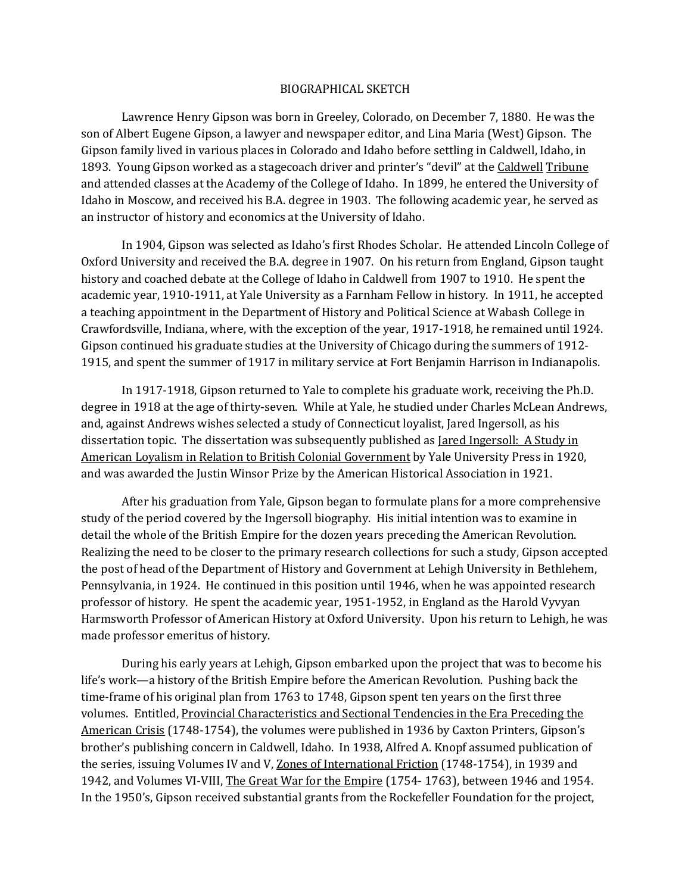#### BIOGRAPHICAL SKETCH

Lawrence Henry Gipson was born in Greeley, Colorado, on December 7, 1880. He was the son of Albert Eugene Gipson, a lawyer and newspaper editor, and Lina Maria (West) Gipson. The Gipson family lived in various places in Colorado and Idaho before settling in Caldwell, Idaho, in 1893. Young Gipson worked as a stagecoach driver and printer's "devil" at the Caldwell Tribune and attended classes at the Academy of the College of Idaho. In 1899, he entered the University of Idaho in Moscow, and received his B.A. degree in 1903. The following academic year, he served as an instructor of history and economics at the University of Idaho.

In 1904, Gipson was selected as Idaho's first Rhodes Scholar. He attended Lincoln College of Oxford University and received the B.A. degree in 1907. On his return from England, Gipson taught history and coached debate at the College of Idaho in Caldwell from 1907 to 1910. He spent the academic year, 1910-1911, at Yale University as a Farnham Fellow in history. In 1911, he accepted a teaching appointment in the Department of History and Political Science at Wabash College in Crawfordsville, Indiana, where, with the exception of the year, 1917-1918, he remained until 1924. Gipson continued his graduate studies at the University of Chicago during the summers of 1912- 1915, and spent the summer of 1917 in military service at Fort Benjamin Harrison in Indianapolis.

In 1917-1918, Gipson returned to Yale to complete his graduate work, receiving the Ph.D. degree in 1918 at the age of thirty-seven. While at Yale, he studied under Charles McLean Andrews, and, against Andrews wishes selected a study of Connecticut loyalist, Jared Ingersoll, as his dissertation topic. The dissertation was subsequently published as *Jared Ingersoll: A Study in* American Loyalism in Relation to British Colonial Government by Yale University Press in 1920, and was awarded the Justin Winsor Prize by the American Historical Association in 1921.

After his graduation from Yale, Gipson began to formulate plans for a more comprehensive study of the period covered by the Ingersoll biography. His initial intention was to examine in detail the whole of the British Empire for the dozen years preceding the American Revolution. Realizing the need to be closer to the primary research collections for such a study, Gipson accepted the post of head of the Department of History and Government at Lehigh University in Bethlehem, Pennsylvania, in 1924. He continued in this position until 1946, when he was appointed research professor of history. He spent the academic year, 1951-1952, in England as the Harold Vyvyan Harmsworth Professor of American History at Oxford University. Upon his return to Lehigh, he was made professor emeritus of history.

During his early years at Lehigh, Gipson embarked upon the project that was to become his life's work—a history of the British Empire before the American Revolution. Pushing back the time-frame of his original plan from 1763 to 1748, Gipson spent ten years on the first three volumes. Entitled, Provincial Characteristics and Sectional Tendencies in the Era Preceding the American Crisis (1748-1754), the volumes were published in 1936 by Caxton Printers, Gipson's brother's publishing concern in Caldwell, Idaho. In 1938, Alfred A. Knopf assumed publication of the series, issuing Volumes IV and V, Zones of International Friction (1748-1754), in 1939 and 1942, and Volumes VI-VIII, The Great War for the Empire (1754- 1763), between 1946 and 1954. In the 1950's, Gipson received substantial grants from the Rockefeller Foundation for the project,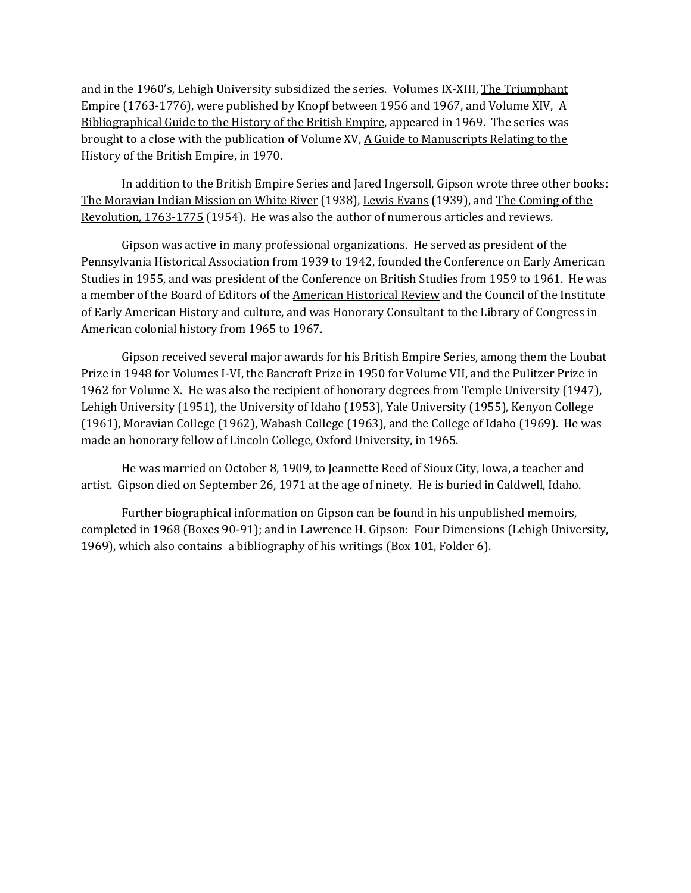and in the 1960's, Lehigh University subsidized the series. Volumes IX-XIII, The Triumphant Empire (1763-1776), were published by Knopf between 1956 and 1967, and Volume XIV,  $\overline{A}$ Bibliographical Guide to the History of the British Empire, appeared in 1969. The series was brought to a close with the publication of Volume XV, A Guide to Manuscripts Relating to the History of the British Empire, in 1970.

In addition to the British Empire Series and Jared Ingersoll, Gipson wrote three other books: The Moravian Indian Mission on White River (1938), Lewis Evans (1939), and The Coming of the Revolution, 1763-1775 (1954). He was also the author of numerous articles and reviews.

Gipson was active in many professional organizations. He served as president of the Pennsylvania Historical Association from 1939 to 1942, founded the Conference on Early American Studies in 1955, and was president of the Conference on British Studies from 1959 to 1961. He was a member of the Board of Editors of the American Historical Review and the Council of the Institute of Early American History and culture, and was Honorary Consultant to the Library of Congress in American colonial history from 1965 to 1967.

Gipson received several major awards for his British Empire Series, among them the Loubat Prize in 1948 for Volumes I-VI, the Bancroft Prize in 1950 for Volume VII, and the Pulitzer Prize in 1962 for Volume X. He was also the recipient of honorary degrees from Temple University (1947), Lehigh University (1951), the University of Idaho (1953), Yale University (1955), Kenyon College (1961), Moravian College (1962), Wabash College (1963), and the College of Idaho (1969). He was made an honorary fellow of Lincoln College, Oxford University, in 1965.

He was married on October 8, 1909, to Jeannette Reed of Sioux City, Iowa, a teacher and artist. Gipson died on September 26, 1971 at the age of ninety. He is buried in Caldwell, Idaho.

Further biographical information on Gipson can be found in his unpublished memoirs, completed in 1968 (Boxes 90-91); and in Lawrence H. Gipson: Four Dimensions (Lehigh University, 1969), which also contains a bibliography of his writings (Box 101, Folder 6).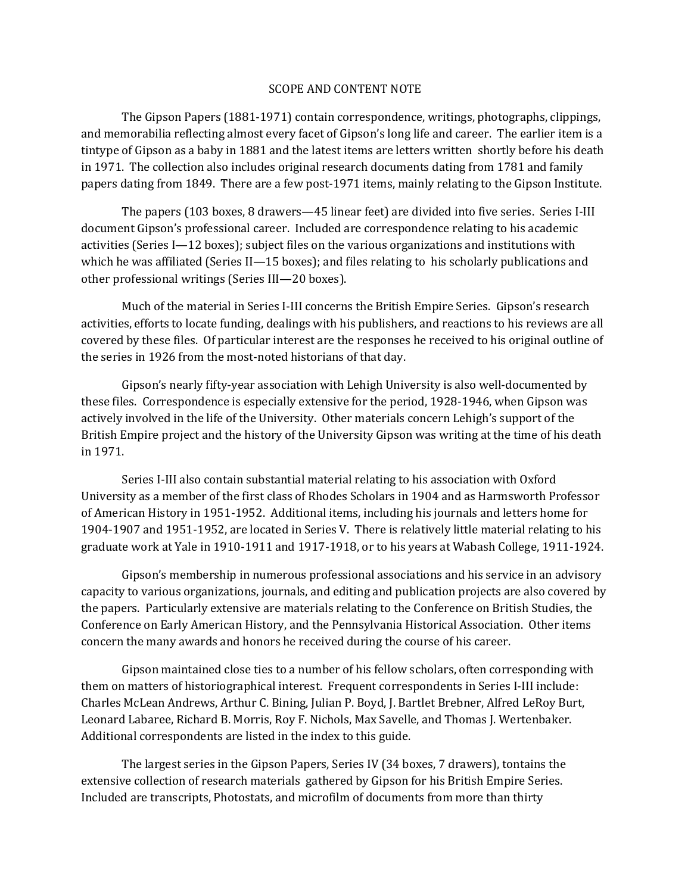### SCOPE AND CONTENT NOTE

The Gipson Papers (1881-1971) contain correspondence, writings, photographs, clippings, and memorabilia reflecting almost every facet of Gipson's long life and career. The earlier item is a tintype of Gipson as a baby in 1881 and the latest items are letters written shortly before his death in 1971. The collection also includes original research documents dating from 1781 and family papers dating from 1849. There are a few post-1971 items, mainly relating to the Gipson Institute.

The papers (103 boxes, 8 drawers—45 linear feet) are divided into five series. Series I-III document Gipson's professional career. Included are correspondence relating to his academic activities (Series I—12 boxes); subject files on the various organizations and institutions with which he was affiliated (Series II—15 boxes); and files relating to his scholarly publications and other professional writings (Series III—20 boxes).

Much of the material in Series I-III concerns the British Empire Series. Gipson's research activities, efforts to locate funding, dealings with his publishers, and reactions to his reviews are all covered by these files. Of particular interest are the responses he received to his original outline of the series in 1926 from the most-noted historians of that day.

Gipson's nearly fifty-year association with Lehigh University is also well-documented by these files. Correspondence is especially extensive for the period, 1928-1946, when Gipson was actively involved in the life of the University. Other materials concern Lehigh's support of the British Empire project and the history of the University Gipson was writing at the time of his death in 1971.

Series I-III also contain substantial material relating to his association with Oxford University as a member of the first class of Rhodes Scholars in 1904 and as Harmsworth Professor of American History in 1951-1952. Additional items, including his journals and letters home for 1904-1907 and 1951-1952, are located in Series V. There is relatively little material relating to his graduate work at Yale in 1910-1911 and 1917-1918, or to his years at Wabash College, 1911-1924.

Gipson's membership in numerous professional associations and his service in an advisory capacity to various organizations, journals, and editing and publication projects are also covered by the papers. Particularly extensive are materials relating to the Conference on British Studies, the Conference on Early American History, and the Pennsylvania Historical Association. Other items concern the many awards and honors he received during the course of his career.

Gipson maintained close ties to a number of his fellow scholars, often corresponding with them on matters of historiographical interest. Frequent correspondents in Series I-III include: Charles McLean Andrews, Arthur C. Bining, Julian P. Boyd, J. Bartlet Brebner, Alfred LeRoy Burt, Leonard Labaree, Richard B. Morris, Roy F. Nichols, Max Savelle, and Thomas J. Wertenbaker. Additional correspondents are listed in the index to this guide.

The largest series in the Gipson Papers, Series IV (34 boxes, 7 drawers), tontains the extensive collection of research materials gathered by Gipson for his British Empire Series. Included are transcripts, Photostats, and microfilm of documents from more than thirty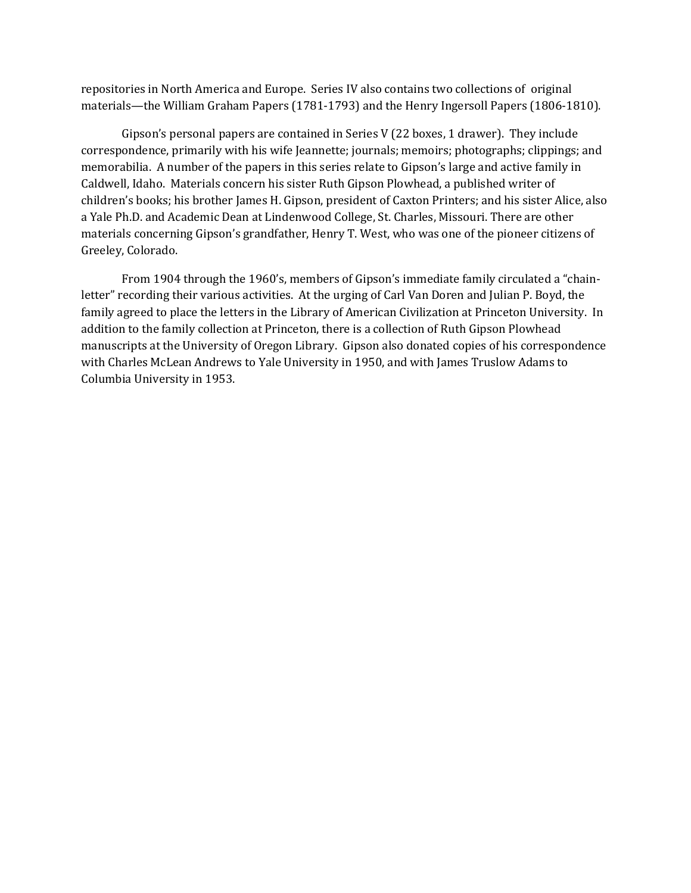repositories in North America and Europe. Series IV also contains two collections of original materials—the William Graham Papers (1781-1793) and the Henry Ingersoll Papers (1806-1810).

Gipson's personal papers are contained in Series V (22 boxes, 1 drawer). They include correspondence, primarily with his wife Jeannette; journals; memoirs; photographs; clippings; and memorabilia. A number of the papers in this series relate to Gipson's large and active family in Caldwell, Idaho. Materials concern his sister Ruth Gipson Plowhead, a published writer of children's books; his brother James H. Gipson, president of Caxton Printers; and his sister Alice, also a Yale Ph.D. and Academic Dean at Lindenwood College, St. Charles, Missouri. There are other materials concerning Gipson's grandfather, Henry T. West, who was one of the pioneer citizens of Greeley, Colorado.

From 1904 through the 1960's, members of Gipson's immediate family circulated a "chainletter" recording their various activities. At the urging of Carl Van Doren and Julian P. Boyd, the family agreed to place the letters in the Library of American Civilization at Princeton University. In addition to the family collection at Princeton, there is a collection of Ruth Gipson Plowhead manuscripts at the University of Oregon Library. Gipson also donated copies of his correspondence with Charles McLean Andrews to Yale University in 1950, and with James Truslow Adams to Columbia University in 1953.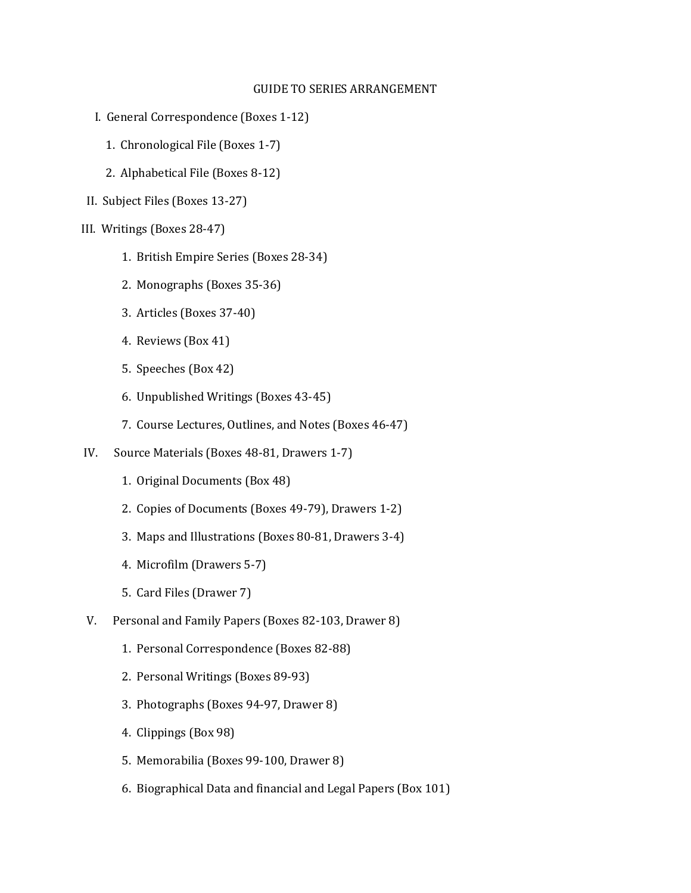### GUIDE TO SERIES ARRANGEMENT

- I. General Correspondence (Boxes 1-12)
	- 1. Chronological File (Boxes 1-7)
	- 2. Alphabetical File (Boxes 8-12)
- II. Subject Files (Boxes 13-27)
- III. Writings (Boxes 28-47)
	- 1. British Empire Series (Boxes 28-34)
	- 2. Monographs (Boxes 35-36)
	- 3. Articles (Boxes 37-40)
	- 4. Reviews (Box 41)
	- 5. Speeches (Box 42)
	- 6. Unpublished Writings (Boxes 43-45)
	- 7. Course Lectures, Outlines, and Notes (Boxes 46-47)
- IV. Source Materials (Boxes 48-81, Drawers 1-7)
	- 1. Original Documents (Box 48)
	- 2. Copies of Documents (Boxes 49-79), Drawers 1-2)
	- 3. Maps and Illustrations (Boxes 80-81, Drawers 3-4)
	- 4. Microfilm (Drawers 5-7)
	- 5. Card Files (Drawer 7)
- V. Personal and Family Papers (Boxes 82-103, Drawer 8)
	- 1. Personal Correspondence (Boxes 82-88)
	- 2. Personal Writings (Boxes 89-93)
	- 3. Photographs (Boxes 94-97, Drawer 8)
	- 4. Clippings (Box 98)
	- 5. Memorabilia (Boxes 99-100, Drawer 8)
	- 6. Biographical Data and financial and Legal Papers (Box 101)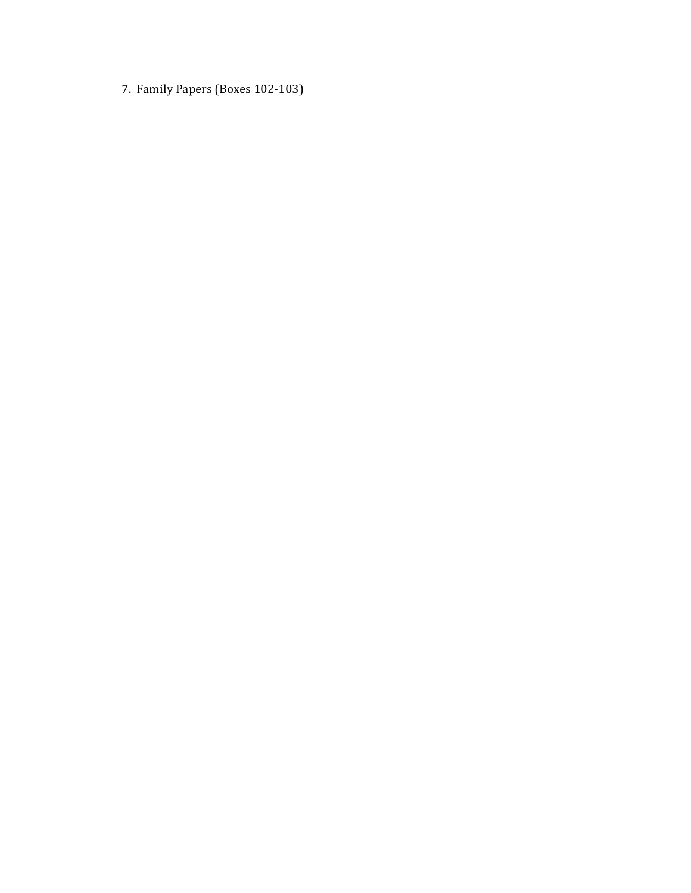7. Family Papers (Boxes 102-103)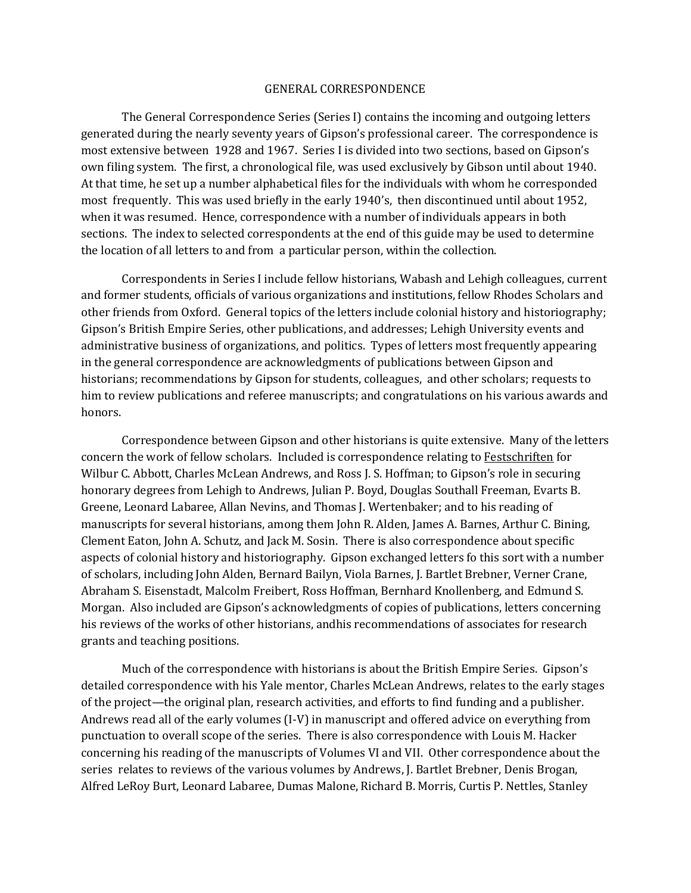#### GENERAL CORRESPONDENCE

The General Correspondence Series (Series I) contains the incoming and outgoing letters generated during the nearly seventy years of Gipson's professional career. The correspondence is most extensive between 1928 and 1967. Series I is divided into two sections, based on Gipson's own filing system. The first, a chronological file, was used exclusively by Gibson until about 1940. At that time, he set up a number alphabetical files for the individuals with whom he corresponded most frequently. This was used briefly in the early 1940's, then discontinued until about 1952, when it was resumed. Hence, correspondence with a number of individuals appears in both sections. The index to selected correspondents at the end of this guide may be used to determine the location of all letters to and from a particular person, within the collection.

Correspondents in Series I include fellow historians, Wabash and Lehigh colleagues, current and former students, officials of various organizations and institutions, fellow Rhodes Scholars and other friends from Oxford. General topics of the letters include colonial history and historiography; Gipson's British Empire Series, other publications, and addresses; Lehigh University events and administrative business of organizations, and politics. Types of letters most frequently appearing in the general correspondence are acknowledgments of publications between Gipson and historians; recommendations by Gipson for students, colleagues, and other scholars; requests to him to review publications and referee manuscripts; and congratulations on his various awards and honors.

Correspondence between Gipson and other historians is quite extensive. Many of the letters concern the work of fellow scholars. Included is correspondence relating to Festschriften for Wilbur C. Abbott, Charles McLean Andrews, and Ross J. S. Hoffman; to Gipson's role in securing honorary degrees from Lehigh to Andrews, Julian P. Boyd, Douglas Southall Freeman, Evarts B. Greene, Leonard Labaree, Allan Nevins, and Thomas J. Wertenbaker; and to his reading of manuscripts for several historians, among them John R. Alden, James A. Barnes, Arthur C. Bining, Clement Eaton, John A. Schutz, and Jack M. Sosin. There is also correspondence about specific aspects of colonial history and historiography. Gipson exchanged letters fo this sort with a number of scholars, including John Alden, Bernard Bailyn, Viola Barnes, J. Bartlet Brebner, Verner Crane, Abraham S. Eisenstadt, Malcolm Freibert, Ross Hoffman, Bernhard Knollenberg, and Edmund S. Morgan. Also included are Gipson's acknowledgments of copies of publications, letters concerning his reviews of the works of other historians, andhis recommendations of associates for research grants and teaching positions.

Much of the correspondence with historians is about the British Empire Series. Gipson's detailed correspondence with his Yale mentor, Charles McLean Andrews, relates to the early stages of the project—the original plan, research activities, and efforts to find funding and a publisher. Andrews read all of the early volumes (I-V) in manuscript and offered advice on everything from punctuation to overall scope of the series. There is also correspondence with Louis M. Hacker concerning his reading of the manuscripts of Volumes VI and VII. Other correspondence about the series relates to reviews of the various volumes by Andrews, J. Bartlet Brebner, Denis Brogan, Alfred LeRoy Burt, Leonard Labaree, Dumas Malone, Richard B. Morris, Curtis P. Nettles, Stanley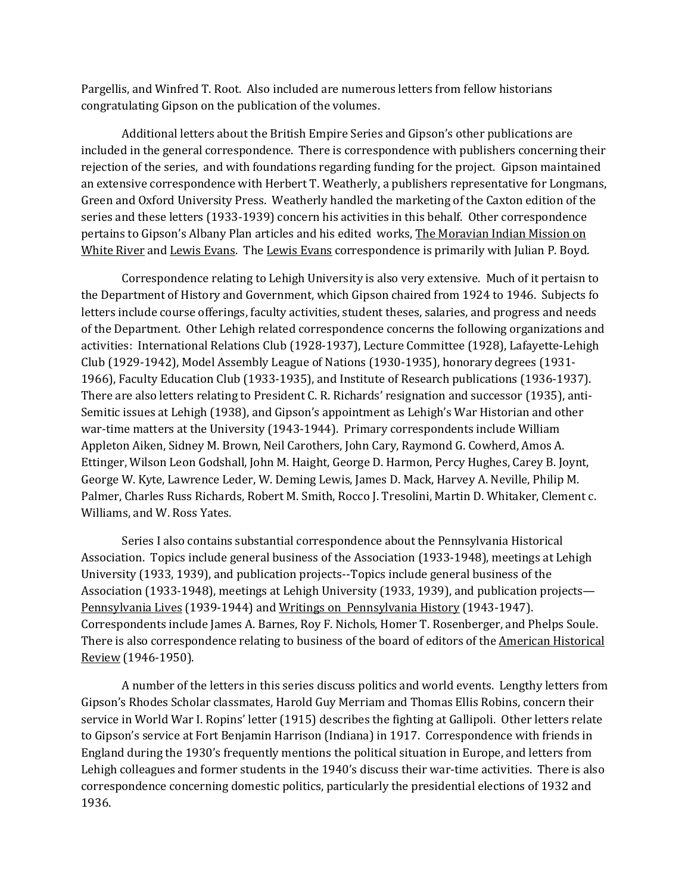Pargellis, and Winfred T. Root. Also included are numerous letters from fellow historians congratulating Gipson on the publication of the volumes.

Additional letters about the British Empire Series and Gipson's other publications are included in the general correspondence. There is correspondence with publishers concerning their rejection of the series, and with foundations regarding funding for the project. Gipson maintained an extensive correspondence with Herbert T. Weatherly, a publishers representative for Longmans, Green and Oxford University Press. Weatherly handled the marketing of the Caxton edition of the series and these letters (1933-1939) concern his activities in this behalf. Other correspondence pertains to Gipson's Albany Plan articles and his edited works, The Moravian Indian Mission on White River and Lewis Evans. The Lewis Evans correspondence is primarily with Julian P. Boyd.

Correspondence relating to Lehigh University is also very extensive. Much of it pertaisn to the Department of History and Government, which Gipson chaired from 1924 to 1946. Subjects fo letters include course offerings, faculty activities, student theses, salaries, and progress and needs of the Department. Other Lehigh related correspondence concerns the following organizations and activities: International Relations Club (1928-1937), Lecture Committee (1928), Lafayette-Lehigh Club (1929-1942), Model Assembly League of Nations (1930-1935), honorary degrees (1931- 1966), Faculty Education Club (1933-1935), and Institute of Research publications (1936-1937). There are also letters relating to President C. R. Richards' resignation and successor (1935), anti-Semitic issues at Lehigh (1938), and Gipson's appointment as Lehigh's War Historian and other war-time matters at the University (1943-1944). Primary correspondents include William Appleton Aiken, Sidney M. Brown, Neil Carothers, John Cary, Raymond G. Cowherd, Amos A. Ettinger, Wilson Leon Godshall, John M. Haight, George D. Harmon, Percy Hughes, Carey B. Joynt, George W. Kyte, Lawrence Leder, W. Deming Lewis, James D. Mack, Harvey A. Neville, Philip M. Palmer, Charles Russ Richards, Robert M. Smith, Rocco J. Tresolini, Martin D. Whitaker, Clement c. Williams, and W. Ross Yates.

Series I also contains substantial correspondence about the Pennsylvania Historical Association. Topics include general business of the Association (1933-1948), meetings at Lehigh University (1933, 1939), and publication projects--Topics include general business of the Association (1933-1948), meetings at Lehigh University (1933, 1939), and publication projects— Pennsylvania Lives (1939-1944) and Writings on Pennsylvania History (1943-1947). Correspondents include James A. Barnes, Roy F. Nichols, Homer T. Rosenberger, and Phelps Soule. There is also correspondence relating to business of the board of editors of the American Historical Review (1946-1950).

A number of the letters in this series discuss politics and world events. Lengthy letters from Gipson's Rhodes Scholar classmates, Harold Guy Merriam and Thomas Ellis Robins, concern their service in World War I. Ropins' letter (1915) describes the fighting at Gallipoli. Other letters relate to Gipson's service at Fort Benjamin Harrison (Indiana) in 1917. Correspondence with friends in England during the 1930's frequently mentions the political situation in Europe, and letters from Lehigh colleagues and former students in the 1940's discuss their war-time activities. There is also correspondence concerning domestic politics, particularly the presidential elections of 1932 and 1936.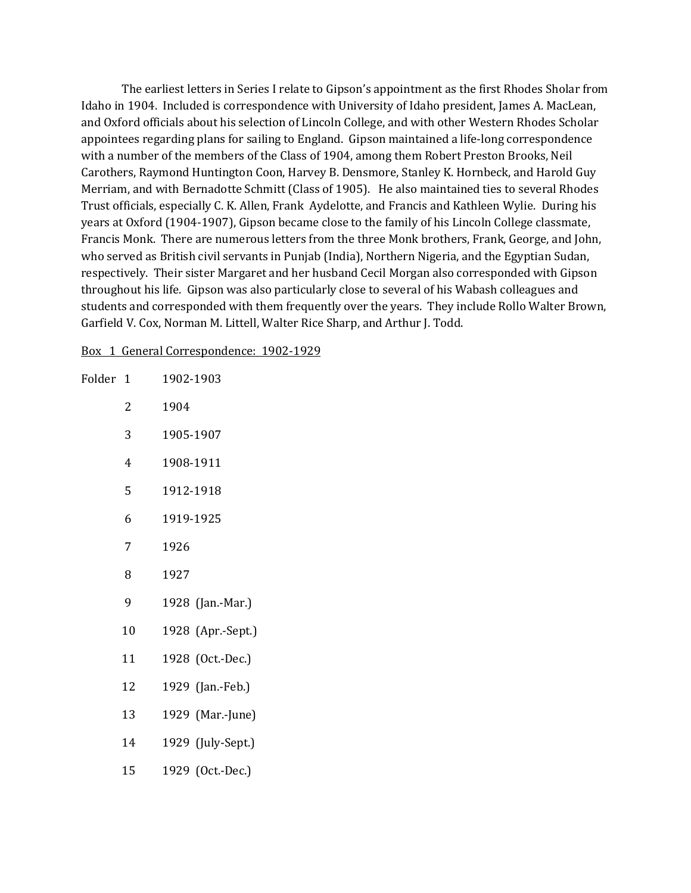The earliest letters in Series I relate to Gipson's appointment as the first Rhodes Sholar from Idaho in 1904. Included is correspondence with University of Idaho president, James A. MacLean, and Oxford officials about his selection of Lincoln College, and with other Western Rhodes Scholar appointees regarding plans for sailing to England. Gipson maintained a life-long correspondence with a number of the members of the Class of 1904, among them Robert Preston Brooks, Neil Carothers, Raymond Huntington Coon, Harvey B. Densmore, Stanley K. Hornbeck, and Harold Guy Merriam, and with Bernadotte Schmitt (Class of 1905). He also maintained ties to several Rhodes Trust officials, especially C. K. Allen, Frank Aydelotte, and Francis and Kathleen Wylie. During his years at Oxford (1904-1907), Gipson became close to the family of his Lincoln College classmate, Francis Monk. There are numerous letters from the three Monk brothers, Frank, George, and John, who served as British civil servants in Punjab (India), Northern Nigeria, and the Egyptian Sudan, respectively. Their sister Margaret and her husband Cecil Morgan also corresponded with Gipson throughout his life. Gipson was also particularly close to several of his Wabash colleagues and students and corresponded with them frequently over the years. They include Rollo Walter Brown, Garfield V. Cox, Norman M. Littell, Walter Rice Sharp, and Arthur J. Todd.

Box 1 General Correspondence: 1902-1929

| Folder 1 |    | 1902-1903         |
|----------|----|-------------------|
|          | 2  | 1904              |
|          | 3  | 1905-1907         |
|          | 4  | 1908-1911         |
|          | 5  | 1912-1918         |
|          | 6  | 1919-1925         |
|          | 7  | 1926              |
|          | 8  | 1927              |
|          | 9  | 1928 (Jan.-Mar.)  |
|          | 10 | 1928 (Apr.-Sept.) |
|          | 11 | 1928 (Oct.-Dec.)  |
|          | 12 | 1929 (Jan.-Feb.)  |
|          | 13 | 1929 (Mar.-June)  |
|          | 14 | 1929 (July-Sept.) |
|          | 15 | 1929 (Oct.-Dec.)  |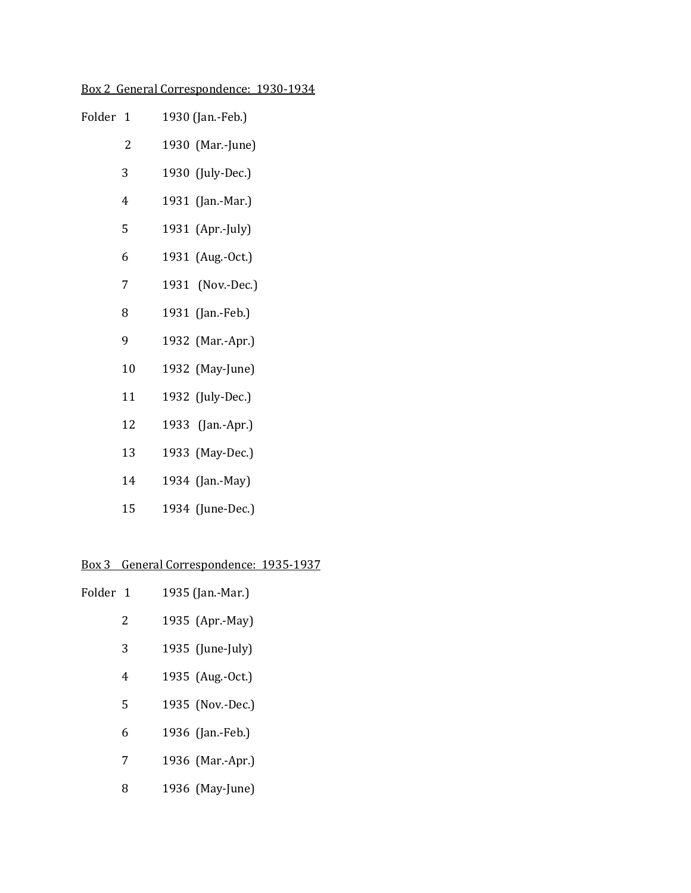# Box 2 General Correspondence: 1930-1934

| Folder 1 |    | 1930 (Jan.-Feb.) |
|----------|----|------------------|
|          | 2  | 1930 (Mar.-June) |
|          | 3  | 1930 (July-Dec.) |
|          | 4  | 1931 (Jan.-Mar.) |
|          | 5  | 1931 (Apr.-July) |
|          | 6  | 1931 (Aug.-Oct.) |
|          | 7  | 1931 (Nov.-Dec.) |
|          | 8  | 1931 (Jan.-Feb.) |
|          | 9  | 1932 (Mar.-Apr.) |
|          | 10 | 1932 (May-June)  |
|          | 11 | 1932 (July-Dec.) |
|          | 12 | 1933 (Jan.-Apr.) |
|          | 13 | 1933 (May-Dec.)  |
|          | 14 | 1934 (Jan.-May)  |
|          | 15 | 1934 (June-Dec.) |

# Box 3 General Correspondence: 1935-1937

| Folder 1 | 1935 (Jan.-Mar.) |  |
|----------|------------------|--|
| 2        | 1935 (Apr.-May)  |  |

- 1935 (June-July)
- 1935 (Aug.-Oct.)
- 1935 (Nov.-Dec.)
- 1936 (Jan.-Feb.)
- 1936 (Mar.-Apr.)
- 1936 (May-June)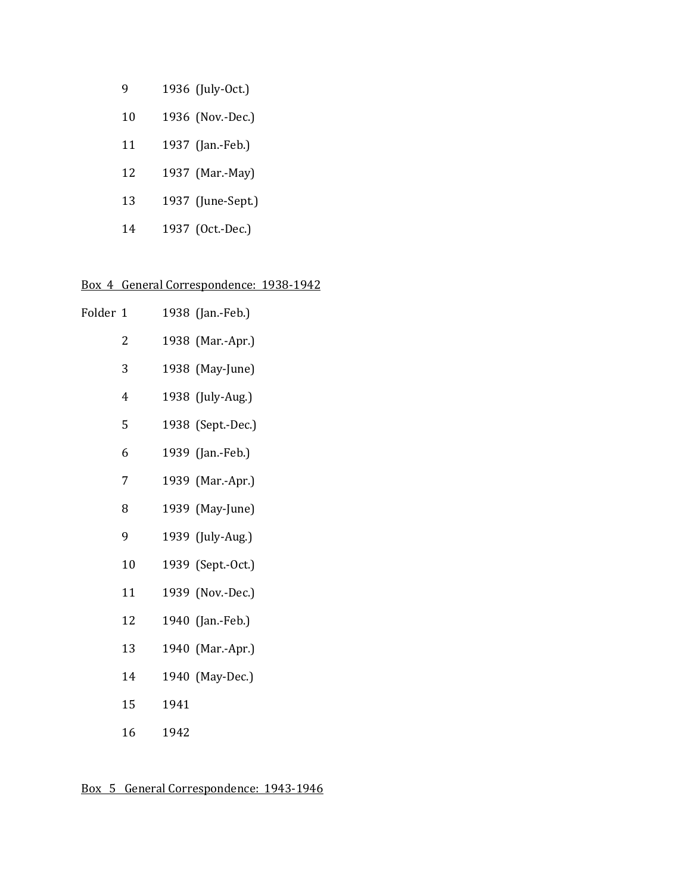| g  | 1936 (July-Oct.)  |
|----|-------------------|
| 10 | 1936 (Nov.-Dec.)  |
| 11 | 1937 (Jan.-Feb.)  |
| 12 | 1937 (Mar.-May)   |
| 13 | 1937 (June-Sept.) |
| 14 | 1937 (Oct.-Dec.)  |

# Box 4 General Correspondence: 1938-1942

| Folder 1 |    |      | 1938 (Jan.-Feb.)  |
|----------|----|------|-------------------|
|          | 2  |      | 1938 (Mar.-Apr.)  |
|          | 3  |      | 1938 (May-June)   |
|          | 4  |      | 1938 (July-Aug.)  |
|          | 5  |      | 1938 (Sept.-Dec.) |
|          | 6  |      | 1939 (Jan.-Feb.)  |
|          | 7  |      | 1939 (Mar.-Apr.)  |
|          | 8  |      | 1939 (May-June)   |
|          | 9  |      | 1939 (July-Aug.)  |
|          | 10 |      | 1939 (Sept.-Oct.) |
|          | 11 |      | 1939 (Nov.-Dec.)  |
|          | 12 |      | 1940 (Jan.-Feb.)  |
|          | 13 |      | 1940 (Mar.-Apr.)  |
|          | 14 |      | 1940 (May-Dec.)   |
|          | 15 | 1941 |                   |
|          | 16 | 1942 |                   |

Box 5 General Correspondence: 1943-1946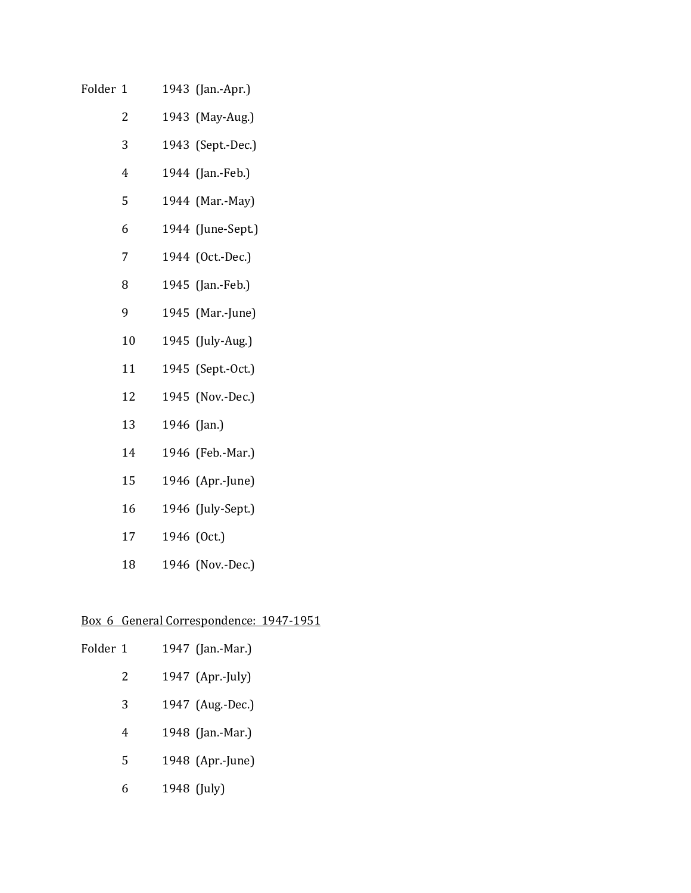| Folder 1 |  | 1943 (Jan.-Apr.) |  |
|----------|--|------------------|--|
|          |  |                  |  |

- 1943 (May-Aug.)
- 1943 (Sept.-Dec.)
- 1944 (Jan.-Feb.)
- 1944 (Mar.-May)
- 1944 (June-Sept.)
- 1944 (Oct.-Dec.)
- 1945 (Jan.-Feb.)
- 1945 (Mar.-June)
- 1945 (July-Aug.)
- 1945 (Sept.-Oct.)
- 1945 (Nov.-Dec.)
- 1946 (Jan.)
- 1946 (Feb.-Mar.)
- 1946 (Apr.-June)
- 1946 (July-Sept.)
- 1946 (Oct.)
- 1946 (Nov.-Dec.)

# Box 6 General Correspondence: 1947-1951

| Folder 1 |   | 1947 (Jan.-Mar.) |
|----------|---|------------------|
|          | 2 | 1947 (Apr.-July) |
|          | 3 | 1947 (Aug.-Dec.) |
|          | 4 | 1948 (Jan.-Mar.) |
|          | 5 | 1948 (Apr.-June) |
|          | 6 | 1948 (July)      |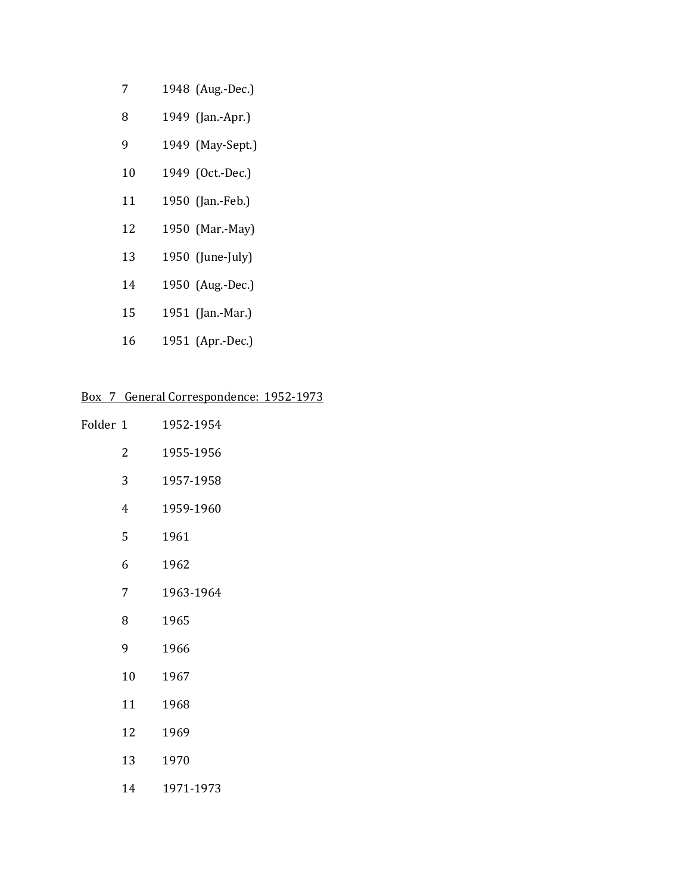- 1948 (Aug.-Dec.)
- 1949 (Jan.-Apr.)
- 1949 (May-Sept.)
- 1949 (Oct.-Dec.)
- 1950 (Jan.-Feb.)
- 1950 (Mar.-May)
- 1950 (June-July)
- 1950 (Aug.-Dec.)
- 1951 (Jan.-Mar.)
- 1951 (Apr.-Dec.)

# Box 7 General Correspondence: 1952-1973

| Folder 1 |    | 1952-1954 |
|----------|----|-----------|
|          | 2  | 1955-1956 |
|          | 3  | 1957-1958 |
|          | 4  | 1959-1960 |
|          | 5  | 1961      |
|          | 6  | 1962      |
|          | 7  | 1963-1964 |
|          | 8  | 1965      |
|          | 9  | 1966      |
|          | 10 | 1967      |
|          | 11 | 1968      |
|          | 12 | 1969      |
|          | 13 | 1970      |
|          | 14 | 1971-1973 |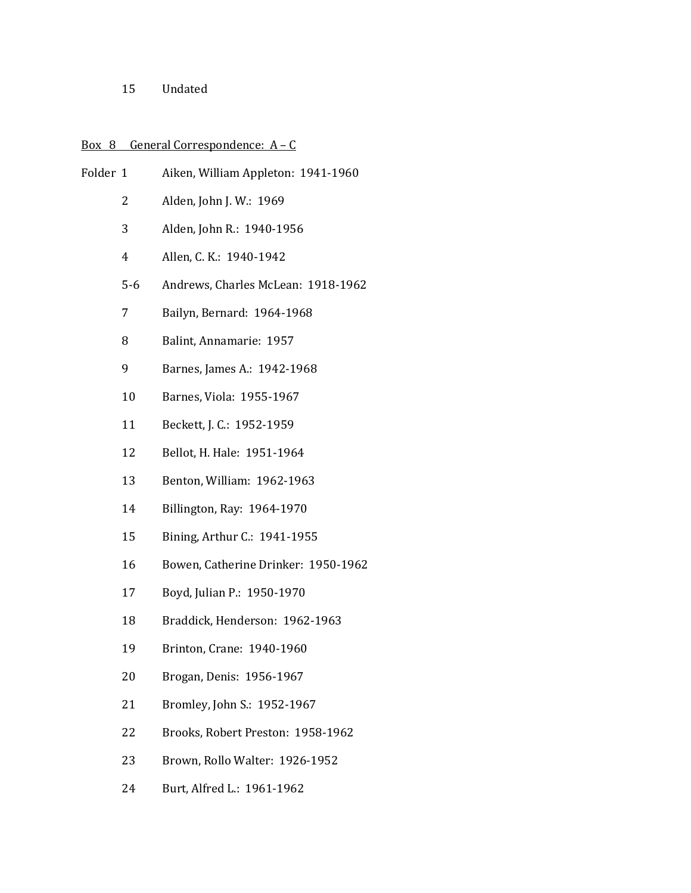Undated

## Box 8 General Correspondence:  $A - C$

- Folder 1 Aiken, William Appleton: 1941-1960 Alden, John J. W.: 1969 Alden, John R.: 1940-1956
	- Allen, C. K.: 1940-1942
	- 5-6 Andrews, Charles McLean: 1918-1962
	- Bailyn, Bernard: 1964-1968
	- Balint, Annamarie: 1957
	- Barnes, James A.: 1942-1968
	- Barnes, Viola: 1955-1967
	- Beckett, J. C.: 1952-1959
	- Bellot, H. Hale: 1951-1964
	- Benton, William: 1962-1963
	- Billington, Ray: 1964-1970
	- Bining, Arthur C.: 1941-1955
	- Bowen, Catherine Drinker: 1950-1962
	- Boyd, Julian P.: 1950-1970
	- Braddick, Henderson: 1962-1963
	- Brinton, Crane: 1940-1960
	- Brogan, Denis: 1956-1967
	- Bromley, John S.: 1952-1967
	- Brooks, Robert Preston: 1958-1962
	- Brown, Rollo Walter: 1926-1952
	- Burt, Alfred L.: 1961-1962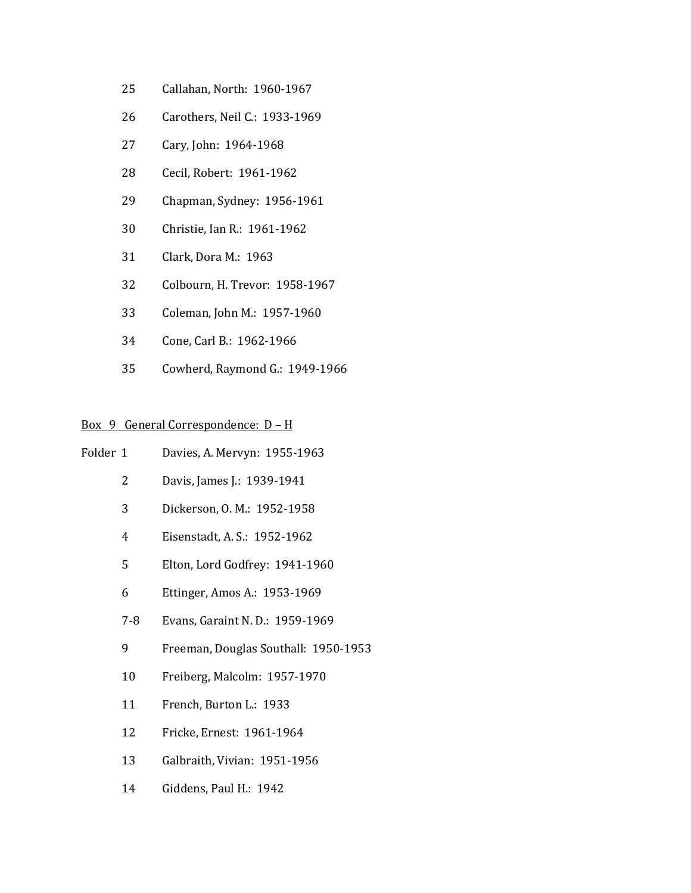- Callahan, North: 1960-1967
- Carothers, Neil C.: 1933-1969
- Cary, John: 1964-1968
- Cecil, Robert: 1961-1962
- Chapman, Sydney: 1956-1961
- Christie, Ian R.: 1961-1962
- Clark, Dora M.: 1963
- Colbourn, H. Trevor: 1958-1967
- Coleman, John M.: 1957-1960
- Cone, Carl B.: 1962-1966
- Cowherd, Raymond G.: 1949-1966

## Box 9 General Correspondence: D – H

- Folder 1 Davies, A. Mervyn: 1955-1963
	- Davis, James J.: 1939-1941
	- Dickerson, O. M.: 1952-1958
	- Eisenstadt, A. S.: 1952-1962
	- Elton, Lord Godfrey: 1941-1960
	- Ettinger, Amos A.: 1953-1969
	- 7-8 Evans, Garaint N. D.: 1959-1969
	- Freeman, Douglas Southall: 1950-1953
	- Freiberg, Malcolm: 1957-1970
	- 11 French, Burton L.: 1933
	- Fricke, Ernest: 1961-1964
	- Galbraith, Vivian: 1951-1956
	- Giddens, Paul H.: 1942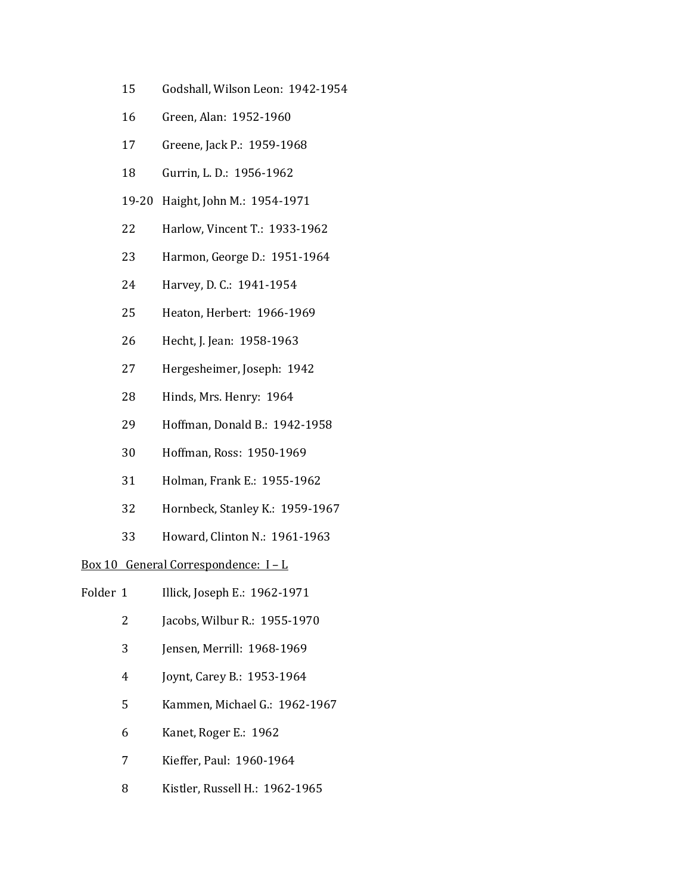- Godshall, Wilson Leon: 1942-1954
- Green, Alan: 1952-1960
- Greene, Jack P.: 1959-1968
- Gurrin, L. D.: 1956-1962
- 19-20 Haight, John M.: 1954-1971
- Harlow, Vincent T.: 1933-1962
- Harmon, George D.: 1951-1964
- Harvey, D. C.: 1941-1954
- Heaton, Herbert: 1966-1969
- Hecht, J. Jean: 1958-1963
- Hergesheimer, Joseph: 1942
- Hinds, Mrs. Henry: 1964
- Hoffman, Donald B.: 1942-1958
- Hoffman, Ross: 1950-1969
- Holman, Frank E.: 1955-1962
- Hornbeck, Stanley K.: 1959-1967
- Howard, Clinton N.: 1961-1963

# Box 10 General Correspondence: I – L

- Folder 1 Illick, Joseph E.: 1962-1971
	- Jacobs, Wilbur R.: 1955-1970
	- Jensen, Merrill: 1968-1969
	- Joynt, Carey B.: 1953-1964
	- Kammen, Michael G.: 1962-1967
	- Kanet, Roger E.: 1962
	- Kieffer, Paul: 1960-1964
	- Kistler, Russell H.: 1962-1965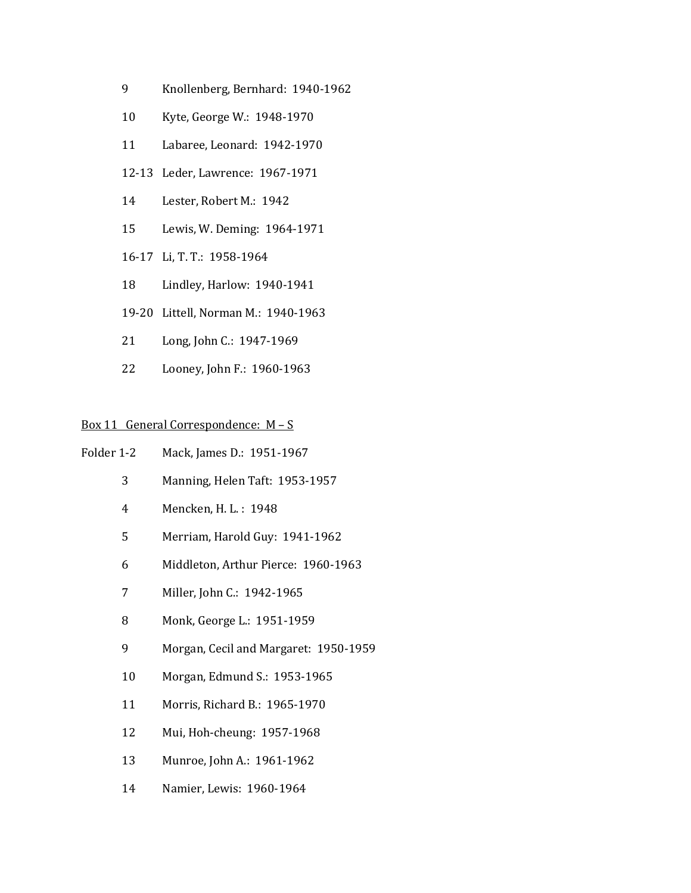- Knollenberg, Bernhard: 1940-1962
- Kyte, George W.: 1948-1970
- Labaree, Leonard: 1942-1970
- 12-13 Leder, Lawrence: 1967-1971
- Lester, Robert M.: 1942
- Lewis, W. Deming: 1964-1971
- 16-17 Li, T. T.: 1958-1964
- Lindley, Harlow: 1940-1941
- 19-20 Littell, Norman M.: 1940-1963
- Long, John C.: 1947-1969
- Looney, John F.: 1960-1963

## Box 11 General Correspondence: M – S

- Folder 1-2 Mack, James D.: 1951-1967
	- Manning, Helen Taft: 1953-1957
	- Mencken, H. L. : 1948
	- Merriam, Harold Guy: 1941-1962
	- Middleton, Arthur Pierce: 1960-1963
	- Miller, John C.: 1942-1965
	- Monk, George L.: 1951-1959
	- Morgan, Cecil and Margaret: 1950-1959
	- Morgan, Edmund S.: 1953-1965
	- Morris, Richard B.: 1965-1970
	- Mui, Hoh-cheung: 1957-1968
	- Munroe, John A.: 1961-1962
	- Namier, Lewis: 1960-1964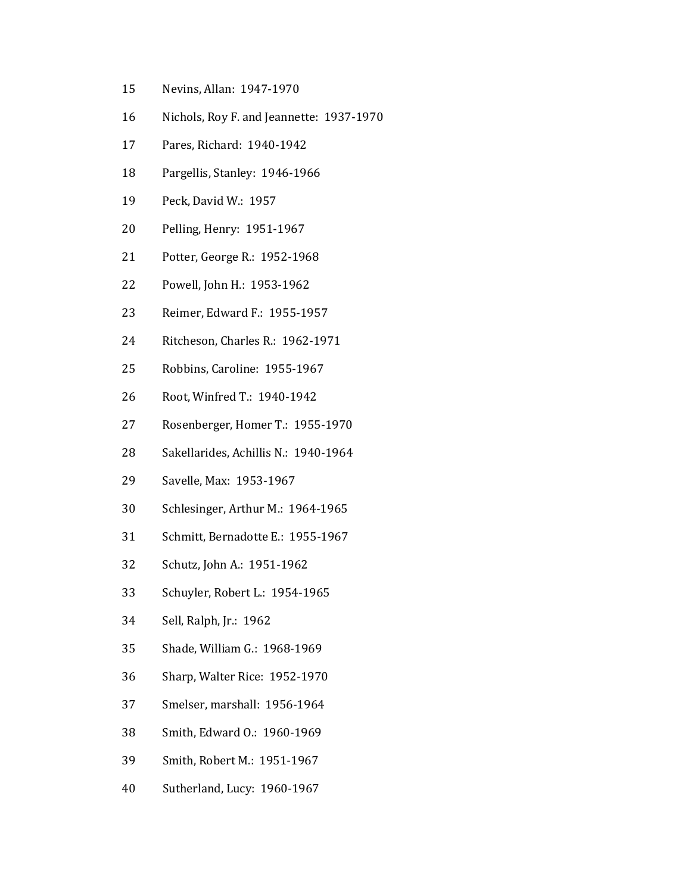- Nevins, Allan: 1947-1970
- Nichols, Roy F. and Jeannette: 1937-1970
- Pares, Richard: 1940-1942
- Pargellis, Stanley: 1946-1966
- Peck, David W.: 1957
- Pelling, Henry: 1951-1967
- Potter, George R.: 1952-1968
- Powell, John H.: 1953-1962
- Reimer, Edward F.: 1955-1957
- Ritcheson, Charles R.: 1962-1971
- Robbins, Caroline: 1955-1967
- Root, Winfred T.: 1940-1942
- Rosenberger, Homer T.: 1955-1970
- Sakellarides, Achillis N.: 1940-1964
- Savelle, Max: 1953-1967
- Schlesinger, Arthur M.: 1964-1965
- Schmitt, Bernadotte E.: 1955-1967
- Schutz, John A.: 1951-1962
- Schuyler, Robert L.: 1954-1965
- Sell, Ralph, Jr.: 1962
- Shade, William G.: 1968-1969
- Sharp, Walter Rice: 1952-1970
- Smelser, marshall: 1956-1964
- Smith, Edward O.: 1960-1969
- Smith, Robert M.: 1951-1967
- Sutherland, Lucy: 1960-1967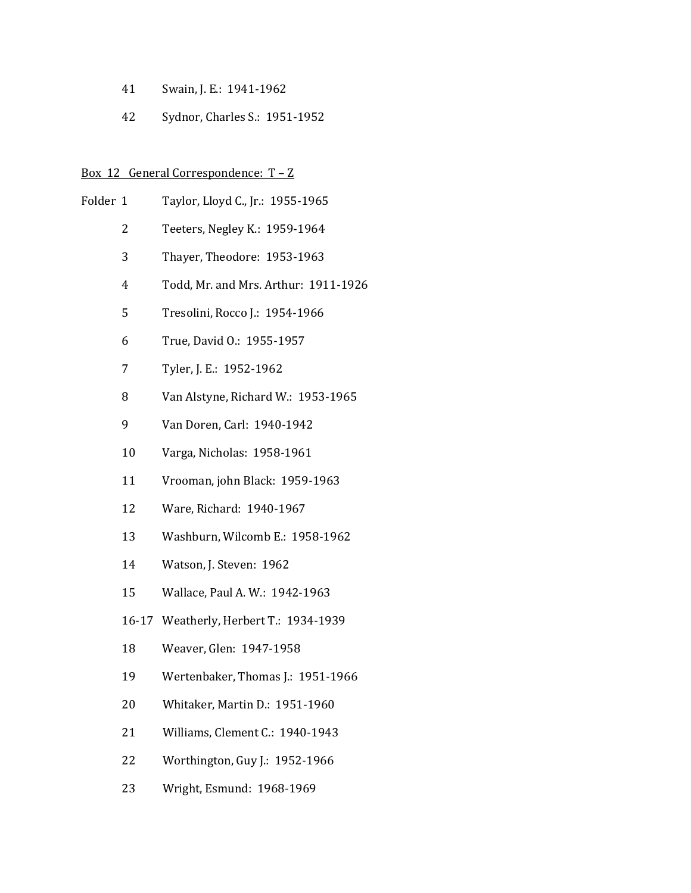- Swain, J. E.: 1941-1962
- Sydnor, Charles S.: 1951-1952

### Box 12 General Correspondence:  $T - Z$

- Folder 1 Taylor, Lloyd C., Jr.: 1955-1965
	- Teeters, Negley K.: 1959-1964
	- Thayer, Theodore: 1953-1963
	- Todd, Mr. and Mrs. Arthur: 1911-1926
	- Tresolini, Rocco J.: 1954-1966
	- True, David O.: 1955-1957
	- Tyler, J. E.: 1952-1962
	- Van Alstyne, Richard W.: 1953-1965
	- Van Doren, Carl: 1940-1942
	- Varga, Nicholas: 1958-1961
	- Vrooman, john Black: 1959-1963
	- Ware, Richard: 1940-1967
	- Washburn, Wilcomb E.: 1958-1962
	- Watson, J. Steven: 1962
	- Wallace, Paul A. W.: 1942-1963
	- 16-17 Weatherly, Herbert T.: 1934-1939
	- Weaver, Glen: 1947-1958
	- Wertenbaker, Thomas J.: 1951-1966
	- Whitaker, Martin D.: 1951-1960
	- Williams, Clement C.: 1940-1943
	- Worthington, Guy J.: 1952-1966
	- Wright, Esmund: 1968-1969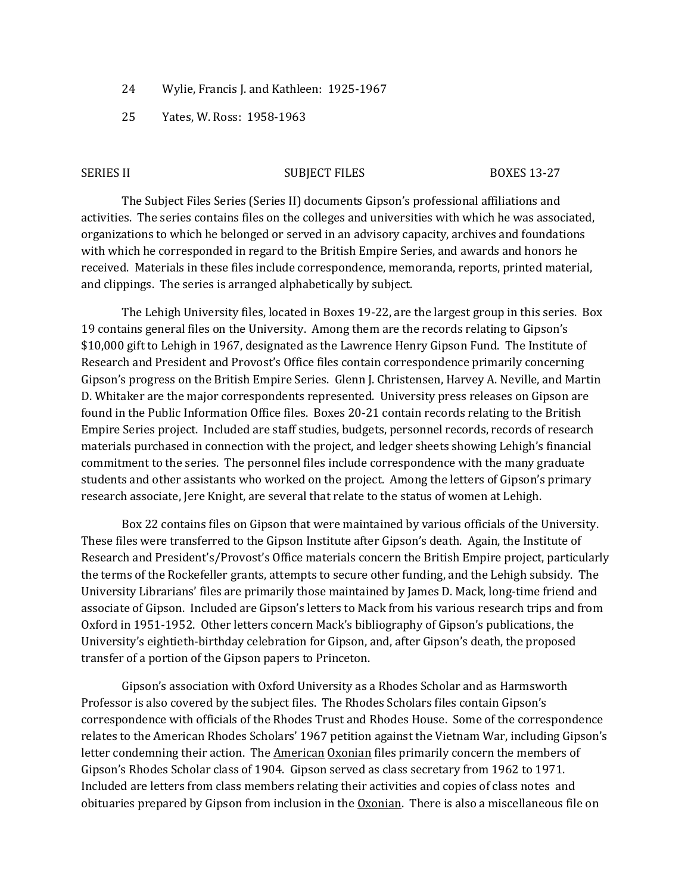- 24 Wylie, Francis J. and Kathleen: 1925-1967
- 25 Yates, W. Ross: 1958-1963

#### SERIES II SUBJECT FILES BOXES 13-27

The Subject Files Series (Series II) documents Gipson's professional affiliations and activities. The series contains files on the colleges and universities with which he was associated, organizations to which he belonged or served in an advisory capacity, archives and foundations with which he corresponded in regard to the British Empire Series, and awards and honors he received. Materials in these files include correspondence, memoranda, reports, printed material, and clippings. The series is arranged alphabetically by subject.

The Lehigh University files, located in Boxes 19-22, are the largest group in this series. Box 19 contains general files on the University. Among them are the records relating to Gipson's \$10,000 gift to Lehigh in 1967, designated as the Lawrence Henry Gipson Fund. The Institute of Research and President and Provost's Office files contain correspondence primarily concerning Gipson's progress on the British Empire Series. Glenn J. Christensen, Harvey A. Neville, and Martin D. Whitaker are the major correspondents represented. University press releases on Gipson are found in the Public Information Office files. Boxes 20-21 contain records relating to the British Empire Series project. Included are staff studies, budgets, personnel records, records of research materials purchased in connection with the project, and ledger sheets showing Lehigh's financial commitment to the series. The personnel files include correspondence with the many graduate students and other assistants who worked on the project. Among the letters of Gipson's primary research associate, Jere Knight, are several that relate to the status of women at Lehigh.

Box 22 contains files on Gipson that were maintained by various officials of the University. These files were transferred to the Gipson Institute after Gipson's death. Again, the Institute of Research and President's/Provost's Office materials concern the British Empire project, particularly the terms of the Rockefeller grants, attempts to secure other funding, and the Lehigh subsidy. The University Librarians' files are primarily those maintained by James D. Mack, long-time friend and associate of Gipson. Included are Gipson's letters to Mack from his various research trips and from Oxford in 1951-1952. Other letters concern Mack's bibliography of Gipson's publications, the University's eightieth-birthday celebration for Gipson, and, after Gipson's death, the proposed transfer of a portion of the Gipson papers to Princeton.

Gipson's association with Oxford University as a Rhodes Scholar and as Harmsworth Professor is also covered by the subject files. The Rhodes Scholars files contain Gipson's correspondence with officials of the Rhodes Trust and Rhodes House. Some of the correspondence relates to the American Rhodes Scholars' 1967 petition against the Vietnam War, including Gipson's letter condemning their action. The American Oxonian files primarily concern the members of Gipson's Rhodes Scholar class of 1904. Gipson served as class secretary from 1962 to 1971. Included are letters from class members relating their activities and copies of class notes and obituaries prepared by Gipson from inclusion in the  $Ox$  and  $n$ . There is also a miscellaneous file on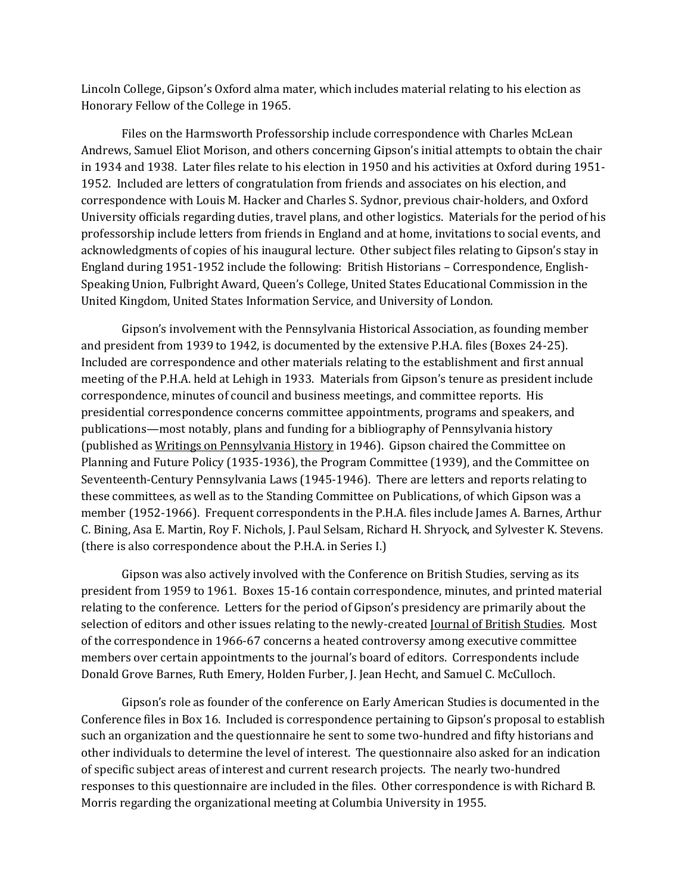Lincoln College, Gipson's Oxford alma mater, which includes material relating to his election as Honorary Fellow of the College in 1965.

Files on the Harmsworth Professorship include correspondence with Charles McLean Andrews, Samuel Eliot Morison, and others concerning Gipson's initial attempts to obtain the chair in 1934 and 1938. Later files relate to his election in 1950 and his activities at Oxford during 1951- 1952. Included are letters of congratulation from friends and associates on his election, and correspondence with Louis M. Hacker and Charles S. Sydnor, previous chair-holders, and Oxford University officials regarding duties, travel plans, and other logistics. Materials for the period of his professorship include letters from friends in England and at home, invitations to social events, and acknowledgments of copies of his inaugural lecture. Other subject files relating to Gipson's stay in England during 1951-1952 include the following: British Historians – Correspondence, English-Speaking Union, Fulbright Award, Queen's College, United States Educational Commission in the United Kingdom, United States Information Service, and University of London.

Gipson's involvement with the Pennsylvania Historical Association, as founding member and president from 1939 to 1942, is documented by the extensive P.H.A. files (Boxes 24-25). Included are correspondence and other materials relating to the establishment and first annual meeting of the P.H.A. held at Lehigh in 1933. Materials from Gipson's tenure as president include correspondence, minutes of council and business meetings, and committee reports. His presidential correspondence concerns committee appointments, programs and speakers, and publications—most notably, plans and funding for a bibliography of Pennsylvania history (published as Writings on Pennsylvania History in 1946). Gipson chaired the Committee on Planning and Future Policy (1935-1936), the Program Committee (1939), and the Committee on Seventeenth-Century Pennsylvania Laws (1945-1946). There are letters and reports relating to these committees, as well as to the Standing Committee on Publications, of which Gipson was a member (1952-1966). Frequent correspondents in the P.H.A. files include James A. Barnes, Arthur C. Bining, Asa E. Martin, Roy F. Nichols, J. Paul Selsam, Richard H. Shryock, and Sylvester K. Stevens. (there is also correspondence about the P.H.A. in Series I.)

Gipson was also actively involved with the Conference on British Studies, serving as its president from 1959 to 1961. Boxes 15-16 contain correspondence, minutes, and printed material relating to the conference. Letters for the period of Gipson's presidency are primarily about the selection of editors and other issues relating to the newly-created <u>Journal of British Studies</u>. Most of the correspondence in 1966-67 concerns a heated controversy among executive committee members over certain appointments to the journal's board of editors. Correspondents include Donald Grove Barnes, Ruth Emery, Holden Furber, J. Jean Hecht, and Samuel C. McCulloch.

Gipson's role as founder of the conference on Early American Studies is documented in the Conference files in Box 16. Included is correspondence pertaining to Gipson's proposal to establish such an organization and the questionnaire he sent to some two-hundred and fifty historians and other individuals to determine the level of interest. The questionnaire also asked for an indication of specific subject areas of interest and current research projects. The nearly two-hundred responses to this questionnaire are included in the files. Other correspondence is with Richard B. Morris regarding the organizational meeting at Columbia University in 1955.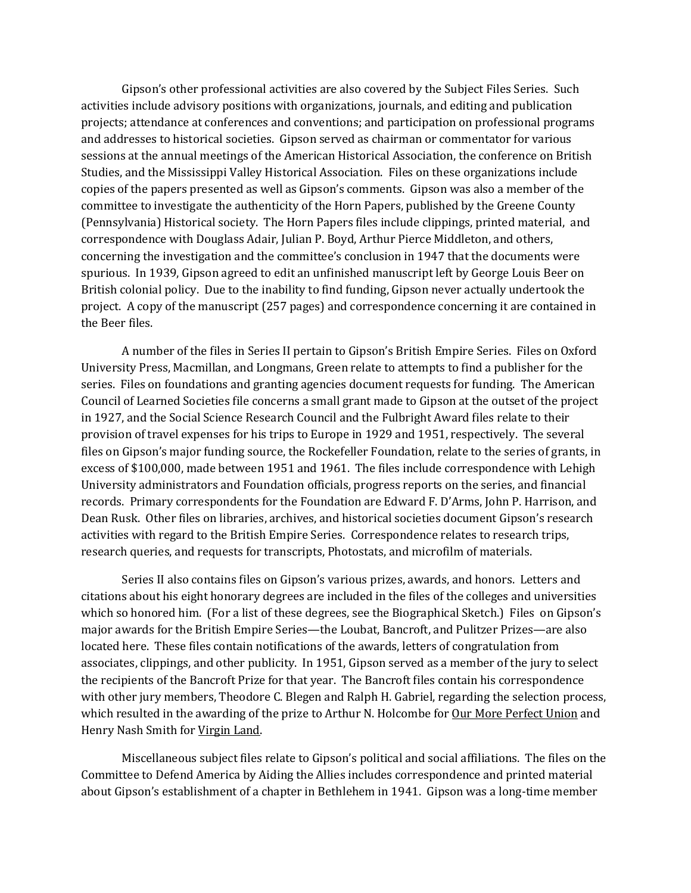Gipson's other professional activities are also covered by the Subject Files Series. Such activities include advisory positions with organizations, journals, and editing and publication projects; attendance at conferences and conventions; and participation on professional programs and addresses to historical societies. Gipson served as chairman or commentator for various sessions at the annual meetings of the American Historical Association, the conference on British Studies, and the Mississippi Valley Historical Association. Files on these organizations include copies of the papers presented as well as Gipson's comments. Gipson was also a member of the committee to investigate the authenticity of the Horn Papers, published by the Greene County (Pennsylvania) Historical society. The Horn Papers files include clippings, printed material, and correspondence with Douglass Adair, Julian P. Boyd, Arthur Pierce Middleton, and others, concerning the investigation and the committee's conclusion in 1947 that the documents were spurious. In 1939, Gipson agreed to edit an unfinished manuscript left by George Louis Beer on British colonial policy. Due to the inability to find funding, Gipson never actually undertook the project. A copy of the manuscript (257 pages) and correspondence concerning it are contained in the Beer files.

A number of the files in Series II pertain to Gipson's British Empire Series. Files on Oxford University Press, Macmillan, and Longmans, Green relate to attempts to find a publisher for the series. Files on foundations and granting agencies document requests for funding. The American Council of Learned Societies file concerns a small grant made to Gipson at the outset of the project in 1927, and the Social Science Research Council and the Fulbright Award files relate to their provision of travel expenses for his trips to Europe in 1929 and 1951, respectively. The several files on Gipson's major funding source, the Rockefeller Foundation, relate to the series of grants, in excess of \$100,000, made between 1951 and 1961. The files include correspondence with Lehigh University administrators and Foundation officials, progress reports on the series, and financial records. Primary correspondents for the Foundation are Edward F. D'Arms, John P. Harrison, and Dean Rusk. Other files on libraries, archives, and historical societies document Gipson's research activities with regard to the British Empire Series. Correspondence relates to research trips, research queries, and requests for transcripts, Photostats, and microfilm of materials.

Series II also contains files on Gipson's various prizes, awards, and honors. Letters and citations about his eight honorary degrees are included in the files of the colleges and universities which so honored him. (For a list of these degrees, see the Biographical Sketch.) Files on Gipson's major awards for the British Empire Series—the Loubat, Bancroft, and Pulitzer Prizes—are also located here. These files contain notifications of the awards, letters of congratulation from associates, clippings, and other publicity. In 1951, Gipson served as a member of the jury to select the recipients of the Bancroft Prize for that year. The Bancroft files contain his correspondence with other jury members, Theodore C. Blegen and Ralph H. Gabriel, regarding the selection process, which resulted in the awarding of the prize to Arthur N. Holcombe for Our More Perfect Union and Henry Nash Smith for Virgin Land.

Miscellaneous subject files relate to Gipson's political and social affiliations. The files on the Committee to Defend America by Aiding the Allies includes correspondence and printed material about Gipson's establishment of a chapter in Bethlehem in 1941. Gipson was a long-time member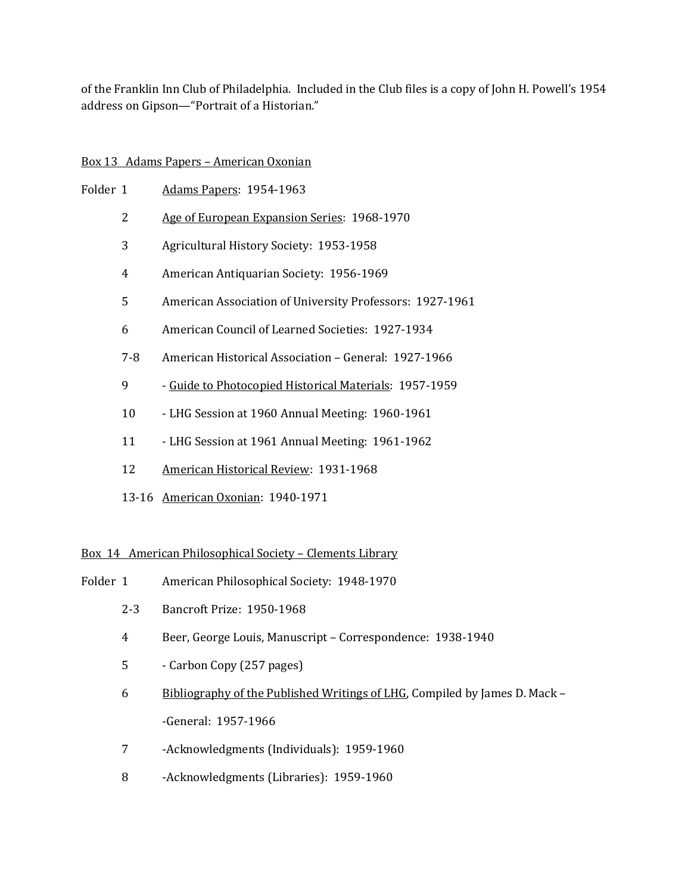of the Franklin Inn Club of Philadelphia. Included in the Club files is a copy of John H. Powell's 1954 address on Gipson—"Portrait of a Historian."

# Box 13 Adams Papers – American Oxonian

| Folder 1 |     | <b>Adams Papers: 1954-1963</b>                           |
|----------|-----|----------------------------------------------------------|
|          | 2   | Age of European Expansion Series: 1968-1970              |
|          | 3   | Agricultural History Society: 1953-1958                  |
|          | 4   | American Antiquarian Society: 1956-1969                  |
|          | 5   | American Association of University Professors: 1927-1961 |
|          | 6   | American Council of Learned Societies: 1927-1934         |
|          | 7-8 | American Historical Association – General: 1927-1966     |
|          | 9   | - Guide to Photocopied Historical Materials: 1957-1959   |
|          | 10  | - LHG Session at 1960 Annual Meeting: 1960-1961          |
|          |     |                                                          |

- 11 LHG Session at 1961 Annual Meeting: 1961-1962
- 12 American Historical Review: 1931-1968
- 13-16 American Oxonian: 1940-1971

# Box 14 American Philosophical Society – Clements Library

- Folder 1 American Philosophical Society: 1948-1970
	- 2-3 Bancroft Prize: 1950-1968
	- 4 Beer, George Louis, Manuscript Correspondence: 1938-1940
	- 5 Carbon Copy (257 pages)
	- 6 Bibliography of the Published Writings of LHG, Compiled by James D. Mack -General: 1957-1966
	- 7 -Acknowledgments (Individuals): 1959-1960
	- 8 -Acknowledgments (Libraries): 1959-1960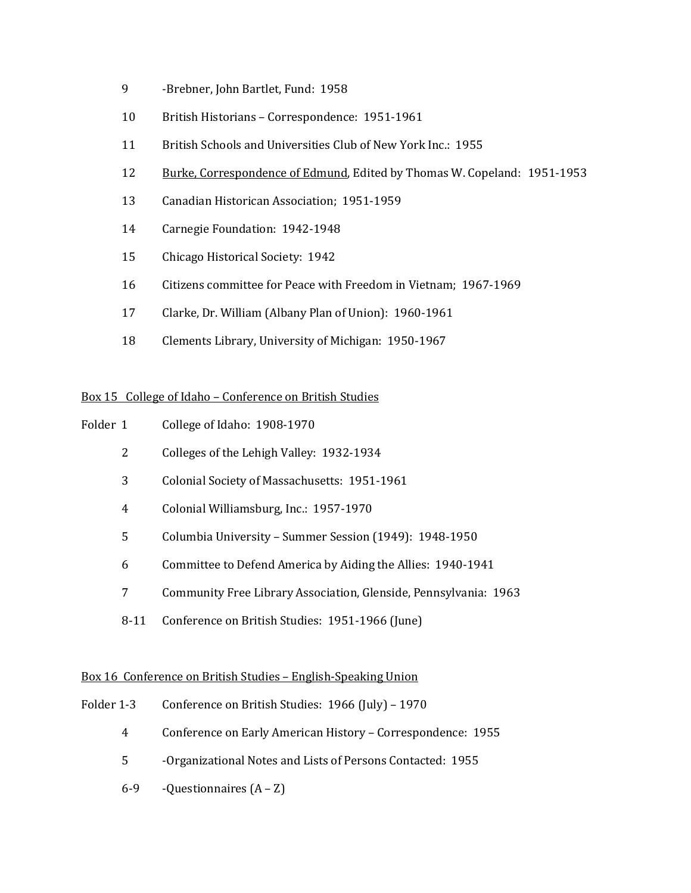- -Brebner, John Bartlet, Fund: 1958
- British Historians Correspondence: 1951-1961
- British Schools and Universities Club of New York Inc.: 1955
- 12 Burke, Correspondence of Edmund, Edited by Thomas W. Copeland: 1951-1953
- Canadian Historican Association; 1951-1959
- Carnegie Foundation: 1942-1948
- Chicago Historical Society: 1942
- Citizens committee for Peace with Freedom in Vietnam; 1967-1969
- Clarke, Dr. William (Albany Plan of Union): 1960-1961
- Clements Library, University of Michigan: 1950-1967

# Box 15 College of Idaho – Conference on British Studies

- Folder 1 College of Idaho: 1908-1970
	- Colleges of the Lehigh Valley: 1932-1934
	- Colonial Society of Massachusetts: 1951-1961
	- Colonial Williamsburg, Inc.: 1957-1970
	- Columbia University Summer Session (1949): 1948-1950
	- Committee to Defend America by Aiding the Allies: 1940-1941
	- Community Free Library Association, Glenside, Pennsylvania: 1963
	- 8-11 Conference on British Studies: 1951-1966 (June)

## Box 16 Conference on British Studies – English-Speaking Union

- Folder 1-3 Conference on British Studies: 1966 (July) 1970
	- Conference on Early American History Correspondence: 1955
	- -Organizational Notes and Lists of Persons Contacted: 1955
	- $6-9$  -Questionnaires  $(A Z)$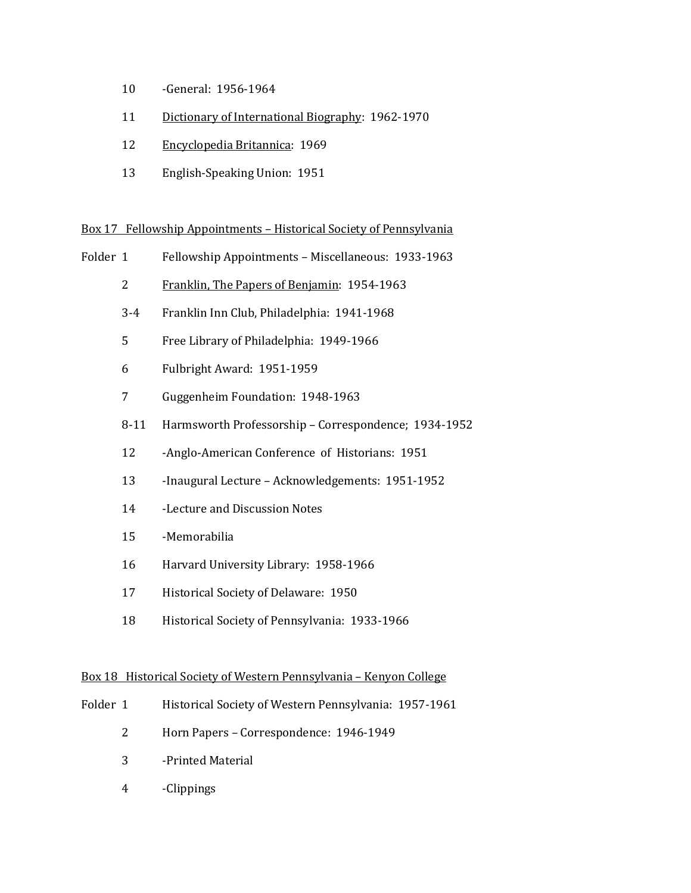- -General: 1956-1964
- Dictionary of International Biography: 1962-1970
- Encyclopedia Britannica: 1969
- English-Speaking Union: 1951

## Box 17 Fellowship Appointments – Historical Society of Pennsylvania

- Folder 1 Fellowship Appointments Miscellaneous: 1933-1963
	- Franklin, The Papers of Benjamin: 1954-1963
	- 3-4 Franklin Inn Club, Philadelphia: 1941-1968
	- Free Library of Philadelphia: 1949-1966
	- Fulbright Award: 1951-1959
	- Guggenheim Foundation: 1948-1963
	- 8-11 Harmsworth Professorship Correspondence; 1934-1952
	- -Anglo-American Conference of Historians: 1951
	- -Inaugural Lecture Acknowledgements: 1951-1952
	- -Lecture and Discussion Notes
	- -Memorabilia
	- Harvard University Library: 1958-1966
	- Historical Society of Delaware: 1950
	- Historical Society of Pennsylvania: 1933-1966

### Box 18 Historical Society of Western Pennsylvania – Kenyon College

- Folder 1 Historical Society of Western Pennsylvania: 1957-1961
	- Horn Papers Correspondence: 1946-1949
	- -Printed Material
	- -Clippings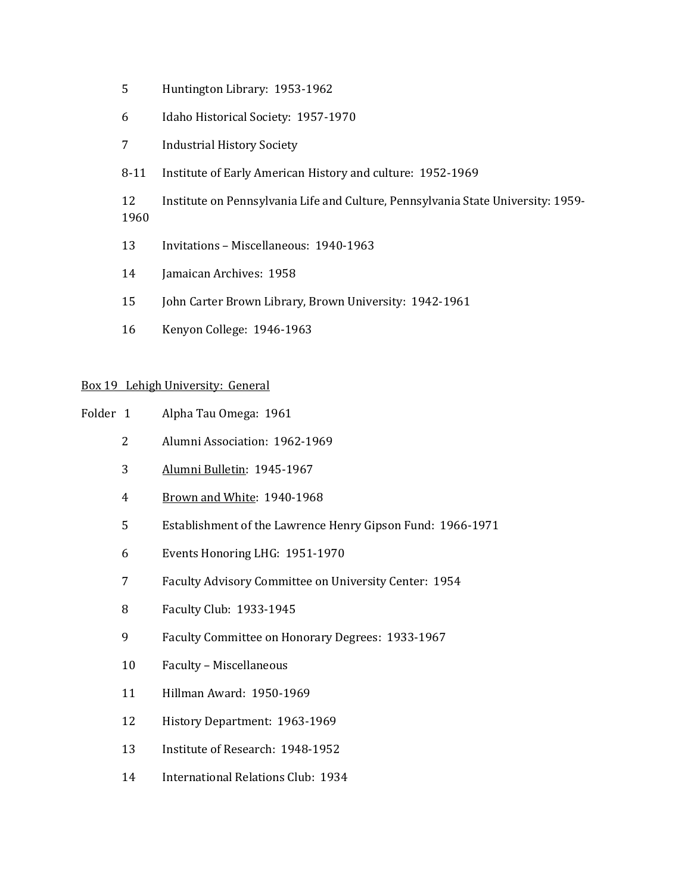- Huntington Library: 1953-1962
- Idaho Historical Society: 1957-1970
- Industrial History Society
- 8-11 Institute of Early American History and culture: 1952-1969
- Institute on Pennsylvania Life and Culture, Pennsylvania State University: 1959-
- Invitations Miscellaneous: 1940-1963
- Jamaican Archives: 1958
- 15 John Carter Brown Library, Brown University: 1942-1961
- Kenyon College: 1946-1963

## Box 19 Lehigh University: General

- Folder 1 Alpha Tau Omega: 1961
	- Alumni Association: 1962-1969
	- Alumni Bulletin: 1945-1967
	- Brown and White: 1940-1968
	- Establishment of the Lawrence Henry Gipson Fund: 1966-1971
	- Events Honoring LHG: 1951-1970
	- Faculty Advisory Committee on University Center: 1954
	- Faculty Club: 1933-1945
	- Faculty Committee on Honorary Degrees: 1933-1967
	- Faculty Miscellaneous
	- Hillman Award: 1950-1969
	- History Department: 1963-1969
	- Institute of Research: 1948-1952
	- International Relations Club: 1934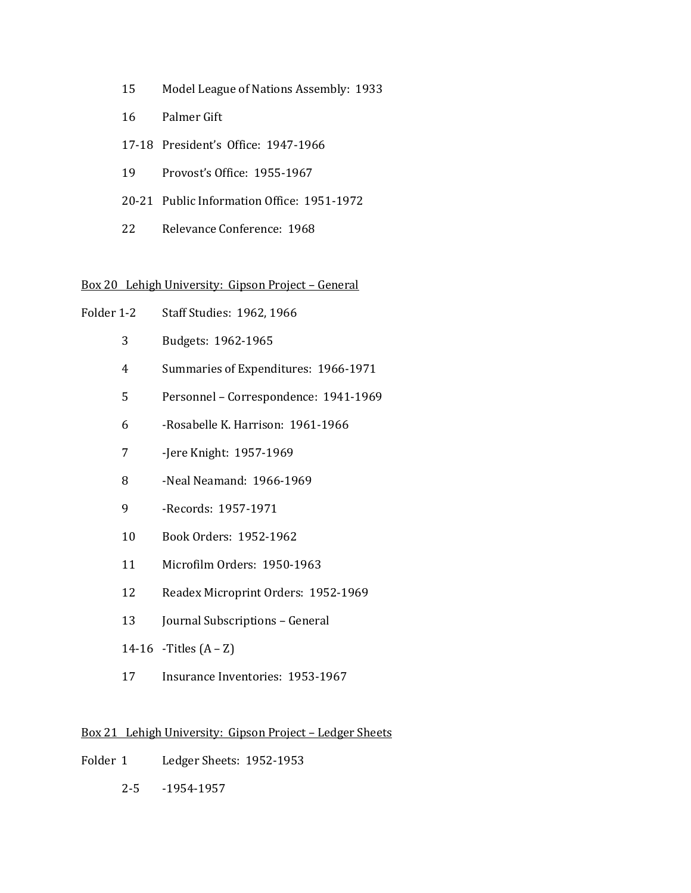- Model League of Nations Assembly: 1933
- Palmer Gift
- 17-18 President's Office: 1947-1966
- Provost's Office: 1955-1967
- 20-21 Public Information Office: 1951-1972
- Relevance Conference: 1968

## Box 20 Lehigh University: Gipson Project – General

- Folder 1-2 Staff Studies: 1962, 1966
	- Budgets: 1962-1965
	- Summaries of Expenditures: 1966-1971
	- Personnel Correspondence: 1941-1969
	- -Rosabelle K. Harrison: 1961-1966
	- -Jere Knight: 1957-1969
	- -Neal Neamand: 1966-1969
	- -Records: 1957-1971
	- Book Orders: 1952-1962
	- Microfilm Orders: 1950-1963
	- Readex Microprint Orders: 1952-1969
	- 13 Journal Subscriptions General
	- 14-16 Titles  $(A Z)$
	- Insurance Inventories: 1953-1967

## Box 21 Lehigh University: Gipson Project – Ledger Sheets

- Folder 1 Ledger Sheets: 1952-1953
	- 2-5 -1954-1957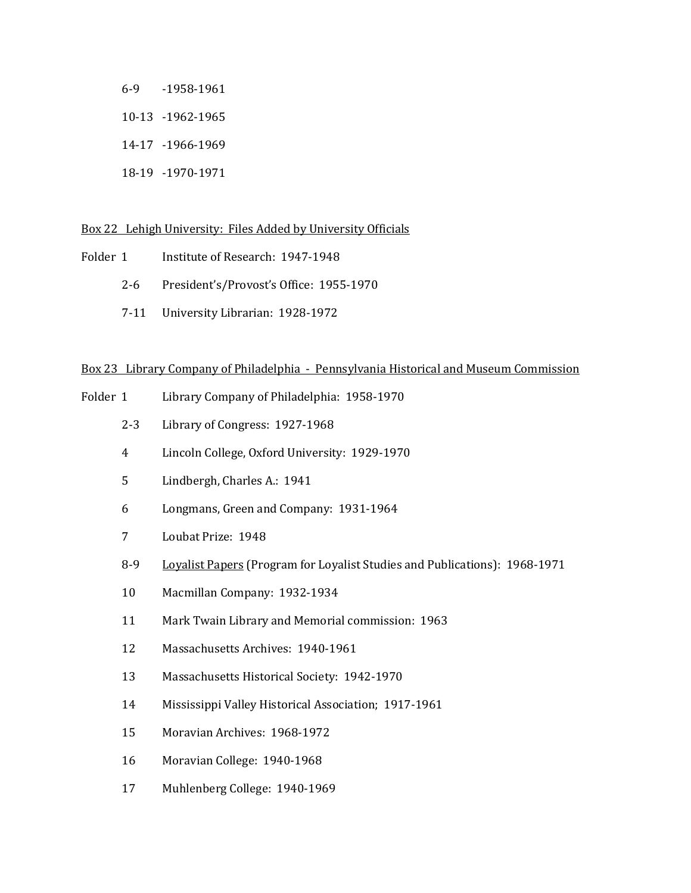6-9 -1958-1961 10-13 -1962-1965

- 14-17 -1966-1969
- 18-19 -1970-1971

## Box 22 Lehigh University: Files Added by University Officials

- Folder 1 Institute of Research: 1947-1948
	- 2-6 President's/Provost's Office: 1955-1970
	- 7-11 University Librarian: 1928-1972

## Box 23 Library Company of Philadelphia - Pennsylvania Historical and Museum Commission

- Folder 1 Library Company of Philadelphia: 1958-1970
	- 2-3 Library of Congress: 1927-1968
	- 4 Lincoln College, Oxford University: 1929-1970
	- 5 Lindbergh, Charles A.: 1941
	- 6 Longmans, Green and Company: 1931-1964
	- 7 Loubat Prize: 1948
	- 8-9 Loyalist Papers (Program for Loyalist Studies and Publications): 1968-1971
	- 10 Macmillan Company: 1932-1934
	- 11 Mark Twain Library and Memorial commission: 1963
	- 12 Massachusetts Archives: 1940-1961
	- 13 Massachusetts Historical Society: 1942-1970
	- 14 Mississippi Valley Historical Association; 1917-1961
	- 15 Moravian Archives: 1968-1972
	- 16 Moravian College: 1940-1968
	- 17 Muhlenberg College: 1940-1969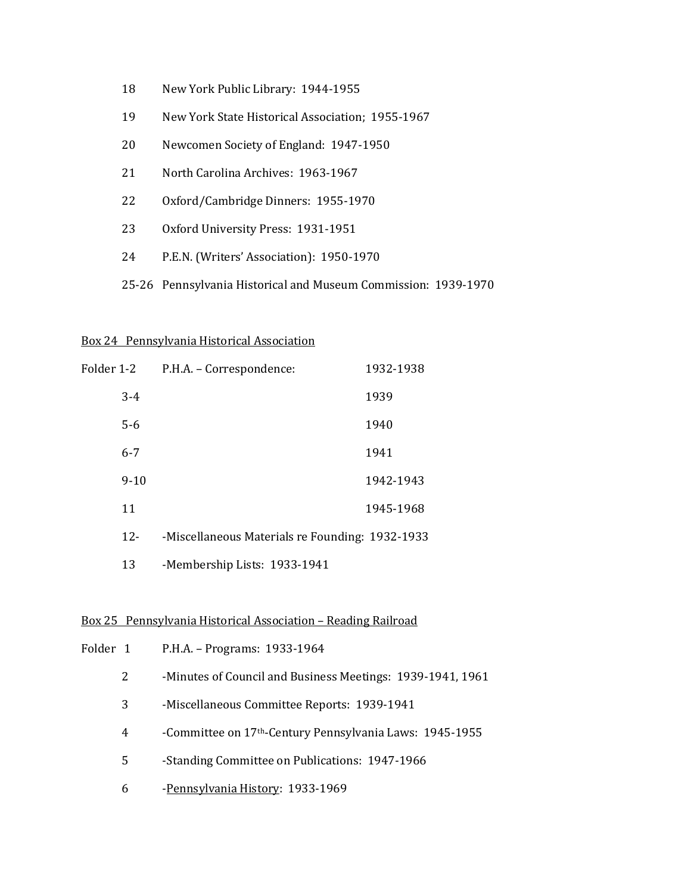- 18 New York Public Library: 1944-1955
- 19 New York State Historical Association; 1955-1967
- 20 Newcomen Society of England: 1947-1950
- 21 North Carolina Archives: 1963-1967
- 22 Oxford/Cambridge Dinners: 1955-1970
- 23 Oxford University Press: 1931-1951
- 24 P.E.N. (Writers' Association): 1950-1970
- 25-26 Pennsylvania Historical and Museum Commission: 1939-1970

#### Box 24 Pennsylvania Historical Association

| Folder 1-2 | P.H.A. – Correspondence:                        | 1932-1938 |
|------------|-------------------------------------------------|-----------|
| $3 - 4$    |                                                 | 1939      |
| $5-6$      |                                                 | 1940      |
| $6 - 7$    |                                                 | 1941      |
| $9-10$     |                                                 | 1942-1943 |
| 11         |                                                 | 1945-1968 |
| $12 -$     | -Miscellaneous Materials re Founding: 1932-1933 |           |

13 -Membership Lists: 1933-1941

## Box 25 Pennsylvania Historical Association – Reading Railroad

| Folder 1 |   | P.H.A. - Programs: 1933-1964                                         |
|----------|---|----------------------------------------------------------------------|
|          | 2 | -Minutes of Council and Business Meetings: 1939-1941, 1961           |
|          | 3 | -Miscellaneous Committee Reports: 1939-1941                          |
|          | 4 | -Committee on 17 <sup>th</sup> -Century Pennsylvania Laws: 1945-1955 |
|          | 5 | -Standing Committee on Publications: 1947-1966                       |
|          | 6 | -Pennsylvania History: 1933-1969                                     |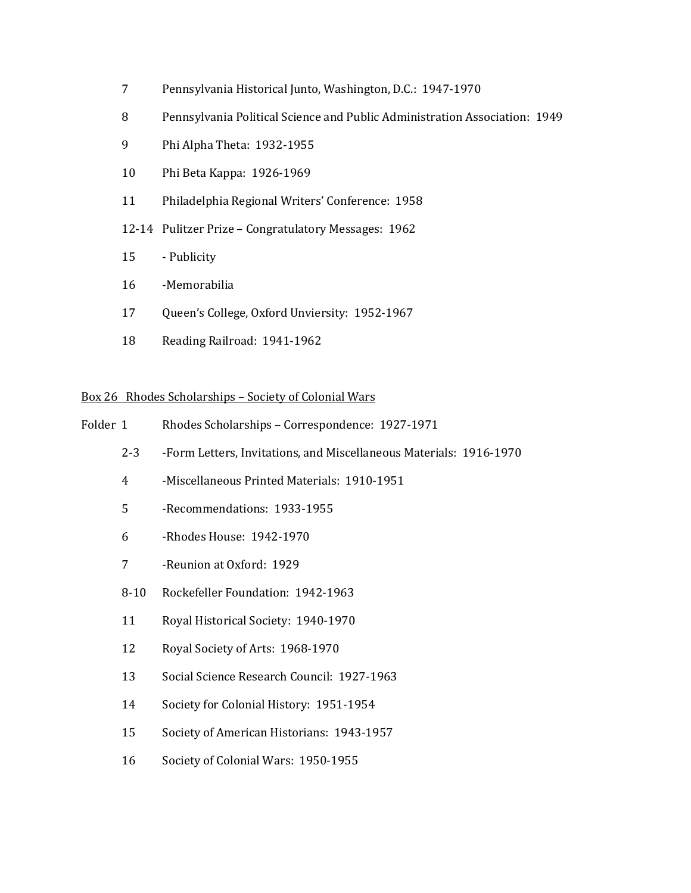- Pennsylvania Historical Junto, Washington, D.C.: 1947-1970
- Pennsylvania Political Science and Public Administration Association: 1949
- Phi Alpha Theta: 1932-1955
- Phi Beta Kappa: 1926-1969
- Philadelphia Regional Writers' Conference: 1958
- 12-14 Pulitzer Prize Congratulatory Messages: 1962
- Publicity
- -Memorabilia
- Queen's College, Oxford Unviersity: 1952-1967
- Reading Railroad: 1941-1962

## Box 26 Rhodes Scholarships – Society of Colonial Wars

- Folder 1 Rhodes Scholarships Correspondence: 1927-1971
	- 2-3 -Form Letters, Invitations, and Miscellaneous Materials: 1916-1970
	- -Miscellaneous Printed Materials: 1910-1951
	- -Recommendations: 1933-1955
	- -Rhodes House: 1942-1970
	- -Reunion at Oxford: 1929
	- 8-10 Rockefeller Foundation: 1942-1963
	- Royal Historical Society: 1940-1970
	- Royal Society of Arts: 1968-1970
	- Social Science Research Council: 1927-1963
	- Society for Colonial History: 1951-1954
	- Society of American Historians: 1943-1957
	- Society of Colonial Wars: 1950-1955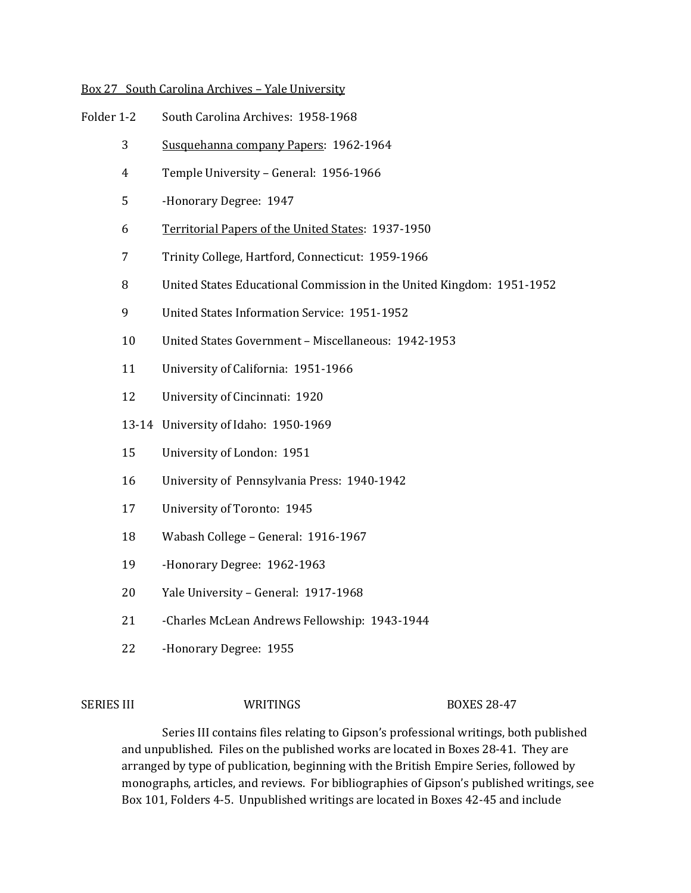### Box 27 South Carolina Archives – Yale University

- Folder 1-2 South Carolina Archives: 1958-1968
	- Susquehanna company Papers: 1962-1964
	- Temple University General: 1956-1966
	- -Honorary Degree: 1947
	- Territorial Papers of the United States: 1937-1950
	- Trinity College, Hartford, Connecticut: 1959-1966
	- United States Educational Commission in the United Kingdom: 1951-1952
	- United States Information Service: 1951-1952
	- United States Government Miscellaneous: 1942-1953
	- University of California: 1951-1966
	- University of Cincinnati: 1920
	- 13-14 University of Idaho: 1950-1969
	- University of London: 1951
	- University of Pennsylvania Press: 1940-1942
	- University of Toronto: 1945
	- Wabash College General: 1916-1967
	- -Honorary Degree: 1962-1963
	- Yale University General: 1917-1968
	- -Charles McLean Andrews Fellowship: 1943-1944
	- -Honorary Degree: 1955

SERIES III WRITINGS BOXES 28-47

Series III contains files relating to Gipson's professional writings, both published and unpublished. Files on the published works are located in Boxes 28-41. They are arranged by type of publication, beginning with the British Empire Series, followed by monographs, articles, and reviews. For bibliographies of Gipson's published writings, see Box 101, Folders 4-5. Unpublished writings are located in Boxes 42-45 and include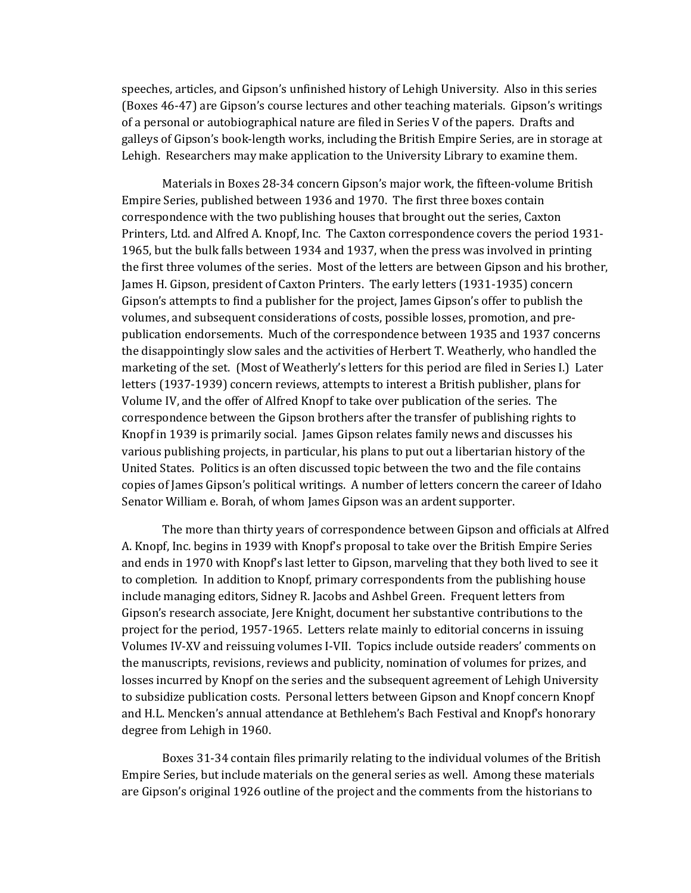speeches, articles, and Gipson's unfinished history of Lehigh University. Also in this series (Boxes 46-47) are Gipson's course lectures and other teaching materials. Gipson's writings of a personal or autobiographical nature are filed in Series V of the papers. Drafts and galleys of Gipson's book-length works, including the British Empire Series, are in storage at Lehigh. Researchers may make application to the University Library to examine them.

Materials in Boxes 28-34 concern Gipson's major work, the fifteen-volume British Empire Series, published between 1936 and 1970. The first three boxes contain correspondence with the two publishing houses that brought out the series, Caxton Printers, Ltd. and Alfred A. Knopf, Inc. The Caxton correspondence covers the period 1931- 1965, but the bulk falls between 1934 and 1937, when the press was involved in printing the first three volumes of the series. Most of the letters are between Gipson and his brother, James H. Gipson, president of Caxton Printers. The early letters (1931-1935) concern Gipson's attempts to find a publisher for the project, James Gipson's offer to publish the volumes, and subsequent considerations of costs, possible losses, promotion, and prepublication endorsements. Much of the correspondence between 1935 and 1937 concerns the disappointingly slow sales and the activities of Herbert T. Weatherly, who handled the marketing of the set. (Most of Weatherly's letters for this period are filed in Series I.) Later letters (1937-1939) concern reviews, attempts to interest a British publisher, plans for Volume IV, and the offer of Alfred Knopf to take over publication of the series. The correspondence between the Gipson brothers after the transfer of publishing rights to Knopf in 1939 is primarily social. James Gipson relates family news and discusses his various publishing projects, in particular, his plans to put out a libertarian history of the United States. Politics is an often discussed topic between the two and the file contains copies of James Gipson's political writings. A number of letters concern the career of Idaho Senator William e. Borah, of whom James Gipson was an ardent supporter.

The more than thirty years of correspondence between Gipson and officials at Alfred A. Knopf, Inc. begins in 1939 with Knopf's proposal to take over the British Empire Series and ends in 1970 with Knopf's last letter to Gipson, marveling that they both lived to see it to completion. In addition to Knopf, primary correspondents from the publishing house include managing editors, Sidney R. Jacobs and Ashbel Green. Frequent letters from Gipson's research associate, Jere Knight, document her substantive contributions to the project for the period, 1957-1965. Letters relate mainly to editorial concerns in issuing Volumes IV-XV and reissuing volumes I-VII. Topics include outside readers' comments on the manuscripts, revisions, reviews and publicity, nomination of volumes for prizes, and losses incurred by Knopf on the series and the subsequent agreement of Lehigh University to subsidize publication costs. Personal letters between Gipson and Knopf concern Knopf and H.L. Mencken's annual attendance at Bethlehem's Bach Festival and Knopf's honorary degree from Lehigh in 1960.

Boxes 31-34 contain files primarily relating to the individual volumes of the British Empire Series, but include materials on the general series as well. Among these materials are Gipson's original 1926 outline of the project and the comments from the historians to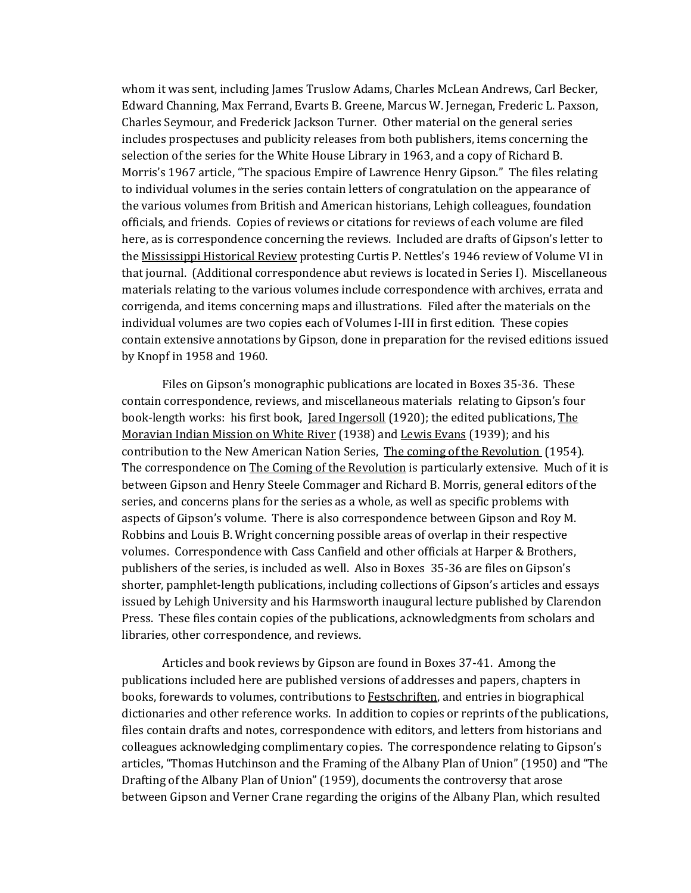whom it was sent, including James Truslow Adams, Charles McLean Andrews, Carl Becker, Edward Channing, Max Ferrand, Evarts B. Greene, Marcus W. Jernegan, Frederic L. Paxson, Charles Seymour, and Frederick Jackson Turner. Other material on the general series includes prospectuses and publicity releases from both publishers, items concerning the selection of the series for the White House Library in 1963, and a copy of Richard B. Morris's 1967 article, "The spacious Empire of Lawrence Henry Gipson." The files relating to individual volumes in the series contain letters of congratulation on the appearance of the various volumes from British and American historians, Lehigh colleagues, foundation officials, and friends. Copies of reviews or citations for reviews of each volume are filed here, as is correspondence concerning the reviews. Included are drafts of Gipson's letter to the Mississippi Historical Review protesting Curtis P. Nettles's 1946 review of Volume VI in that journal. (Additional correspondence abut reviews is located in Series I). Miscellaneous materials relating to the various volumes include correspondence with archives, errata and corrigenda, and items concerning maps and illustrations. Filed after the materials on the individual volumes are two copies each of Volumes I-III in first edition. These copies contain extensive annotations by Gipson, done in preparation for the revised editions issued by Knopf in 1958 and 1960.

Files on Gipson's monographic publications are located in Boxes 35-36. These contain correspondence, reviews, and miscellaneous materials relating to Gipson's four book-length works: his first book, Jared Ingersoll (1920); the edited publications, The Moravian Indian Mission on White River (1938) and Lewis Evans (1939); and his contribution to the New American Nation Series, The coming of the Revolution (1954). The correspondence on The Coming of the Revolution is particularly extensive. Much of it is between Gipson and Henry Steele Commager and Richard B. Morris, general editors of the series, and concerns plans for the series as a whole, as well as specific problems with aspects of Gipson's volume. There is also correspondence between Gipson and Roy M. Robbins and Louis B. Wright concerning possible areas of overlap in their respective volumes. Correspondence with Cass Canfield and other officials at Harper & Brothers, publishers of the series, is included as well. Also in Boxes 35-36 are files on Gipson's shorter, pamphlet-length publications, including collections of Gipson's articles and essays issued by Lehigh University and his Harmsworth inaugural lecture published by Clarendon Press. These files contain copies of the publications, acknowledgments from scholars and libraries, other correspondence, and reviews.

Articles and book reviews by Gipson are found in Boxes 37-41. Among the publications included here are published versions of addresses and papers, chapters in books, forewards to volumes, contributions to Festschriften, and entries in biographical dictionaries and other reference works. In addition to copies or reprints of the publications, files contain drafts and notes, correspondence with editors, and letters from historians and colleagues acknowledging complimentary copies. The correspondence relating to Gipson's articles, "Thomas Hutchinson and the Framing of the Albany Plan of Union" (1950) and "The Drafting of the Albany Plan of Union" (1959), documents the controversy that arose between Gipson and Verner Crane regarding the origins of the Albany Plan, which resulted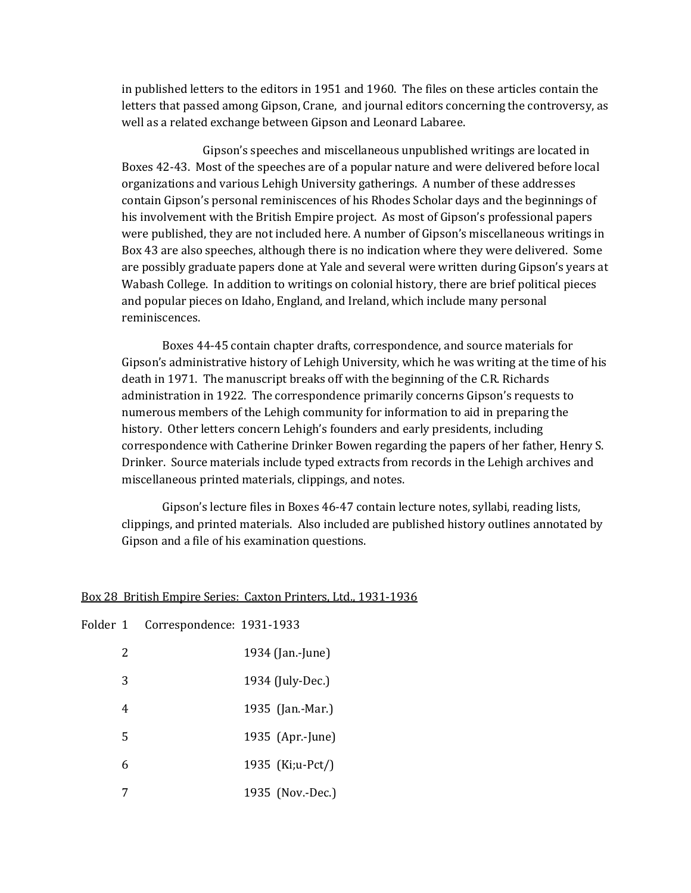in published letters to the editors in 1951 and 1960. The files on these articles contain the letters that passed among Gipson, Crane, and journal editors concerning the controversy, as well as a related exchange between Gipson and Leonard Labaree.

Gipson's speeches and miscellaneous unpublished writings are located in Boxes 42-43. Most of the speeches are of a popular nature and were delivered before local organizations and various Lehigh University gatherings. A number of these addresses contain Gipson's personal reminiscences of his Rhodes Scholar days and the beginnings of his involvement with the British Empire project. As most of Gipson's professional papers were published, they are not included here. A number of Gipson's miscellaneous writings in Box 43 are also speeches, although there is no indication where they were delivered. Some are possibly graduate papers done at Yale and several were written during Gipson's years at Wabash College. In addition to writings on colonial history, there are brief political pieces and popular pieces on Idaho, England, and Ireland, which include many personal reminiscences.

Boxes 44-45 contain chapter drafts, correspondence, and source materials for Gipson's administrative history of Lehigh University, which he was writing at the time of his death in 1971. The manuscript breaks off with the beginning of the C.R. Richards administration in 1922. The correspondence primarily concerns Gipson's requests to numerous members of the Lehigh community for information to aid in preparing the history. Other letters concern Lehigh's founders and early presidents, including correspondence with Catherine Drinker Bowen regarding the papers of her father, Henry S. Drinker. Source materials include typed extracts from records in the Lehigh archives and miscellaneous printed materials, clippings, and notes.

Gipson's lecture files in Boxes 46-47 contain lecture notes, syllabi, reading lists, clippings, and printed materials. Also included are published history outlines annotated by Gipson and a file of his examination questions.

|  | Box 28 British Empire Series: Caxton Printers, Ltd., 1931-1936 |  |  |  |
|--|----------------------------------------------------------------|--|--|--|
|  |                                                                |  |  |  |

| Folder 1 |   | Correspondence: 1931-1933 |                  |
|----------|---|---------------------------|------------------|
|          | 2 |                           | 1934 (Jan.-June) |
|          | 3 |                           | 1934 (July-Dec.) |
|          | 4 |                           | 1935 (Jan.-Mar.) |
|          | 5 |                           | 1935 (Apr.-June) |
|          | 6 |                           | 1935 (Ki;u-Pct/) |
|          |   |                           | 1935 (Nov.-Dec.) |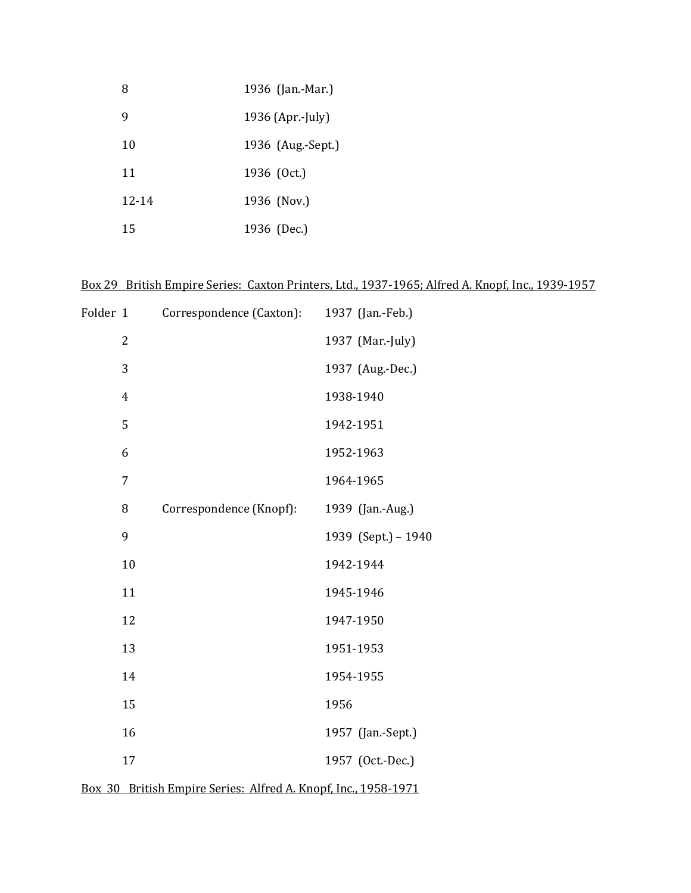| 8         | 1936 (Jan.-Mar.)  |
|-----------|-------------------|
| 9         | 1936 (Apr.-July)  |
| 10        | 1936 (Aug.-Sept.) |
| 11        | 1936 (Oct.)       |
| $12 - 14$ | 1936 (Nov.)       |
| 15        | 1936 (Dec.)       |

# Box 29 British Empire Series: Caxton Printers, Ltd., 1937-1965; Alfred A. Knopf, Inc., 1939-1957

| Folder 1 |                | Correspondence (Caxton): | 1937 (Jan.-Feb.)    |
|----------|----------------|--------------------------|---------------------|
|          | $\overline{2}$ |                          | 1937 (Mar.-July)    |
|          | 3              |                          | 1937 (Aug.-Dec.)    |
|          | $\overline{4}$ |                          | 1938-1940           |
|          | 5              |                          | 1942-1951           |
|          | 6              |                          | 1952-1963           |
|          | 7              |                          | 1964-1965           |
|          | 8              | Correspondence (Knopf):  | 1939 (Jan.-Aug.)    |
|          | 9              |                          | 1939 (Sept.) - 1940 |
|          | 10             |                          | 1942-1944           |
|          | 11             |                          | 1945-1946           |
|          | 12             |                          | 1947-1950           |
|          | 13             |                          | 1951-1953           |
|          | 14             |                          | 1954-1955           |
|          | 15             |                          | 1956                |
|          | 16             |                          | 1957 (Jan.-Sept.)   |
|          | 17             |                          | 1957 (Oct.-Dec.)    |
|          |                |                          |                     |

| Box 30 British Empire Series: Alfred A. Knopf, Inc., 1958-1971 |  |  |  |
|----------------------------------------------------------------|--|--|--|
|                                                                |  |  |  |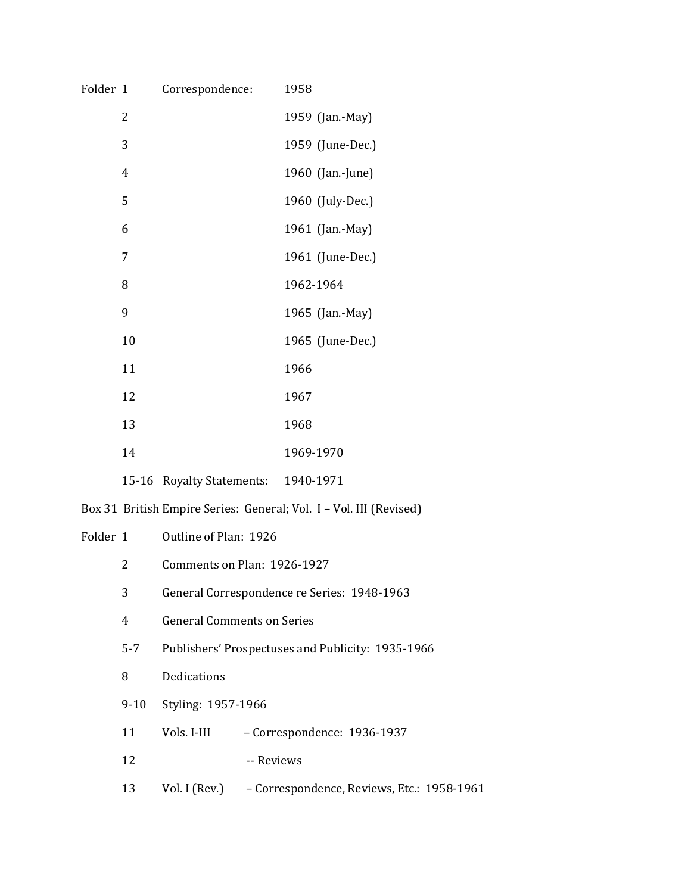| Folder 1 |                | Correspondence:                   |                             | 1958                                                               |  |
|----------|----------------|-----------------------------------|-----------------------------|--------------------------------------------------------------------|--|
|          | 2              |                                   |                             | 1959 (Jan.-May)                                                    |  |
|          | 3              |                                   |                             | 1959 (June-Dec.)                                                   |  |
|          | $\overline{4}$ |                                   |                             | 1960 (Jan.-June)                                                   |  |
|          | 5              |                                   |                             | 1960 (July-Dec.)                                                   |  |
|          | 6              |                                   |                             | 1961 (Jan.-May)                                                    |  |
|          | 7              |                                   |                             | 1961 (June-Dec.)                                                   |  |
|          | 8              |                                   |                             | 1962-1964                                                          |  |
|          | 9              |                                   |                             | 1965 (Jan.-May)                                                    |  |
|          | 10             |                                   |                             | 1965 (June-Dec.)                                                   |  |
|          | 11             |                                   |                             | 1966                                                               |  |
|          | 12             |                                   |                             | 1967                                                               |  |
|          | 13             |                                   |                             | 1968                                                               |  |
|          | 14             |                                   |                             | 1969-1970                                                          |  |
|          |                | 15-16 Royalty Statements:         |                             | 1940-1971                                                          |  |
|          |                |                                   |                             | Box 31 British Empire Series: General; Vol. I - Vol. III (Revised) |  |
| Folder 1 |                | Outline of Plan: 1926             |                             |                                                                    |  |
|          | 2              |                                   | Comments on Plan: 1926-1927 |                                                                    |  |
|          | 3              |                                   |                             | General Correspondence re Series: 1948-1963                        |  |
|          | 4              | <b>General Comments on Series</b> |                             |                                                                    |  |
|          | $5 - 7$        |                                   |                             | Publishers' Prospectuses and Publicity: 1935-1966                  |  |
|          | 8              | Dedications                       |                             |                                                                    |  |
|          | $9 - 10$       | Styling: 1957-1966                |                             |                                                                    |  |
|          | 11             | Vols. I-III                       |                             | - Correspondence: 1936-1937                                        |  |
|          | 12             |                                   | -- Reviews                  |                                                                    |  |
|          | 13             | Vol. I (Rev.)                     |                             | - Correspondence, Reviews, Etc.: 1958-1961                         |  |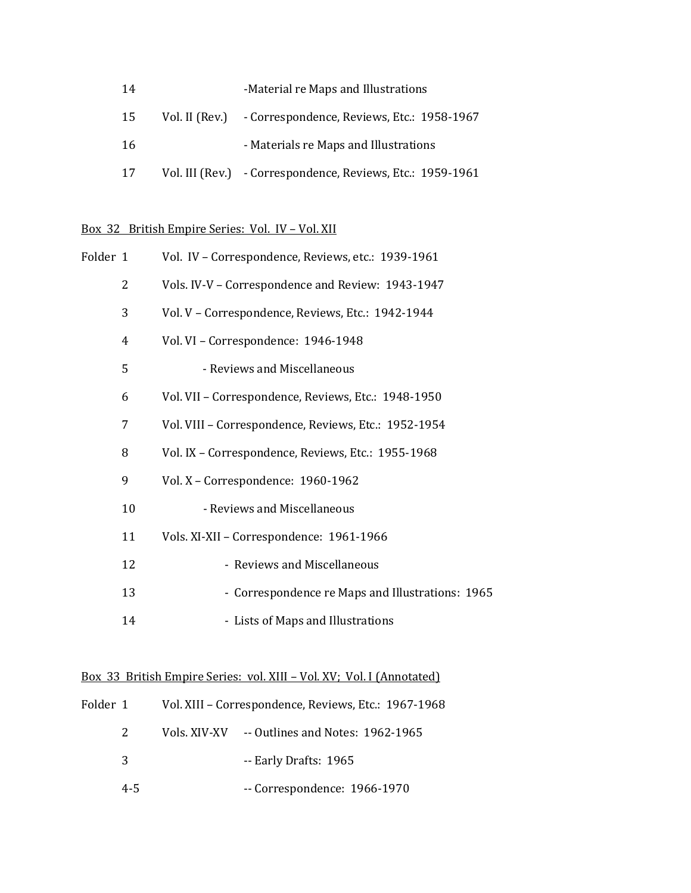| 14  | -Material re Maps and Illustrations                        |
|-----|------------------------------------------------------------|
| 15  | Vol. II (Rev.) - Correspondence, Reviews, Etc.: 1958-1967  |
| -16 | - Materials re Maps and Illustrations                      |
| 17  | Vol. III (Rev.) - Correspondence, Reviews, Etc.: 1959-1961 |

# Box 32 British Empire Series: Vol. IV – Vol. XII

| Folder 1 |    | Vol. IV - Correspondence, Reviews, etc.: 1939-1961   |
|----------|----|------------------------------------------------------|
|          | 2  | Vols. IV-V - Correspondence and Review: 1943-1947    |
|          | 3  | Vol. V - Correspondence, Reviews, Etc.: 1942-1944    |
|          | 4  | Vol. VI - Correspondence: 1946-1948                  |
|          | 5  | - Reviews and Miscellaneous                          |
|          | 6  | Vol. VII - Correspondence, Reviews, Etc.: 1948-1950  |
|          | 7  | Vol. VIII - Correspondence, Reviews, Etc.: 1952-1954 |
|          | 8  | Vol. IX - Correspondence, Reviews, Etc.: 1955-1968   |
|          | 9  | Vol. X - Correspondence: 1960-1962                   |
|          | 10 | - Reviews and Miscellaneous                          |
|          | 11 | Vols. XI-XII - Correspondence: 1961-1966             |
|          | 12 | - Reviews and Miscellaneous                          |
|          | 13 | - Correspondence re Maps and Illustrations: 1965     |
|          | 14 | - Lists of Maps and Illustrations                    |

# Box 33 British Empire Series: vol. XIII – Vol. XV; Vol. I (Annotated)

| Folder 1 | Vol. XIII - Correspondence, Reviews, Etc.: 1967-1968 |
|----------|------------------------------------------------------|
| 2        | Vols. XIV-XV -- Outlines and Notes: 1962-1965        |
| 3        | -- Early Drafts: 1965                                |
| $4 - 5$  | $-$ Correspondence: 1966-1970                        |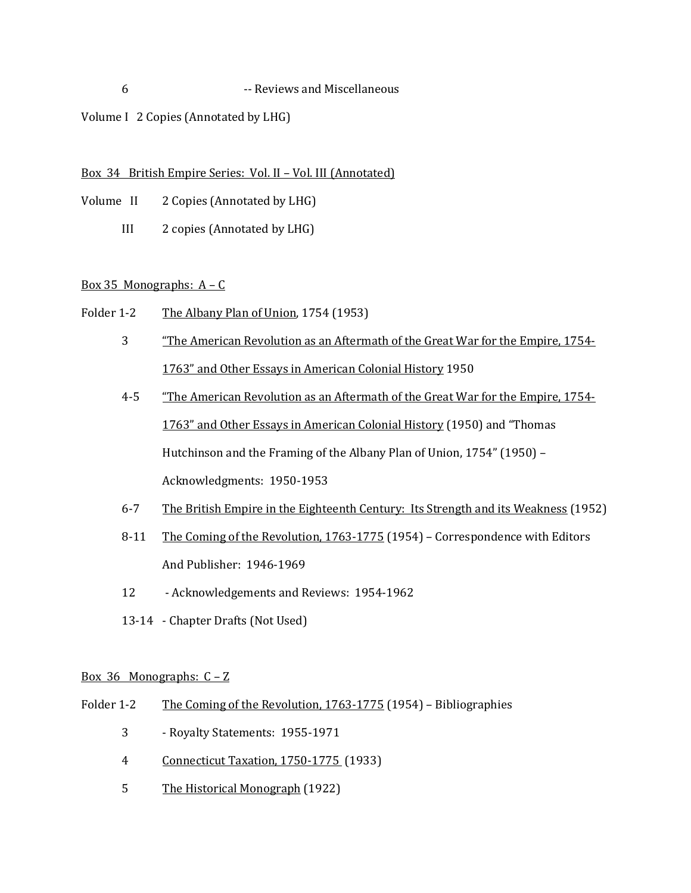## 6 -- Reviews and Miscellaneous

# Volume I 2 Copies (Annotated by LHG)

## Box 34 British Empire Series: Vol. II – Vol. III (Annotated)

- Volume II 2 Copies (Annotated by LHG)
	- III 2 copies (Annotated by LHG)

# Box 35 Monographs:  $A - C$

- Folder 1-2 The Albany Plan of Union, 1754 (1953)
	- 3 "The American Revolution as an Aftermath of the Great War for the Empire, 1754- 1763" and Other Essays in American Colonial History 1950
	- 4-5 "The American Revolution as an Aftermath of the Great War for the Empire, 1754-1763" and Other Essays in American Colonial History (1950) and "Thomas Hutchinson and the Framing of the Albany Plan of Union, 1754" (1950) – Acknowledgments: 1950-1953
	- 6-7 The British Empire in the Eighteenth Century: Its Strength and its Weakness (1952)
	- 8-11 The Coming of the Revolution, 1763-1775 (1954) Correspondence with Editors And Publisher: 1946-1969
	- 12 Acknowledgements and Reviews: 1954-1962
	- 13-14 Chapter Drafts (Not Used)

## Box 36 Monographs: C – Z

- Folder 1-2 The Coming of the Revolution, 1763-1775 (1954) Bibliographies
	- 3 Royalty Statements: 1955-1971
	- 4 Connecticut Taxation, 1750-1775 (1933)
	- 5 The Historical Monograph (1922)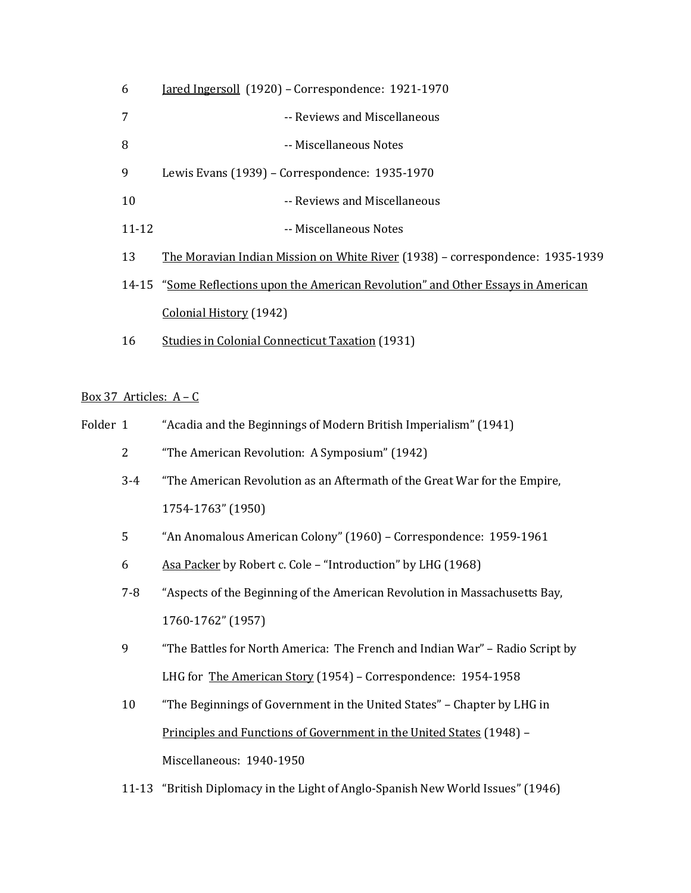| 6         | <u> Jared Ingersoll</u> (1920) – Correspondence: 1921-1970                         |  |  |
|-----------|------------------------------------------------------------------------------------|--|--|
| 7         | -- Reviews and Miscellaneous                                                       |  |  |
| 8         | -- Miscellaneous Notes                                                             |  |  |
| 9         | Lewis Evans (1939) – Correspondence: 1935-1970                                     |  |  |
| 10        | -- Reviews and Miscellaneous                                                       |  |  |
| $11 - 12$ | -- Miscellaneous Notes                                                             |  |  |
| 13        | The Moravian Indian Mission on White River (1938) – correspondence: 1935-1939      |  |  |
|           | 14-15 "Some Reflections upon the American Revolution" and Other Essays in American |  |  |
|           | Colonial History (1942)                                                            |  |  |
| 16        | <b>Studies in Colonial Connecticut Taxation (1931)</b>                             |  |  |

## Box 37 Articles: A – C

| "Acadia and the Beginnings of Modern British Imperialism" (1941)<br>Folder 1 |  |
|------------------------------------------------------------------------------|--|
|------------------------------------------------------------------------------|--|

- 2 "The American Revolution: A Symposium" (1942)
- 3-4 "The American Revolution as an Aftermath of the Great War for the Empire, 1754-1763" (1950)
- 5 "An Anomalous American Colony" (1960) Correspondence: 1959-1961
- 6 Asa Packer by Robert c. Cole "Introduction" by LHG (1968)
- 7-8 "Aspects of the Beginning of the American Revolution in Massachusetts Bay, 1760-1762" (1957)
- 9 "The Battles for North America: The French and Indian War" Radio Script by LHG for The American Story (1954) – Correspondence: 1954-1958
- 10 "The Beginnings of Government in the United States" Chapter by LHG in Principles and Functions of Government in the United States (1948) – Miscellaneous: 1940-1950
- 11-13 "British Diplomacy in the Light of Anglo-Spanish New World Issues" (1946)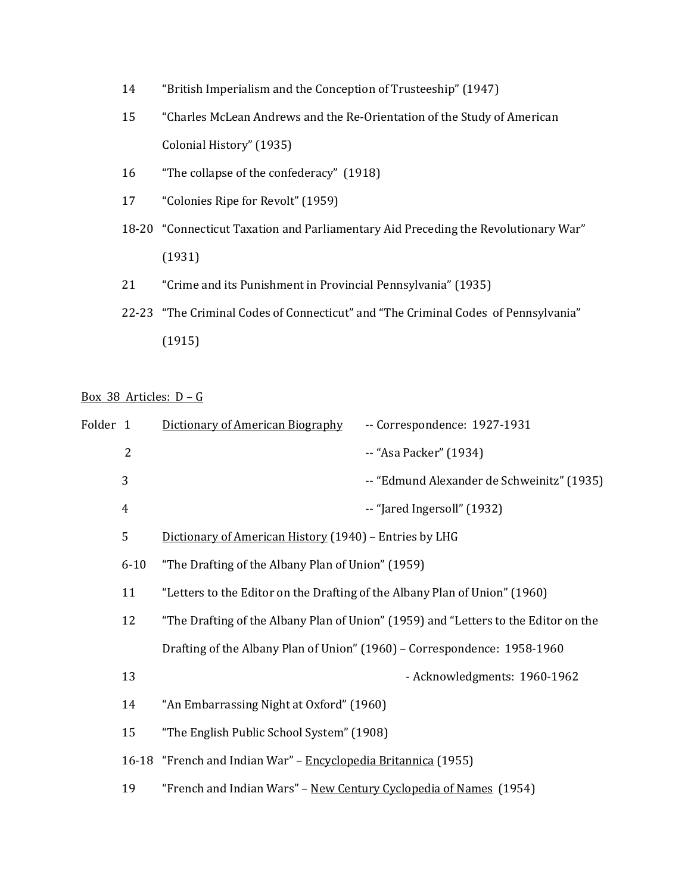- 14 "British Imperialism and the Conception of Trusteeship" (1947)
- 15 "Charles McLean Andrews and the Re-Orientation of the Study of American Colonial History" (1935)
- 16 "The collapse of the confederacy" (1918)
- 17 "Colonies Ripe for Revolt" (1959)
- 18-20 "Connecticut Taxation and Parliamentary Aid Preceding the Revolutionary War" (1931)
- 21 "Crime and its Punishment in Provincial Pennsylvania" (1935)
- 22-23 "The Criminal Codes of Connecticut" and "The Criminal Codes of Pennsylvania" (1915)

# Box 38 Articles: D – G

| Folder 1 |                | Dictionary of American Biography                                                    | -- Correspondence: 1927-1931                                             |  |
|----------|----------------|-------------------------------------------------------------------------------------|--------------------------------------------------------------------------|--|
|          | $\overline{2}$ |                                                                                     | -- "Asa Packer" (1934)                                                   |  |
|          | 3              |                                                                                     | -- "Edmund Alexander de Schweinitz" (1935)                               |  |
|          | $\overline{4}$ |                                                                                     | -- "Jared Ingersoll" (1932)                                              |  |
|          | 5              | Dictionary of American History (1940) - Entries by LHG                              |                                                                          |  |
|          | $6 - 10$       | "The Drafting of the Albany Plan of Union" (1959)                                   |                                                                          |  |
|          | 11             | "Letters to the Editor on the Drafting of the Albany Plan of Union" (1960)          |                                                                          |  |
|          | 12             | "The Drafting of the Albany Plan of Union" (1959) and "Letters to the Editor on the |                                                                          |  |
|          |                |                                                                                     | Drafting of the Albany Plan of Union" (1960) - Correspondence: 1958-1960 |  |
|          | 13             |                                                                                     | - Acknowledgments: 1960-1962                                             |  |
|          | 14             | "An Embarrassing Night at Oxford" (1960)                                            |                                                                          |  |
|          | 15             | "The English Public School System" (1908)                                           |                                                                          |  |
|          |                | 16-18 "French and Indian War" - Encyclopedia Britannica (1955)                      |                                                                          |  |
|          | 19             | "French and Indian Wars" - New Century Cyclopedia of Names (1954)                   |                                                                          |  |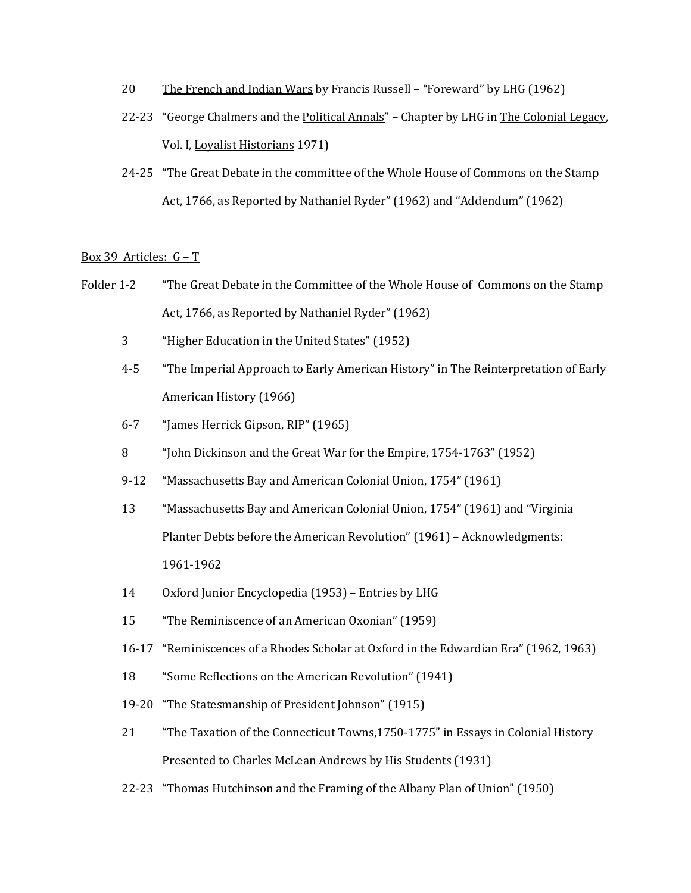- 20 The French and Indian Wars by Francis Russell "Foreward" by LHG (1962)
- 22-23 "George Chalmers and the Political Annals" Chapter by LHG in The Colonial Legacy, Vol. I, Loyalist Historians 1971)
- 24-25 "The Great Debate in the committee of the Whole House of Commons on the Stamp Act, 1766, as Reported by Nathaniel Ryder" (1962) and "Addendum" (1962)

## Box 39 Articles:  $G - T$

- Folder 1-2 "The Great Debate in the Committee of the Whole House of Commons on the Stamp Act, 1766, as Reported by Nathaniel Ryder" (1962)
	- 3 "Higher Education in the United States" (1952)
	- 4-5 "The Imperial Approach to Early American History" in The Reinterpretation of Early American History (1966)
	- 6-7 "James Herrick Gipson, RIP" (1965)
	- 8 "John Dickinson and the Great War for the Empire, 1754-1763" (1952)
	- 9-12 "Massachusetts Bay and American Colonial Union, 1754" (1961)
	- 13 "Massachusetts Bay and American Colonial Union, 1754" (1961) and "Virginia Planter Debts before the American Revolution" (1961) – Acknowledgments: 1961-1962
	- 14 Oxford Junior Encyclopedia (1953) Entries by LHG
	- 15 "The Reminiscence of an American Oxonian" (1959)
	- 16-17 "Reminiscences of a Rhodes Scholar at Oxford in the Edwardian Era" (1962, 1963)
	- 18 "Some Reflections on the American Revolution" (1941)
	- 19-20 "The Statesmanship of President Johnson" (1915)
	- 21 "The Taxation of the Connecticut Towns,1750-1775" in Essays in Colonial History Presented to Charles McLean Andrews by His Students (1931)
	- 22-23 "Thomas Hutchinson and the Framing of the Albany Plan of Union" (1950)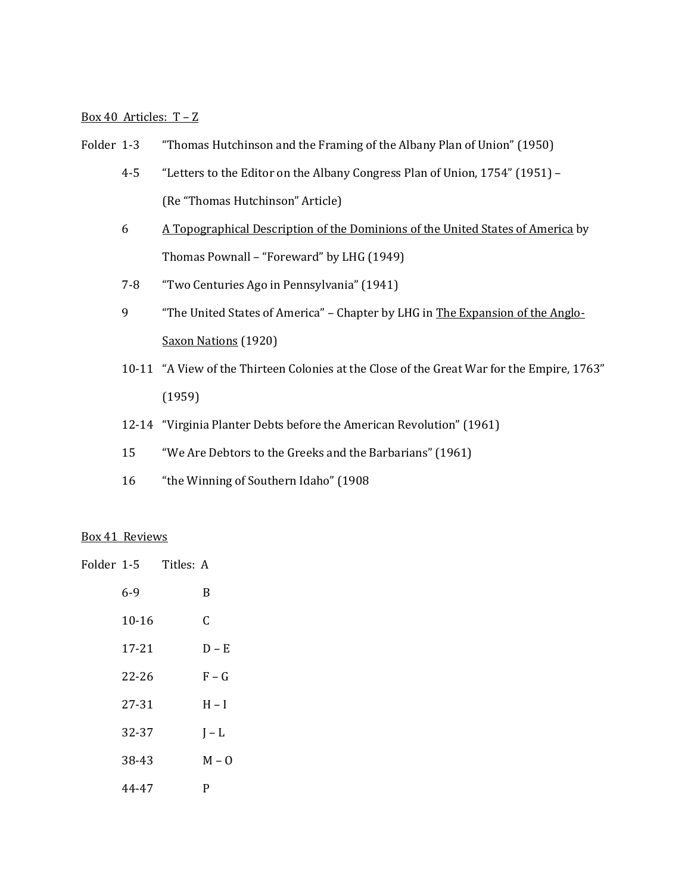## Box 40 Articles: T – Z

- Folder 1-3 "Thomas Hutchinson and the Framing of the Albany Plan of Union" (1950)
	- 4-5 "Letters to the Editor on the Albany Congress Plan of Union, 1754" (1951) (Re "Thomas Hutchinson" Article)
	- 6 A Topographical Description of the Dominions of the United States of America by Thomas Pownall – "Foreward" by LHG (1949)
	- 7-8 "Two Centuries Ago in Pennsylvania" (1941)
	- 9 "The United States of America" Chapter by LHG in The Expansion of the Anglo-Saxon Nations (1920)
	- 10-11 "A View of the Thirteen Colonies at the Close of the Great War for the Empire, 1763" (1959)
	- 12-14 "Virginia Planter Debts before the American Revolution" (1961)
	- 15 "We Are Debtors to the Greeks and the Barbarians" (1961)
	- 16 "the Winning of Southern Idaho" (1908

#### Box 41 Reviews

| Folder 1-5  Titles: A |         |
|-----------------------|---------|
| $6-9$                 | B       |
| $10 - 16$             | C       |
| 17-21                 | $D - E$ |
| $22 - 26$             | $F-G$   |
| 27-31                 | $H - I$ |
| 32-37                 | $I - L$ |
| 38-43                 | $M - 0$ |
| 44-47                 | P       |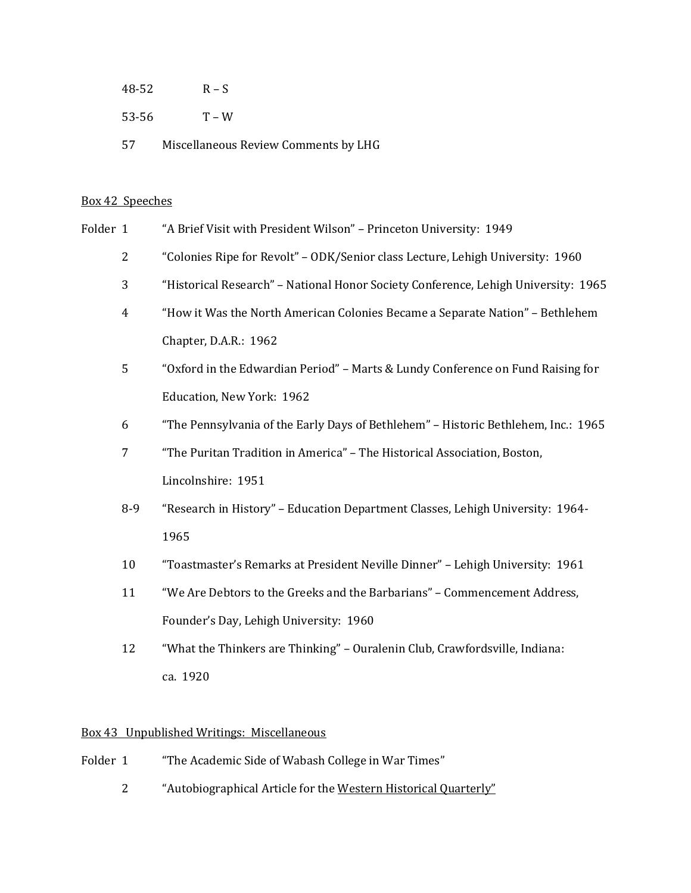- 48-52 R S
- 53-56 T W
- 57 Miscellaneous Review Comments by LHG

### Box 42 Speeches

- Folder 1 "A Brief Visit with President Wilson" Princeton University: 1949
	- 2 "Colonies Ripe for Revolt" ODK/Senior class Lecture, Lehigh University: 1960
	- 3 "Historical Research" National Honor Society Conference, Lehigh University: 1965
	- 4 "How it Was the North American Colonies Became a Separate Nation" Bethlehem Chapter, D.A.R.: 1962
	- 5 "Oxford in the Edwardian Period" Marts & Lundy Conference on Fund Raising for Education, New York: 1962
	- 6 "The Pennsylvania of the Early Days of Bethlehem" Historic Bethlehem, Inc.: 1965
	- 7 "The Puritan Tradition in America" The Historical Association, Boston, Lincolnshire: 1951
	- 8-9 "Research in History" Education Department Classes, Lehigh University: 1964- 1965
	- 10 "Toastmaster's Remarks at President Neville Dinner" Lehigh University: 1961
	- 11 "We Are Debtors to the Greeks and the Barbarians" Commencement Address, Founder's Day, Lehigh University: 1960
	- 12 "What the Thinkers are Thinking" Ouralenin Club, Crawfordsville, Indiana: ca. 1920

### Box 43 Unpublished Writings: Miscellaneous

- Folder 1 "The Academic Side of Wabash College in War Times"
	- 2 "Autobiographical Article for the Western Historical Quarterly"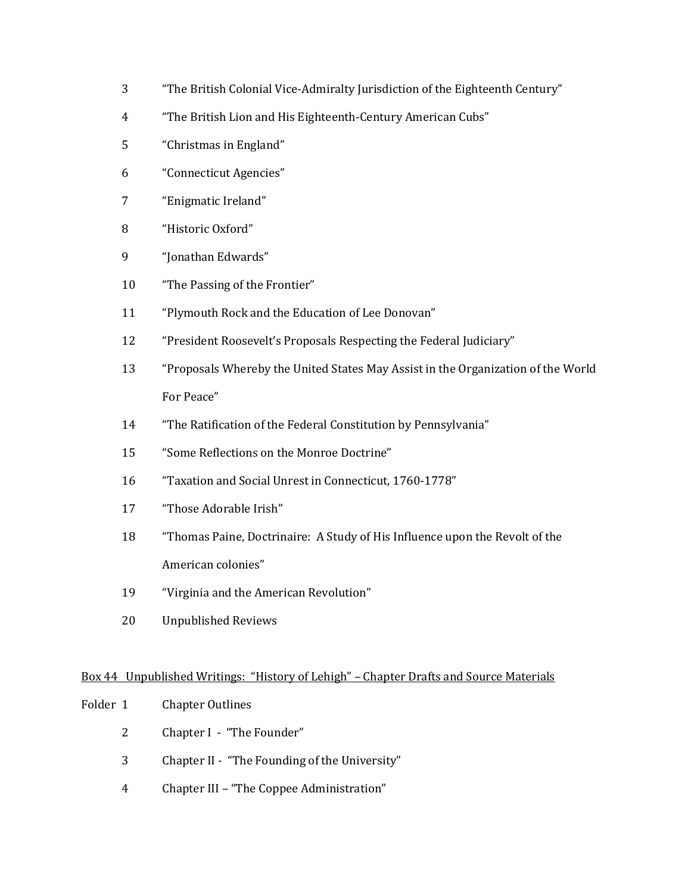- "The British Colonial Vice-Admiralty Jurisdiction of the Eighteenth Century"
- "The British Lion and His Eighteenth-Century American Cubs"
- "Christmas in England"
- "Connecticut Agencies"
- "Enigmatic Ireland"
- "Historic Oxford"
- "Jonathan Edwards"
- "The Passing of the Frontier"
- "Plymouth Rock and the Education of Lee Donovan"
- "President Roosevelt's Proposals Respecting the Federal Judiciary"
- "Proposals Whereby the United States May Assist in the Organization of the World For Peace"
- "The Ratification of the Federal Constitution by Pennsylvania"
- "Some Reflections on the Monroe Doctrine"
- "Taxation and Social Unrest in Connecticut, 1760-1778"
- "Those Adorable Irish"
- "Thomas Paine, Doctrinaire: A Study of His Influence upon the Revolt of the American colonies"
- "Virginia and the American Revolution"
- Unpublished Reviews

## Box 44 Unpublished Writings: "History of Lehigh" – Chapter Drafts and Source Materials

- Folder 1 Chapter Outlines
	- Chapter I "The Founder"
	- Chapter II "The Founding of the University"
	- Chapter III "The Coppee Administration"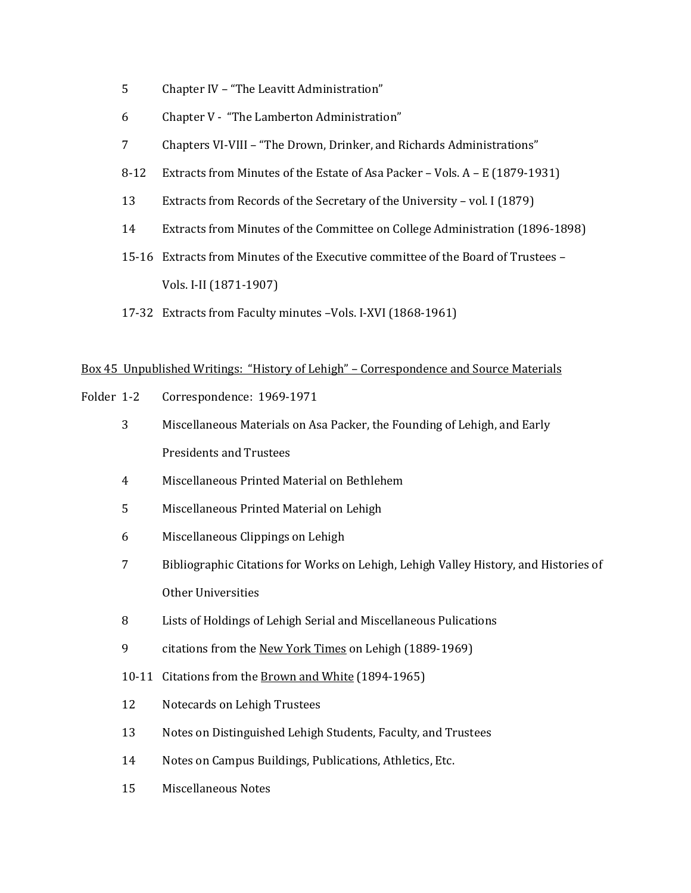- 5 Chapter IV "The Leavitt Administration"
- 6 Chapter V "The Lamberton Administration"
- 7 Chapters VI-VIII "The Drown, Drinker, and Richards Administrations"
- 8-12 Extracts from Minutes of the Estate of Asa Packer Vols. A E (1879-1931)
- 13 Extracts from Records of the Secretary of the University vol. I (1879)
- 14 Extracts from Minutes of the Committee on College Administration (1896-1898)
- 15-16 Extracts from Minutes of the Executive committee of the Board of Trustees Vols. I-II (1871-1907)
- 17-32 Extracts from Faculty minutes –Vols. I-XVI (1868-1961)

# Box 45 Unpublished Writings: "History of Lehigh" – Correspondence and Source Materials

- Folder 1-2 Correspondence: 1969-1971
	- 3 Miscellaneous Materials on Asa Packer, the Founding of Lehigh, and Early Presidents and Trustees
	- 4 Miscellaneous Printed Material on Bethlehem
	- 5 Miscellaneous Printed Material on Lehigh
	- 6 Miscellaneous Clippings on Lehigh
	- 7 Bibliographic Citations for Works on Lehigh, Lehigh Valley History, and Histories of Other Universities
	- 8 Lists of Holdings of Lehigh Serial and Miscellaneous Pulications
	- 9 citations from the New York Times on Lehigh (1889-1969)
	- 10-11 Citations from the Brown and White (1894-1965)
	- 12 Notecards on Lehigh Trustees
	- 13 Notes on Distinguished Lehigh Students, Faculty, and Trustees
	- 14 Notes on Campus Buildings, Publications, Athletics, Etc.
	- 15 Miscellaneous Notes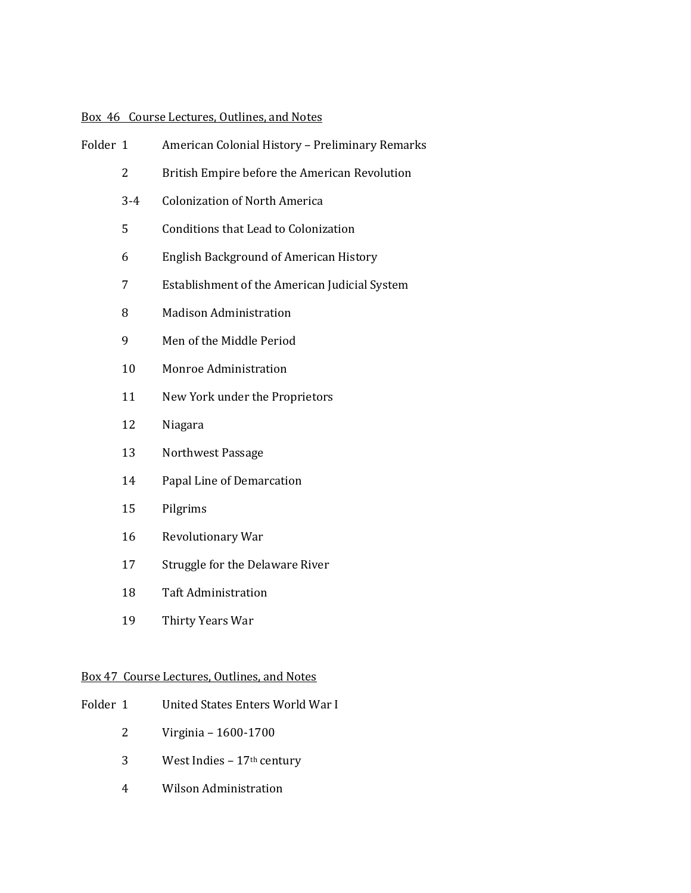# Box 46 Course Lectures, Outlines, and Notes

| Folder 1 |                | American Colonial History - Preliminary Remarks |
|----------|----------------|-------------------------------------------------|
|          | $\overline{2}$ | British Empire before the American Revolution   |
|          | $3 - 4$        | <b>Colonization of North America</b>            |
|          | 5              | Conditions that Lead to Colonization            |
|          | 6              | <b>English Background of American History</b>   |
|          | 7              | Establishment of the American Judicial System   |
|          | 8              | <b>Madison Administration</b>                   |
|          | 9              | Men of the Middle Period                        |
|          | 10             | Monroe Administration                           |
|          | 11             | New York under the Proprietors                  |
|          | 12             | Niagara                                         |
|          | 13             | Northwest Passage                               |
|          | 14             | Papal Line of Demarcation                       |
|          | 15             | Pilgrims                                        |
|          | 16             | Revolutionary War                               |
|          | 17             | Struggle for the Delaware River                 |
|          | 18             | <b>Taft Administration</b>                      |
|          | 19             | Thirty Years War                                |
|          |                |                                                 |

# Box 47 Course Lectures, Outlines, and Notes

- Folder 1 United States Enters World War I
	- Virginia 1600-1700
	- 3 West Indies  $17<sup>th</sup>$  century
	- Wilson Administration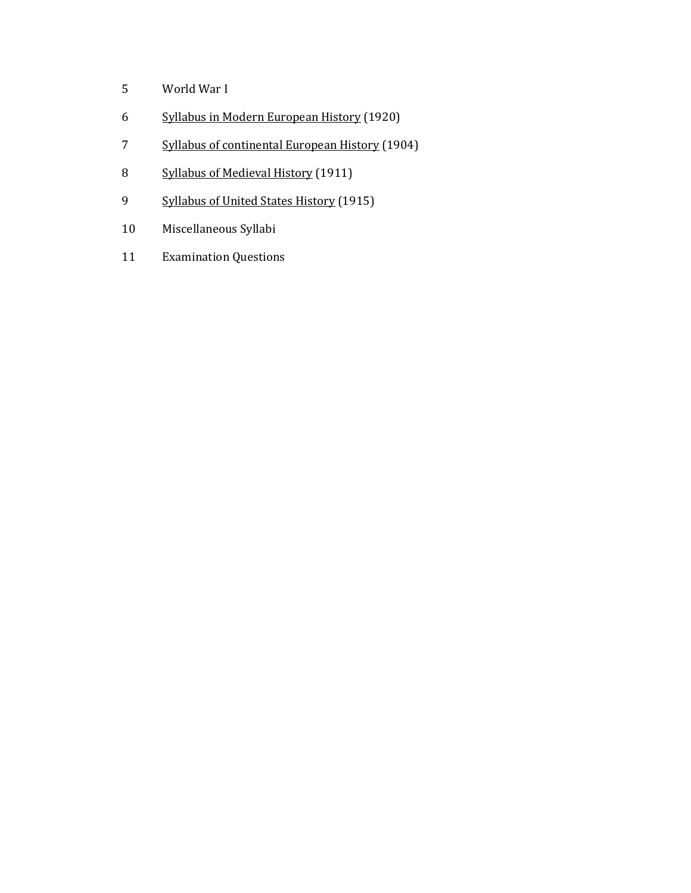- World War I
- Syllabus in Modern European History (1920)
- 7 Syllabus of continental European History (1904)
- Syllabus of Medieval History (1911)
- 9 Syllabus of United States History (1915)
- Miscellaneous Syllabi
- Examination Questions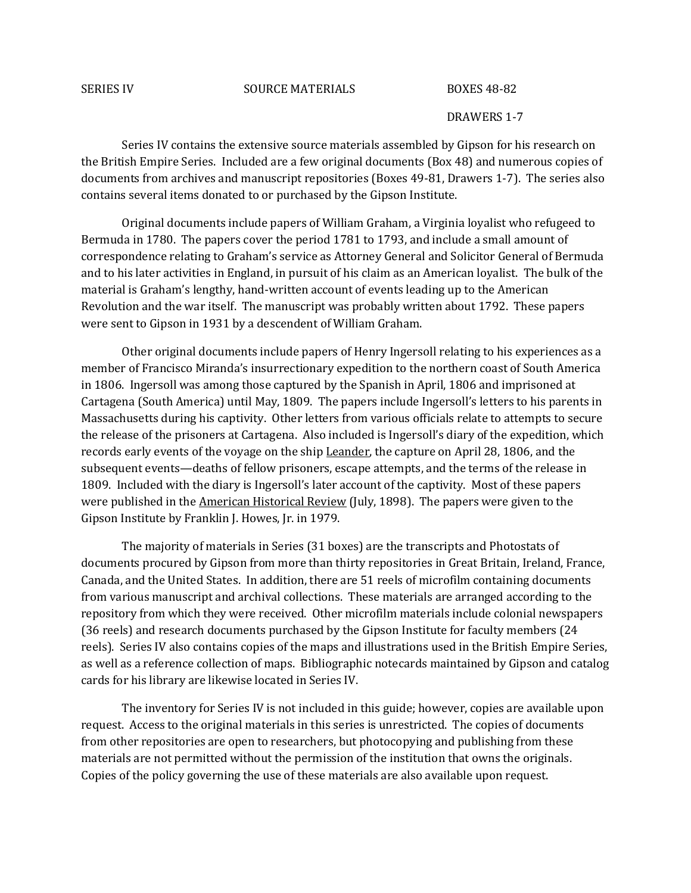#### SERIES IV SOURCE MATERIALS BOXES 48-82

#### DRAWERS 1-7

Series IV contains the extensive source materials assembled by Gipson for his research on the British Empire Series. Included are a few original documents (Box 48) and numerous copies of documents from archives and manuscript repositories (Boxes 49-81, Drawers 1-7). The series also contains several items donated to or purchased by the Gipson Institute.

Original documents include papers of William Graham, a Virginia loyalist who refugeed to Bermuda in 1780. The papers cover the period 1781 to 1793, and include a small amount of correspondence relating to Graham's service as Attorney General and Solicitor General of Bermuda and to his later activities in England, in pursuit of his claim as an American loyalist. The bulk of the material is Graham's lengthy, hand-written account of events leading up to the American Revolution and the war itself. The manuscript was probably written about 1792. These papers were sent to Gipson in 1931 by a descendent of William Graham.

Other original documents include papers of Henry Ingersoll relating to his experiences as a member of Francisco Miranda's insurrectionary expedition to the northern coast of South America in 1806. Ingersoll was among those captured by the Spanish in April, 1806 and imprisoned at Cartagena (South America) until May, 1809. The papers include Ingersoll's letters to his parents in Massachusetts during his captivity. Other letters from various officials relate to attempts to secure the release of the prisoners at Cartagena. Also included is Ingersoll's diary of the expedition, which records early events of the voyage on the ship Leander, the capture on April 28, 1806, and the subsequent events—deaths of fellow prisoners, escape attempts, and the terms of the release in 1809. Included with the diary is Ingersoll's later account of the captivity. Most of these papers were published in the American Historical Review (July, 1898). The papers were given to the Gipson Institute by Franklin J. Howes, Jr. in 1979.

The majority of materials in Series (31 boxes) are the transcripts and Photostats of documents procured by Gipson from more than thirty repositories in Great Britain, Ireland, France, Canada, and the United States. In addition, there are 51 reels of microfilm containing documents from various manuscript and archival collections. These materials are arranged according to the repository from which they were received. Other microfilm materials include colonial newspapers (36 reels) and research documents purchased by the Gipson Institute for faculty members (24 reels). Series IV also contains copies of the maps and illustrations used in the British Empire Series, as well as a reference collection of maps. Bibliographic notecards maintained by Gipson and catalog cards for his library are likewise located in Series IV.

The inventory for Series IV is not included in this guide; however, copies are available upon request. Access to the original materials in this series is unrestricted. The copies of documents from other repositories are open to researchers, but photocopying and publishing from these materials are not permitted without the permission of the institution that owns the originals. Copies of the policy governing the use of these materials are also available upon request.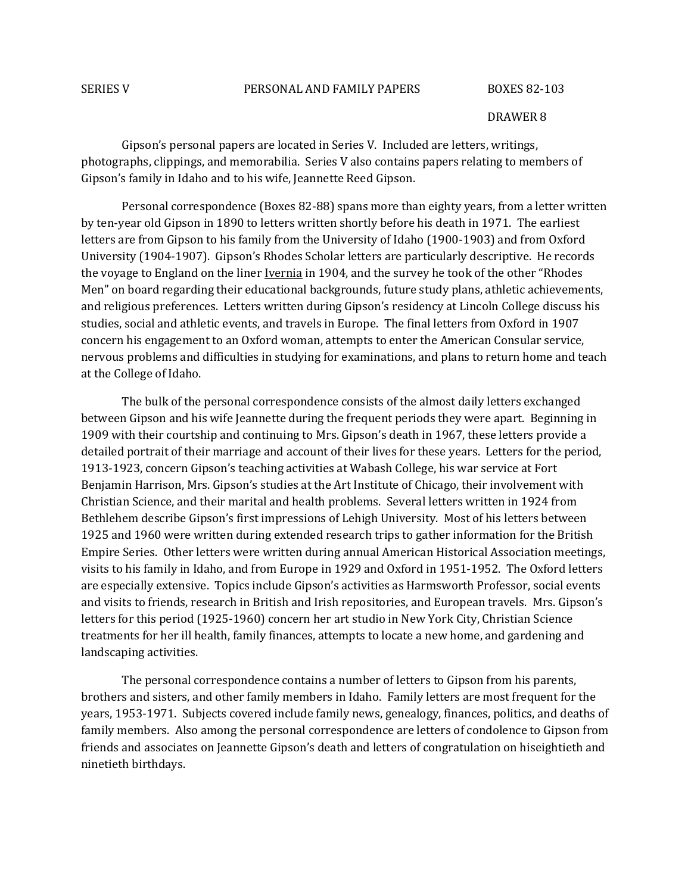#### SERIES V PERSONAL AND FAMILY PAPERS BOXES 82-103

#### DRAWER 8

Gipson's personal papers are located in Series V. Included are letters, writings, photographs, clippings, and memorabilia. Series V also contains papers relating to members of Gipson's family in Idaho and to his wife, Jeannette Reed Gipson.

Personal correspondence (Boxes 82-88) spans more than eighty years, from a letter written by ten-year old Gipson in 1890 to letters written shortly before his death in 1971. The earliest letters are from Gipson to his family from the University of Idaho (1900-1903) and from Oxford University (1904-1907). Gipson's Rhodes Scholar letters are particularly descriptive. He records the voyage to England on the liner Ivernia in 1904, and the survey he took of the other "Rhodes Men" on board regarding their educational backgrounds, future study plans, athletic achievements, and religious preferences. Letters written during Gipson's residency at Lincoln College discuss his studies, social and athletic events, and travels in Europe. The final letters from Oxford in 1907 concern his engagement to an Oxford woman, attempts to enter the American Consular service, nervous problems and difficulties in studying for examinations, and plans to return home and teach at the College of Idaho.

The bulk of the personal correspondence consists of the almost daily letters exchanged between Gipson and his wife Jeannette during the frequent periods they were apart. Beginning in 1909 with their courtship and continuing to Mrs. Gipson's death in 1967, these letters provide a detailed portrait of their marriage and account of their lives for these years. Letters for the period, 1913-1923, concern Gipson's teaching activities at Wabash College, his war service at Fort Benjamin Harrison, Mrs. Gipson's studies at the Art Institute of Chicago, their involvement with Christian Science, and their marital and health problems. Several letters written in 1924 from Bethlehem describe Gipson's first impressions of Lehigh University. Most of his letters between 1925 and 1960 were written during extended research trips to gather information for the British Empire Series. Other letters were written during annual American Historical Association meetings, visits to his family in Idaho, and from Europe in 1929 and Oxford in 1951-1952. The Oxford letters are especially extensive. Topics include Gipson's activities as Harmsworth Professor, social events and visits to friends, research in British and Irish repositories, and European travels. Mrs. Gipson's letters for this period (1925-1960) concern her art studio in New York City, Christian Science treatments for her ill health, family finances, attempts to locate a new home, and gardening and landscaping activities.

The personal correspondence contains a number of letters to Gipson from his parents, brothers and sisters, and other family members in Idaho. Family letters are most frequent for the years, 1953-1971. Subjects covered include family news, genealogy, finances, politics, and deaths of family members. Also among the personal correspondence are letters of condolence to Gipson from friends and associates on Jeannette Gipson's death and letters of congratulation on hiseightieth and ninetieth birthdays.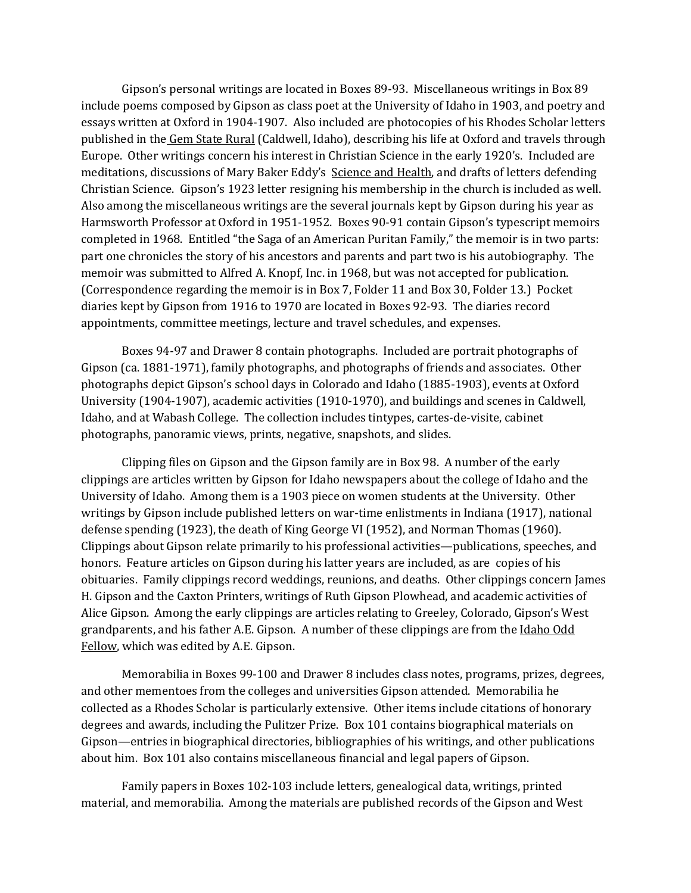Gipson's personal writings are located in Boxes 89-93. Miscellaneous writings in Box 89 include poems composed by Gipson as class poet at the University of Idaho in 1903, and poetry and essays written at Oxford in 1904-1907. Also included are photocopies of his Rhodes Scholar letters published in the Gem State Rural (Caldwell, Idaho), describing his life at Oxford and travels through Europe. Other writings concern his interest in Christian Science in the early 1920's. Included are meditations, discussions of Mary Baker Eddy's Science and Health, and drafts of letters defending Christian Science. Gipson's 1923 letter resigning his membership in the church is included as well. Also among the miscellaneous writings are the several journals kept by Gipson during his year as Harmsworth Professor at Oxford in 1951-1952. Boxes 90-91 contain Gipson's typescript memoirs completed in 1968. Entitled "the Saga of an American Puritan Family," the memoir is in two parts: part one chronicles the story of his ancestors and parents and part two is his autobiography. The memoir was submitted to Alfred A. Knopf, Inc. in 1968, but was not accepted for publication. (Correspondence regarding the memoir is in Box 7, Folder 11 and Box 30, Folder 13.) Pocket diaries kept by Gipson from 1916 to 1970 are located in Boxes 92-93. The diaries record appointments, committee meetings, lecture and travel schedules, and expenses.

Boxes 94-97 and Drawer 8 contain photographs. Included are portrait photographs of Gipson (ca. 1881-1971), family photographs, and photographs of friends and associates. Other photographs depict Gipson's school days in Colorado and Idaho (1885-1903), events at Oxford University (1904-1907), academic activities (1910-1970), and buildings and scenes in Caldwell, Idaho, and at Wabash College. The collection includes tintypes, cartes-de-visite, cabinet photographs, panoramic views, prints, negative, snapshots, and slides.

Clipping files on Gipson and the Gipson family are in Box 98. A number of the early clippings are articles written by Gipson for Idaho newspapers about the college of Idaho and the University of Idaho. Among them is a 1903 piece on women students at the University. Other writings by Gipson include published letters on war-time enlistments in Indiana (1917), national defense spending (1923), the death of King George VI (1952), and Norman Thomas (1960). Clippings about Gipson relate primarily to his professional activities—publications, speeches, and honors. Feature articles on Gipson during his latter years are included, as are copies of his obituaries. Family clippings record weddings, reunions, and deaths. Other clippings concern James H. Gipson and the Caxton Printers, writings of Ruth Gipson Plowhead, and academic activities of Alice Gipson. Among the early clippings are articles relating to Greeley, Colorado, Gipson's West grandparents, and his father A.E. Gipson. A number of these clippings are from the Idaho Odd Fellow, which was edited by A.E. Gipson.

Memorabilia in Boxes 99-100 and Drawer 8 includes class notes, programs, prizes, degrees, and other mementoes from the colleges and universities Gipson attended. Memorabilia he collected as a Rhodes Scholar is particularly extensive. Other items include citations of honorary degrees and awards, including the Pulitzer Prize. Box 101 contains biographical materials on Gipson—entries in biographical directories, bibliographies of his writings, and other publications about him. Box 101 also contains miscellaneous financial and legal papers of Gipson.

Family papers in Boxes 102-103 include letters, genealogical data, writings, printed material, and memorabilia. Among the materials are published records of the Gipson and West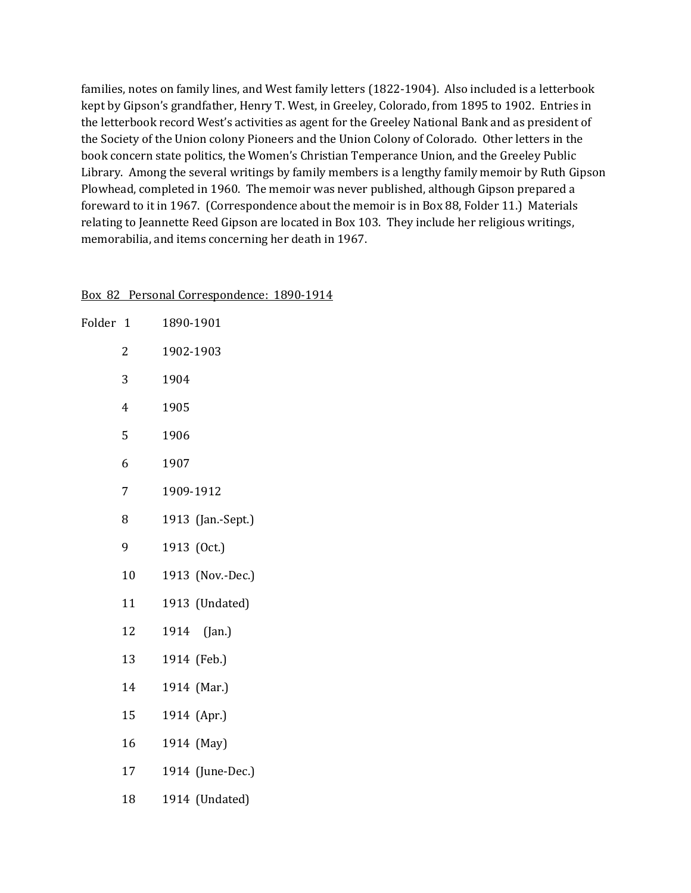families, notes on family lines, and West family letters (1822-1904). Also included is a letterbook kept by Gipson's grandfather, Henry T. West, in Greeley, Colorado, from 1895 to 1902. Entries in the letterbook record West's activities as agent for the Greeley National Bank and as president of the Society of the Union colony Pioneers and the Union Colony of Colorado. Other letters in the book concern state politics, the Women's Christian Temperance Union, and the Greeley Public Library. Among the several writings by family members is a lengthy family memoir by Ruth Gipson Plowhead, completed in 1960. The memoir was never published, although Gipson prepared a foreward to it in 1967. (Correspondence about the memoir is in Box 88, Folder 11.) Materials relating to Jeannette Reed Gipson are located in Box 103. They include her religious writings, memorabilia, and items concerning her death in 1967.

| Folder 1 |                | 1890-1901         |
|----------|----------------|-------------------|
|          | 2              | 1902-1903         |
|          | 3              | 1904              |
|          | $\overline{4}$ | 1905              |
|          | 5              | 1906              |
|          | 6              | 1907              |
|          | 7              | 1909-1912         |
|          | 8              | 1913 (Jan.-Sept.) |
|          | 9              | 1913 (Oct.)       |
|          | 10             | 1913 (Nov.-Dec.)  |
|          | 11             | 1913 (Undated)    |
|          | 12             | 1914<br>(Jan.)    |
|          | 13             | 1914 (Feb.)       |
|          | 14             | 1914 (Mar.)       |
|          | 15             | 1914 (Apr.)       |
|          | 16             | 1914 (May)        |
|          | 17             | 1914 (June-Dec.)  |
|          | 18             | 1914 (Undated)    |

#### Box 82 Personal Correspondence: 1890-1914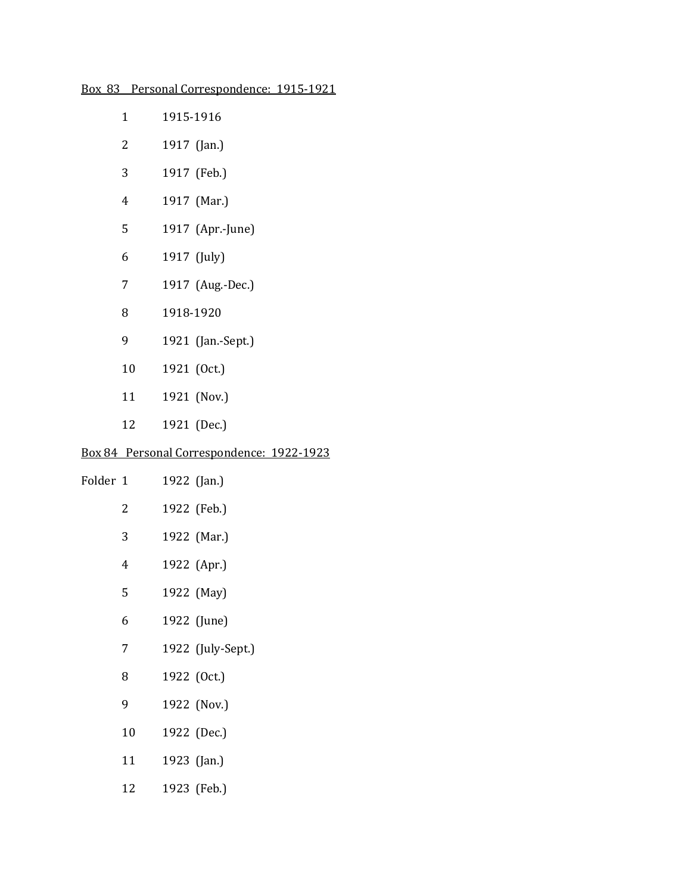|  |  | Box 83 Personal Correspondence: 1915-1921 |
|--|--|-------------------------------------------|
|  |  |                                           |

| $\mathbf{1}$ | 1915-1916                                 |
|--------------|-------------------------------------------|
| 2            | 1917 (Jan.)                               |
| 3            | 1917 (Feb.)                               |
| 4            | 1917 (Mar.)                               |
| 5            | 1917 (Apr.-June)                          |
| 6            | 1917 (July)                               |
| 7            | 1917 (Aug.-Dec.)                          |
| 8            | 1918-1920                                 |
| 9            | 1921 (Jan.-Sept.)                         |
| 10           | 1921 (Oct.)                               |
| 11           | 1921 (Nov.)                               |
| 12           | 1921 (Dec.)                               |
|              | Box 84 Personal Correspondence: 1922-1923 |

| Folder 1 |    | 1922 (Jan.)       |
|----------|----|-------------------|
|          | 2  | 1922 (Feb.)       |
|          | 3  | 1922 (Mar.)       |
|          | 4  | 1922 (Apr.)       |
|          | 5  | 1922 (May)        |
|          | 6  | 1922 (June)       |
|          | 7  | 1922 (July-Sept.) |
|          | 8  | 1922 (Oct.)       |
|          | 9  | 1922 (Nov.)       |
|          | 10 | 1922 (Dec.)       |
|          | 11 | 1923 (Jan.)       |
|          | 12 | 1923 (Feb.)       |
|          |    |                   |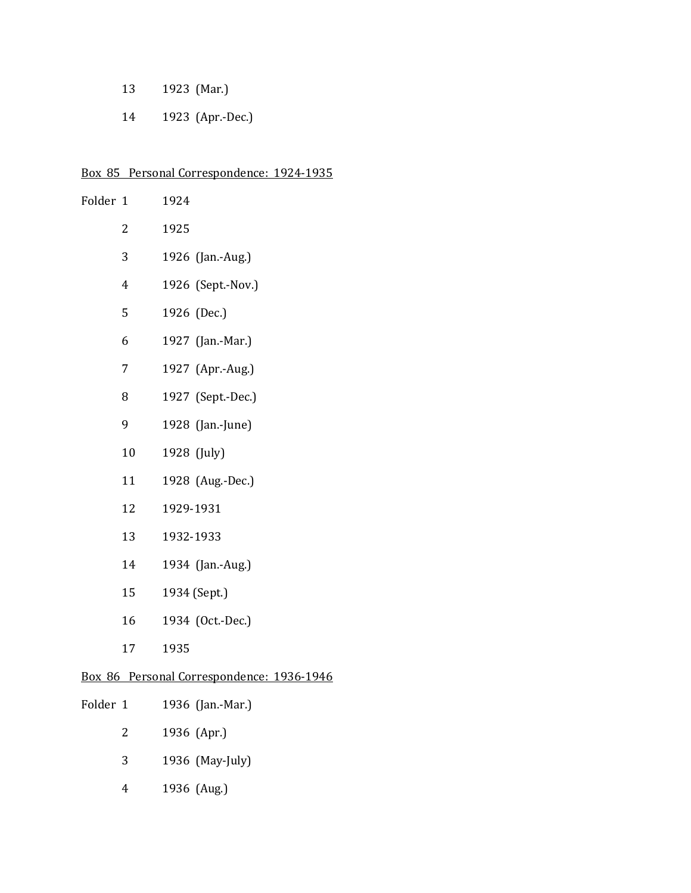- 1923 (Mar.)
- 1923 (Apr.-Dec.)

# Box 85 Personal Correspondence: 1924-1935

| Folder 1 |                | 1924                                      |
|----------|----------------|-------------------------------------------|
|          | 2              | 1925                                      |
|          | 3              | 1926 (Jan.-Aug.)                          |
|          | $\overline{4}$ | 1926 (Sept.-Nov.)                         |
|          | 5              | 1926 (Dec.)                               |
|          | 6              | 1927 (Jan.-Mar.)                          |
|          | 7              | 1927 (Apr.-Aug.)                          |
|          | 8              | 1927 (Sept.-Dec.)                         |
|          | 9              | 1928 (Jan.-June)                          |
|          | 10             | 1928 (July)                               |
|          | 11             | 1928 (Aug.-Dec.)                          |
|          | 12             | 1929-1931                                 |
|          | 13             | 1932-1933                                 |
|          | 14             | 1934 (Jan.-Aug.)                          |
|          | 15             | 1934 (Sept.)                              |
|          | 16             | 1934 (Oct.-Dec.)                          |
|          | 17             | 1935                                      |
|          |                | Box 86 Personal Correspondence: 1936-1946 |

| Folder 1 |               | 1936 (Jan.-Mar.) |
|----------|---------------|------------------|
|          | $\mathcal{P}$ | 1936 (Apr.)      |
|          | 3             | 1936 (May-July)  |
|          |               | 1936 (Aug.)      |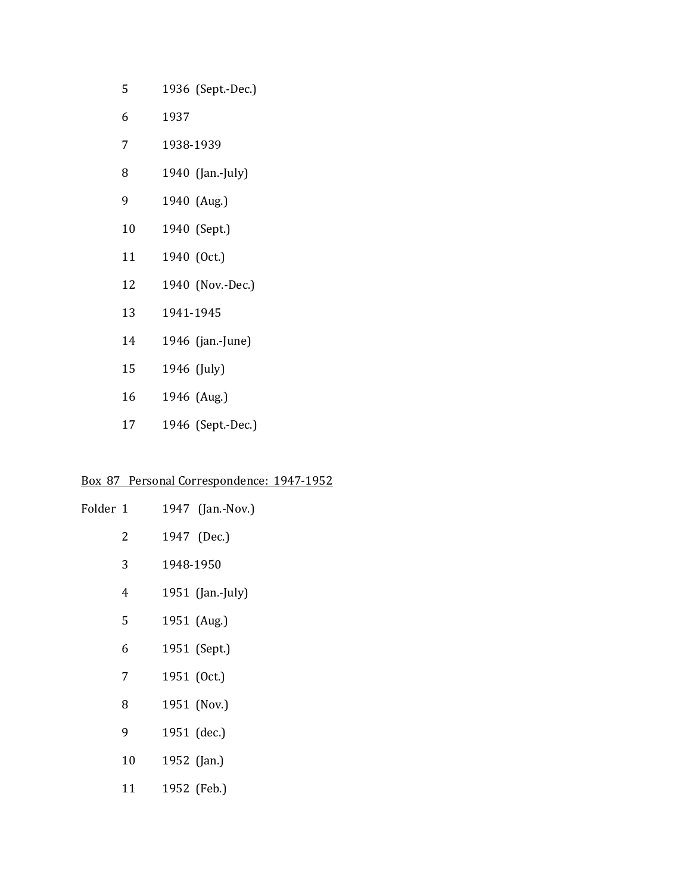| 5  | 1936 (Sept.-Dec.) |  |
|----|-------------------|--|
| 6  | 1937              |  |
| 7  | 1938-1939         |  |
| 8  | 1940 (Jan.-July)  |  |
| 9  | 1940 (Aug.)       |  |
| 10 | 1940 (Sept.)      |  |
| 11 | 1940 (Oct.)       |  |
| 12 | 1940 (Nov.-Dec.)  |  |
| 13 | 1941-1945         |  |
| 14 | 1946 (jan.-June)  |  |
| 15 | 1946 (July)       |  |
| 16 | 1946 (Aug.)       |  |
| 17 | 1946 (Sept.-Dec.) |  |

# Box 87 Personal Correspondence: 1947-1952

| Folder 1 |    | 1947 (Jan.-Nov.) |
|----------|----|------------------|
|          | 2  | 1947 (Dec.)      |
|          | 3  | 1948-1950        |
|          | 4  | 1951 (Jan.-July) |
|          | 5  | 1951 (Aug.)      |
|          | 6  | 1951 (Sept.)     |
|          | 7  | 1951 (Oct.)      |
|          | 8  | 1951 (Nov.)      |
|          | 9  | 1951 (dec.)      |
|          | 10 | 1952 (Jan.)      |
|          | 11 | 1952 (Feb.)      |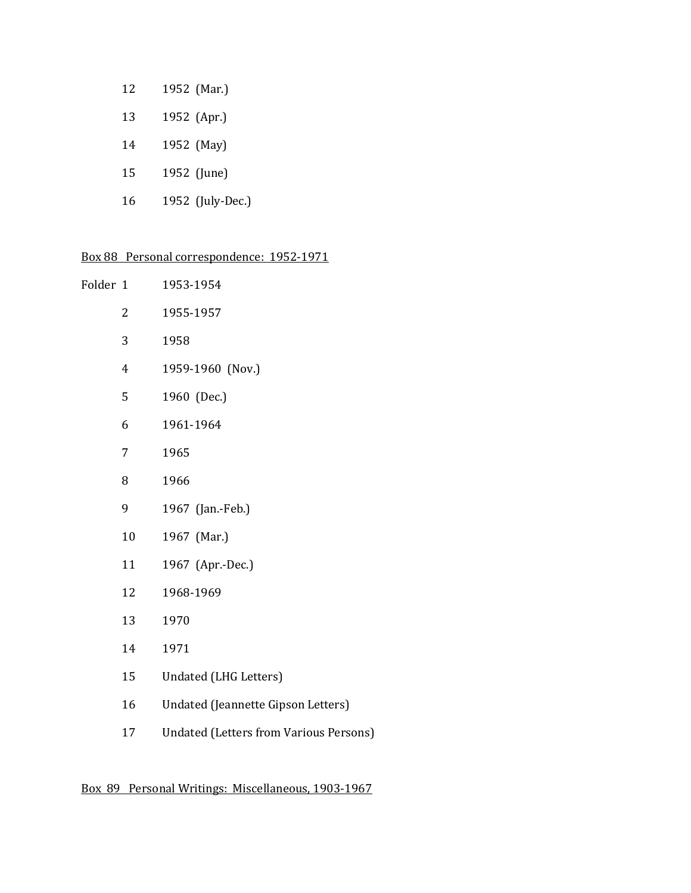| 12 | 1952 (Mar.)      |
|----|------------------|
| 13 | 1952 (Apr.)      |
| 14 | 1952 (May)       |
| 15 | 1952 (June)      |
| 16 | 1952 (July-Dec.) |

# Box 88 Personal correspondence: 1952-1971

| Folder 1 |    | 1953-1954                                     |
|----------|----|-----------------------------------------------|
|          | 2  | 1955-1957                                     |
|          | 3  | 1958                                          |
|          | 4  | 1959-1960 (Nov.)                              |
|          | 5  | 1960 (Dec.)                                   |
|          | 6  | 1961-1964                                     |
|          | 7  | 1965                                          |
|          | 8  | 1966                                          |
|          | 9  | 1967 (Jan.-Feb.)                              |
|          | 10 | 1967 (Mar.)                                   |
|          | 11 | 1967 (Apr.-Dec.)                              |
|          | 12 | 1968-1969                                     |
|          | 13 | 1970                                          |
|          | 14 | 1971                                          |
|          | 15 | <b>Undated (LHG Letters)</b>                  |
|          | 16 | Undated (Jeannette Gipson Letters)            |
|          | 17 | <b>Undated (Letters from Various Persons)</b> |

# Box 89 Personal Writings: Miscellaneous, 1903-1967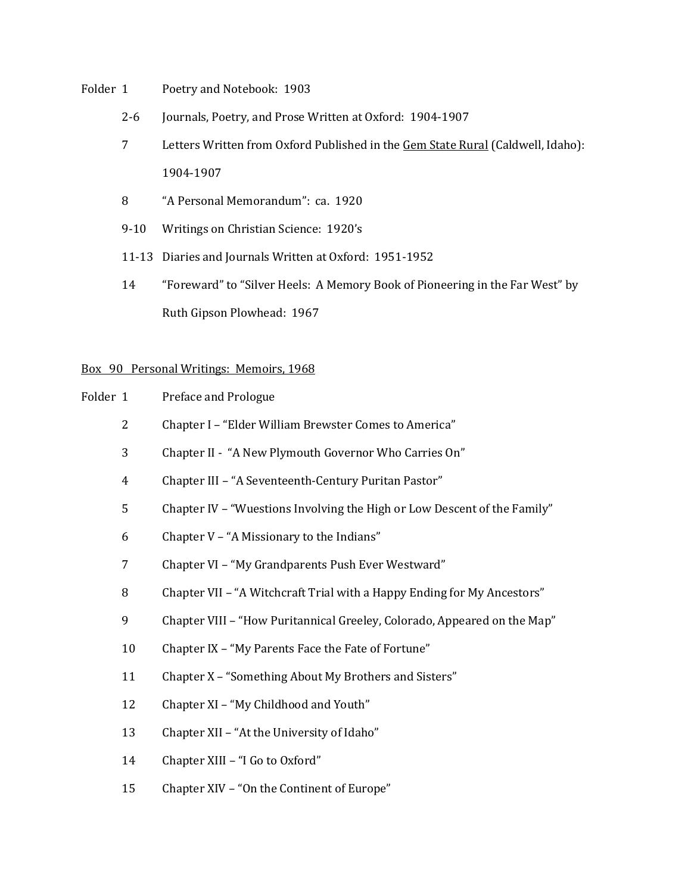- Folder 1 Poetry and Notebook: 1903
	- 2-6 Journals, Poetry, and Prose Written at Oxford: 1904-1907
	- 7 Letters Written from Oxford Published in the Gem State Rural (Caldwell, Idaho): 1904-1907
	- "A Personal Memorandum": ca. 1920
	- 9-10 Writings on Christian Science: 1920's
	- 11-13 Diaries and Journals Written at Oxford: 1951-1952
	- "Foreward" to "Silver Heels: A Memory Book of Pioneering in the Far West" by Ruth Gipson Plowhead: 1967

## Box 90 Personal Writings: Memoirs, 1968

| Folder 1 |    | Preface and Prologue                                                     |
|----------|----|--------------------------------------------------------------------------|
|          | 2  | Chapter I - "Elder William Brewster Comes to America"                    |
|          | 3  | Chapter II - "A New Plymouth Governor Who Carries On"                    |
|          | 4  | Chapter III - "A Seventeenth-Century Puritan Pastor"                     |
|          | 5  | Chapter IV – "Wuestions Involving the High or Low Descent of the Family" |
|          | 6  | Chapter V - "A Missionary to the Indians"                                |
|          | 7  | Chapter VI - "My Grandparents Push Ever Westward"                        |
|          | 8  | Chapter VII – "A Witchcraft Trial with a Happy Ending for My Ancestors"  |
|          | 9  | Chapter VIII - "How Puritannical Greeley, Colorado, Appeared on the Map" |
|          | 10 | Chapter IX – "My Parents Face the Fate of Fortune"                       |
|          | 11 | Chapter X – "Something About My Brothers and Sisters"                    |
|          |    |                                                                          |

- Chapter XI "My Childhood and Youth"
- Chapter XII "At the University of Idaho"
- Chapter XIII "I Go to Oxford"
- Chapter XIV "On the Continent of Europe"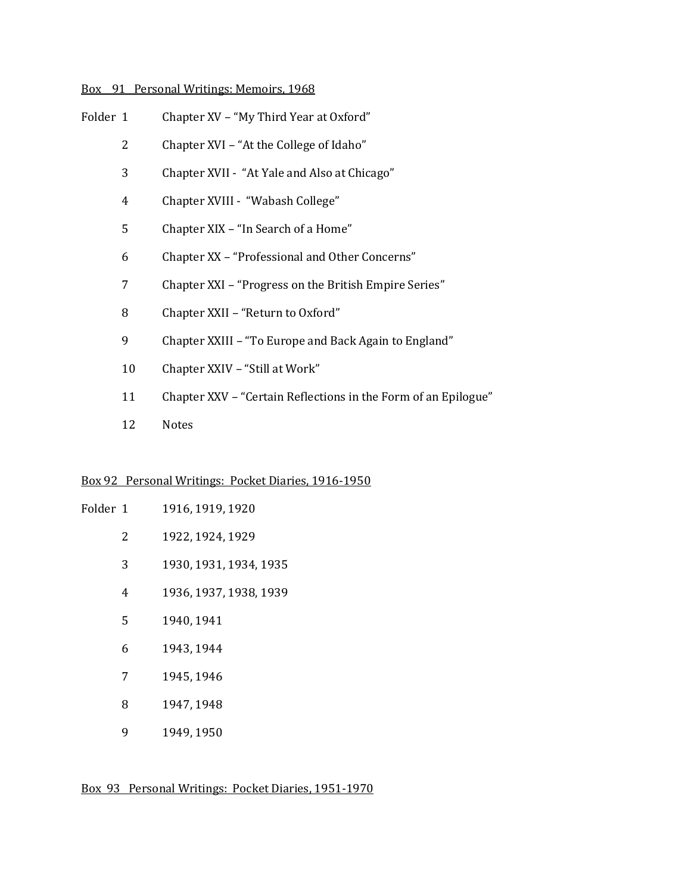# Box 91 Personal Writings: Memoirs, 1968

- Chapter XVI "At the College of Idaho"
- Chapter XVII "At Yale and Also at Chicago"
- Chapter XVIII "Wabash College"
- Chapter XIX "In Search of a Home"
- Chapter XX "Professional and Other Concerns"
- Chapter XXI "Progress on the British Empire Series"
- Chapter XXII "Return to Oxford"
- Chapter XXIII "To Europe and Back Again to England"
- Chapter XXIV "Still at Work"
- Chapter XXV "Certain Reflections in the Form of an Epilogue"
- Notes

# Box 92 Personal Writings: Pocket Diaries, 1916-1950

| Folder 1 |   | 1916, 1919, 1920       |
|----------|---|------------------------|
|          | 2 | 1922, 1924, 1929       |
|          | 3 | 1930, 1931, 1934, 1935 |
|          | 4 | 1936, 1937, 1938, 1939 |
|          | 5 | 1940, 1941             |
|          | 6 | 1943, 1944             |
|          | 7 | 1945, 1946             |
|          | 8 | 1947, 1948             |
|          | 9 | 1949, 1950             |

Box 93 Personal Writings: Pocket Diaries, 1951-1970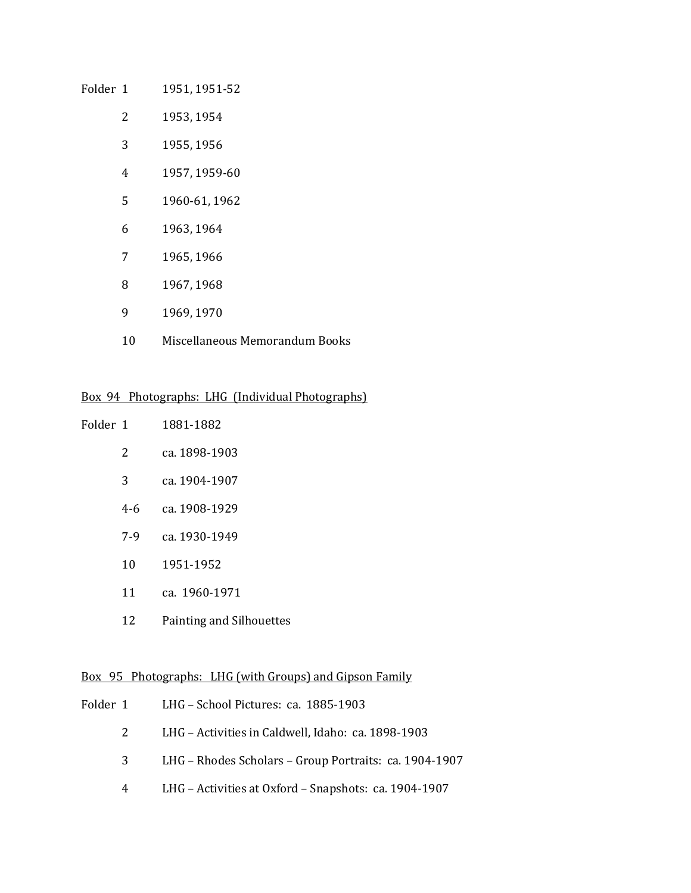# Folder 1 1951, 1951-52

- 1953, 1954
- 1955, 1956
- 1957, 1959-60
- 1960-61, 1962
- 1963, 1964
- 1965, 1966
- 1967, 1968
- 1969, 1970
- Miscellaneous Memorandum Books

# Box 94 Photographs: LHG (Individual Photographs)

| Folder 1 |       | 1881-1882                       |
|----------|-------|---------------------------------|
|          | 2     | ca. 1898-1903                   |
|          | 3     | ca. 1904-1907                   |
|          | $4-6$ | ca. 1908-1929                   |
|          | 7-9   | ca. 1930-1949                   |
|          | 10    | 1951-1952                       |
|          | 11    | ca. 1960-1971                   |
|          | 12    | <b>Painting and Silhouettes</b> |

# Box 95 Photographs: LHG (with Groups) and Gipson Family

|    | Folder 1 LHG – School Pictures: ca. 1885-1903          |
|----|--------------------------------------------------------|
| 2  | LHG - Activities in Caldwell, Idaho: ca. 1898-1903     |
| 3. | LHG - Rhodes Scholars - Group Portraits: ca. 1904-1907 |
| 4  | LHG – Activities at Oxford – Snapshots: ca. 1904-1907  |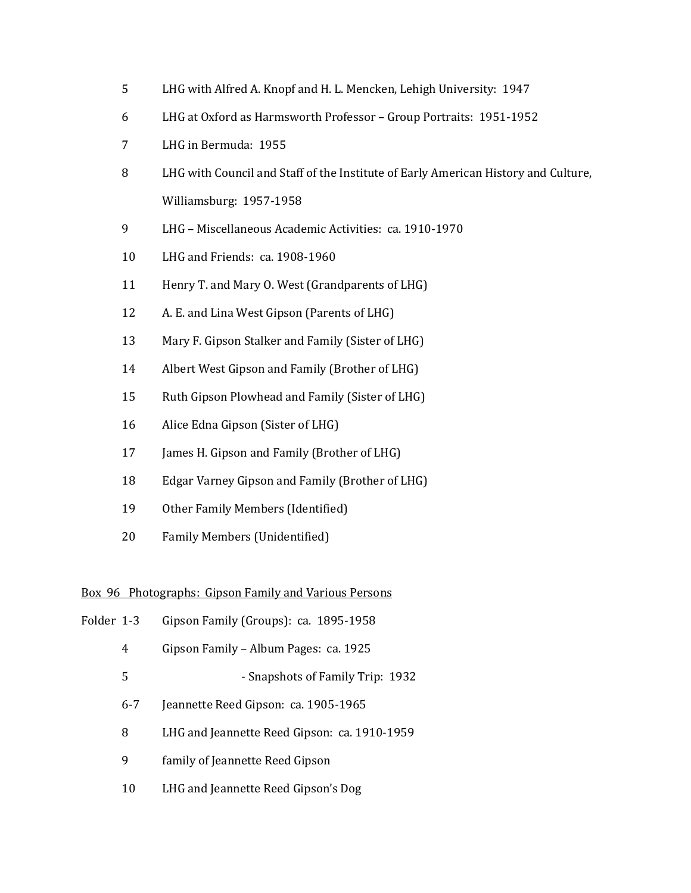- LHG with Alfred A. Knopf and H. L. Mencken, Lehigh University: 1947
- LHG at Oxford as Harmsworth Professor Group Portraits: 1951-1952
- LHG in Bermuda: 1955
- LHG with Council and Staff of the Institute of Early American History and Culture, Williamsburg: 1957-1958
- LHG Miscellaneous Academic Activities: ca. 1910-1970
- LHG and Friends: ca. 1908-1960
- Henry T. and Mary O. West (Grandparents of LHG)
- A. E. and Lina West Gipson (Parents of LHG)
- Mary F. Gipson Stalker and Family (Sister of LHG)
- Albert West Gipson and Family (Brother of LHG)
- Ruth Gipson Plowhead and Family (Sister of LHG)
- Alice Edna Gipson (Sister of LHG)
- 17 James H. Gipson and Family (Brother of LHG)
- Edgar Varney Gipson and Family (Brother of LHG)
- Other Family Members (Identified)
- Family Members (Unidentified)

#### Box 96 Photographs: Gipson Family and Various Persons

- Folder 1-3 Gipson Family (Groups): ca. 1895-1958
	- Gipson Family Album Pages: ca. 1925
	- 5 Snapshots of Family Trip: 1932
	- 6-7 Jeannette Reed Gipson: ca. 1905-1965
	- LHG and Jeannette Reed Gipson: ca. 1910-1959
	- family of Jeannette Reed Gipson
	- LHG and Jeannette Reed Gipson's Dog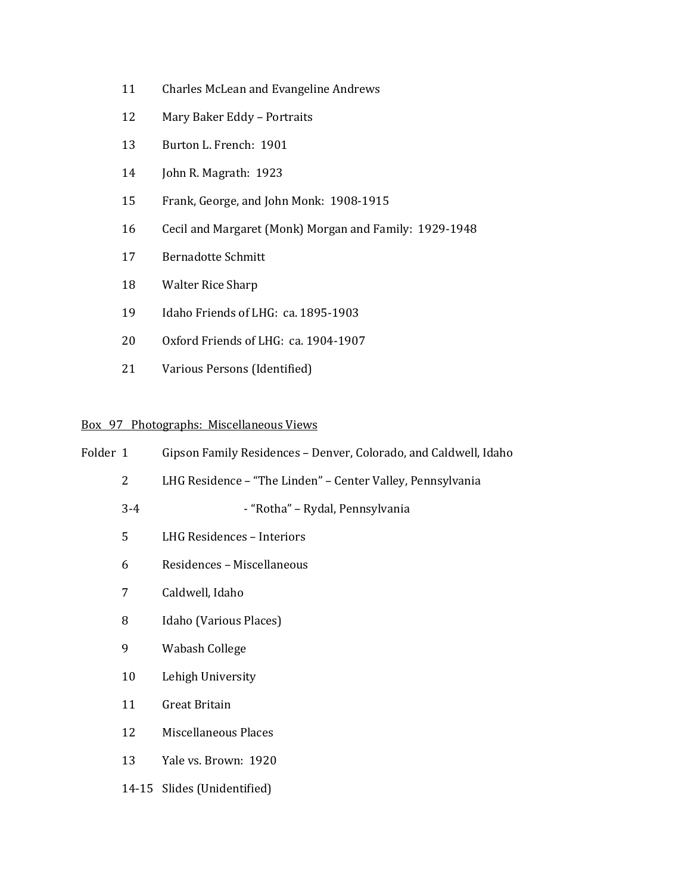- Charles McLean and Evangeline Andrews
- Mary Baker Eddy Portraits
- Burton L. French: 1901
- John R. Magrath: 1923
- Frank, George, and John Monk: 1908-1915
- Cecil and Margaret (Monk) Morgan and Family: 1929-1948
- Bernadotte Schmitt
- Walter Rice Sharp
- Idaho Friends of LHG: ca. 1895-1903
- Oxford Friends of LHG: ca. 1904-1907
- Various Persons (Identified)

# Box 97 Photographs: Miscellaneous Views

| Folder 1 |                | Gipson Family Residences - Denver, Colorado, and Caldwell, Idaho |
|----------|----------------|------------------------------------------------------------------|
|          | $\overline{2}$ | LHG Residence - "The Linden" - Center Valley, Pennsylvania       |
|          | $3 - 4$        | - "Rotha" - Rydal, Pennsylvania                                  |
|          | 5              | LHG Residences - Interiors                                       |
|          | 6              | Residences - Miscellaneous                                       |
|          | 7              | Caldwell, Idaho                                                  |
|          | 8              | Idaho (Various Places)                                           |
|          | 9              | Wabash College                                                   |
|          | 10             | Lehigh University                                                |
|          | 11             | Great Britain                                                    |
|          | 12             | <b>Miscellaneous Places</b>                                      |
|          | 13             | Yale vs. Brown: 1920                                             |
|          |                | 14-15 Slides (Unidentified)                                      |
|          |                |                                                                  |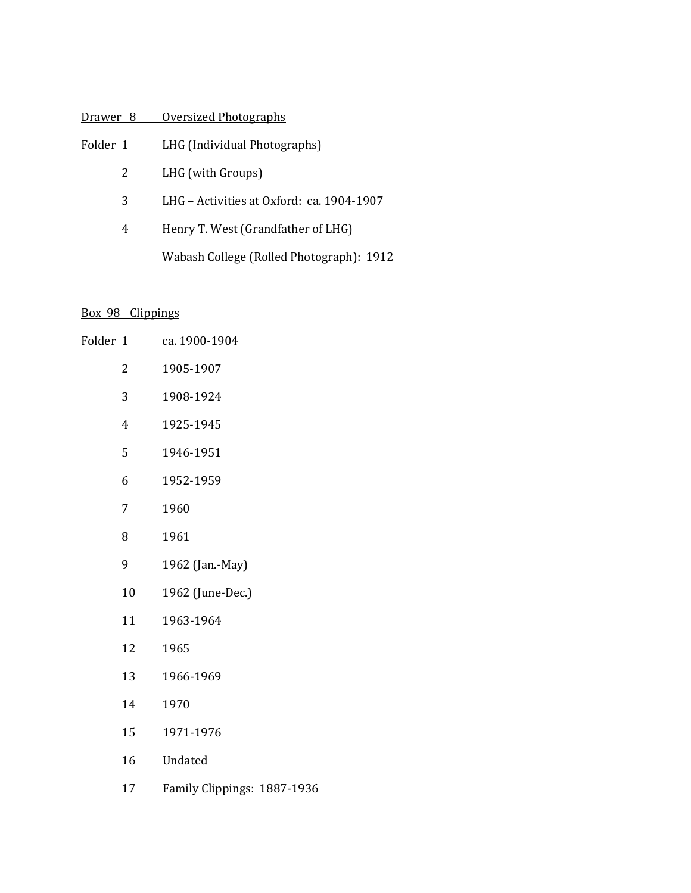# Drawer 8 Oversized Photographs

- Folder 1 LHG (Individual Photographs)
	- LHG (with Groups)
	- LHG Activities at Oxford: ca. 1904-1907
	- Henry T. West (Grandfather of LHG) Wabash College (Rolled Photograph): 1912

# Box 98 Clippings

| Folder 1 |                | ca. 1900-1904               |
|----------|----------------|-----------------------------|
|          | 2              | 1905-1907                   |
|          | 3              | 1908-1924                   |
|          | $\overline{4}$ | 1925-1945                   |
|          | 5              | 1946-1951                   |
|          | 6              | 1952-1959                   |
|          | 7              | 1960                        |
|          | 8              | 1961                        |
|          | 9              | 1962 (Jan.-May)             |
|          | 10             | 1962 (June-Dec.)            |
|          | 11             | 1963-1964                   |
|          | 12             | 1965                        |
|          | 13             | 1966-1969                   |
|          | 14             | 1970                        |
|          | 15             | 1971-1976                   |
|          | 16             | Undated                     |
|          | 17             | Family Clippings: 1887-1936 |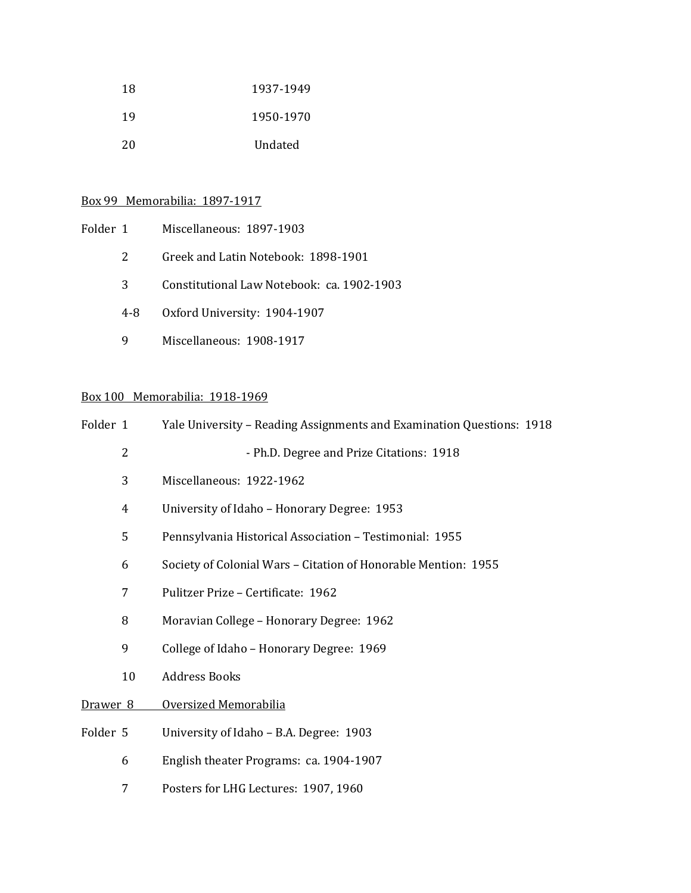| 18 | 1937-1949 |
|----|-----------|
| 19 | 1950-1970 |
| 20 | Undated   |

# Box 99 Memorabilia: 1897-1917

| Folder 1 |     | Miscellaneous: 1897-1903                   |
|----------|-----|--------------------------------------------|
|          | 2   | Greek and Latin Notebook: 1898-1901        |
|          | 3   | Constitutional Law Notebook: ca. 1902-1903 |
|          | 4-8 | Oxford University: 1904-1907               |
|          |     | Miscellaneous: 1908-1917                   |

# Box 100 Memorabilia: 1918-1969

| Folder 1            |                | Yale University - Reading Assignments and Examination Questions: 1918 |
|---------------------|----------------|-----------------------------------------------------------------------|
|                     | $\overline{2}$ | - Ph.D. Degree and Prize Citations: 1918                              |
|                     | 3              | Miscellaneous: 1922-1962                                              |
|                     | 4              | University of Idaho - Honorary Degree: 1953                           |
|                     | 5              | Pennsylvania Historical Association - Testimonial: 1955               |
|                     | 6              | Society of Colonial Wars - Citation of Honorable Mention: 1955        |
|                     | 7              | Pulitzer Prize - Certificate: 1962                                    |
|                     | 8              | Moravian College - Honorary Degree: 1962                              |
|                     | 9              | College of Idaho - Honorary Degree: 1969                              |
|                     | 10             | <b>Address Books</b>                                                  |
| Drawer <sub>8</sub> |                | Oversized Memorabilia                                                 |
| Folder 5            |                | University of Idaho - B.A. Degree: 1903                               |
|                     | 6              | English theater Programs: ca. 1904-1907                               |
|                     | 7              | Posters for LHG Lectures: 1907, 1960                                  |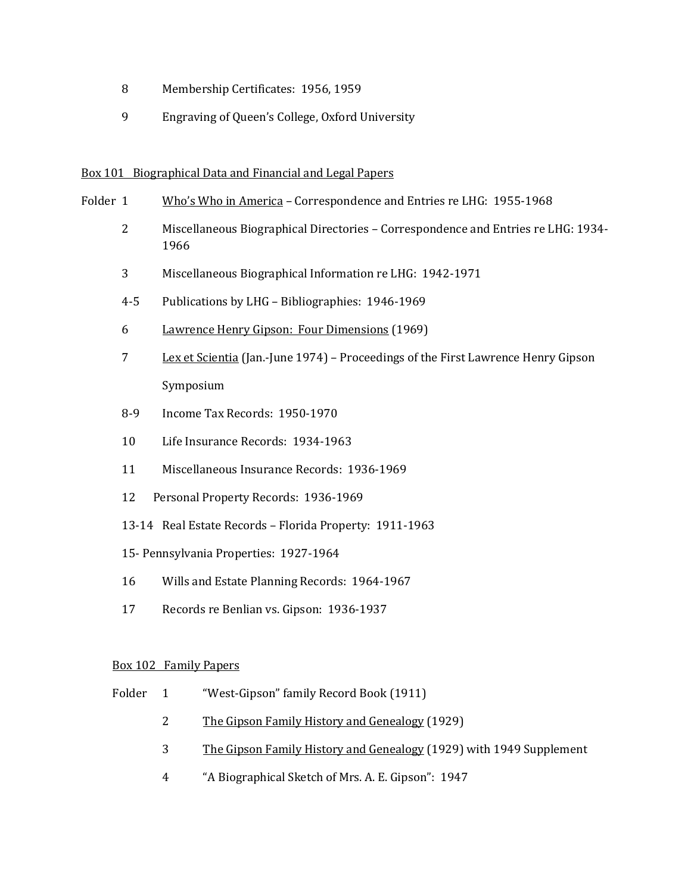- 8 Membership Certificates: 1956, 1959
- 9 Engraving of Queen's College, Oxford University

## Box 101 Biographical Data and Financial and Legal Papers

- Folder 1 Who's Who in America Correspondence and Entries re LHG: 1955-1968
	- 2 Miscellaneous Biographical Directories Correspondence and Entries re LHG: 1934- 1966
	- 3 Miscellaneous Biographical Information re LHG: 1942-1971
	- 4-5 Publications by LHG Bibliographies: 1946-1969
	- 6 Lawrence Henry Gipson: Four Dimensions (1969)
	- 7 Lex et Scientia (Jan.-June 1974) Proceedings of the First Lawrence Henry Gipson Symposium
	- 8-9 Income Tax Records: 1950-1970
	- 10 Life Insurance Records: 1934-1963
	- 11 Miscellaneous Insurance Records: 1936-1969
	- 12 Personal Property Records: 1936-1969
	- 13-14 Real Estate Records Florida Property: 1911-1963
	- 15- Pennsylvania Properties: 1927-1964
	- 16 Wills and Estate Planning Records: 1964-1967
	- 17 Records re Benlian vs. Gipson: 1936-1937

## Box 102 Family Papers

- Folder 1 "West-Gipson" family Record Book (1911)
	- 2 The Gipson Family History and Genealogy (1929)
	- 3 The Gipson Family History and Genealogy (1929) with 1949 Supplement
	- 4 "A Biographical Sketch of Mrs. A. E. Gipson": 1947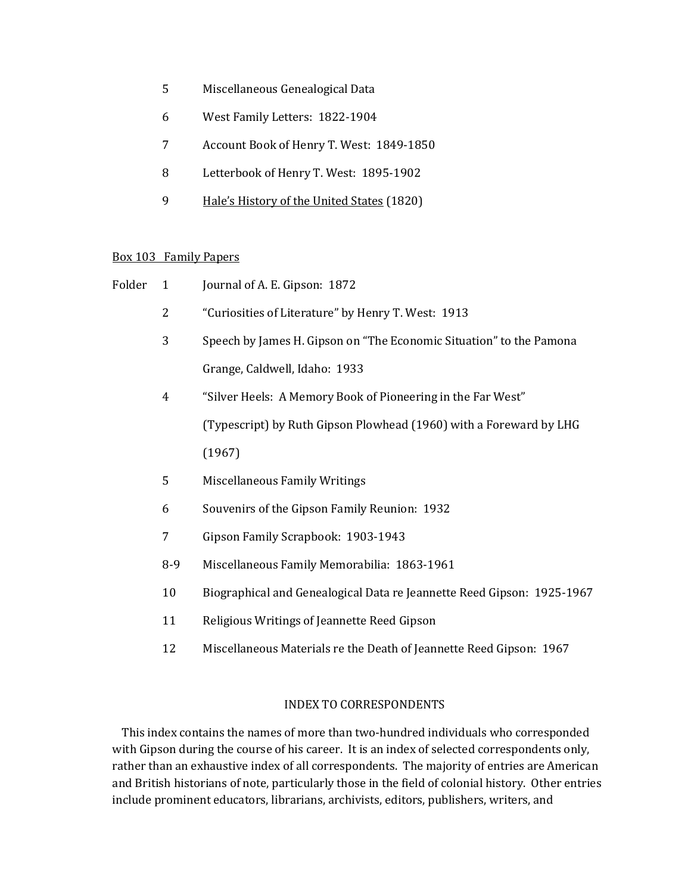- 5 Miscellaneous Genealogical Data
- 6 West Family Letters: 1822-1904
- 7 Account Book of Henry T. West: 1849-1850
- 8 Letterbook of Henry T. West: 1895-1902
- 9 Hale's History of the United States (1820)

## Box 103 Family Papers

| Folder | $\mathbf{1}$   | Journal of A. E. Gipson: 1872                                          |
|--------|----------------|------------------------------------------------------------------------|
|        | $\overline{2}$ | "Curiosities of Literature" by Henry T. West: 1913                     |
|        | 3              | Speech by James H. Gipson on "The Economic Situation" to the Pamona    |
|        |                | Grange, Caldwell, Idaho: 1933                                          |
|        | 4              | "Silver Heels: A Memory Book of Pioneering in the Far West"            |
|        |                | (Typescript) by Ruth Gipson Plowhead (1960) with a Foreward by LHG     |
|        |                | (1967)                                                                 |
|        | 5              | <b>Miscellaneous Family Writings</b>                                   |
|        | 6              | Souvenirs of the Gipson Family Reunion: 1932                           |
|        | 7              | Gipson Family Scrapbook: 1903-1943                                     |
|        | $8-9$          | Miscellaneous Family Memorabilia: 1863-1961                            |
|        | 10             | Biographical and Genealogical Data re Jeannette Reed Gipson: 1925-1967 |
|        | 11             | Religious Writings of Jeannette Reed Gipson                            |
|        | 12             | Miscellaneous Materials re the Death of Jeannette Reed Gipson: 1967    |
|        |                |                                                                        |

# INDEX TO CORRESPONDENTS

This index contains the names of more than two-hundred individuals who corresponded with Gipson during the course of his career. It is an index of selected correspondents only, rather than an exhaustive index of all correspondents. The majority of entries are American and British historians of note, particularly those in the field of colonial history. Other entries include prominent educators, librarians, archivists, editors, publishers, writers, and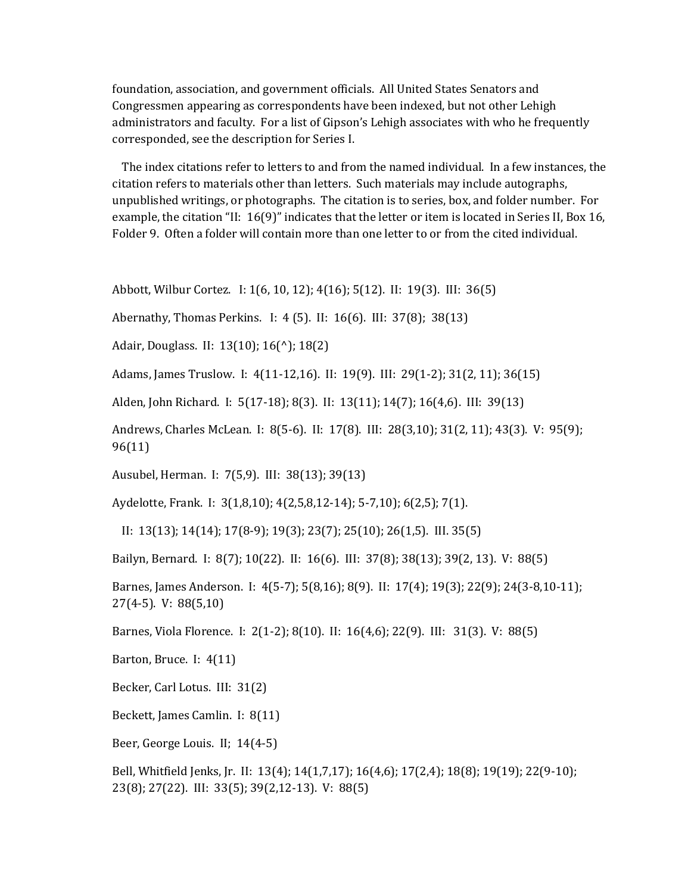foundation, association, and government officials. All United States Senators and Congressmen appearing as correspondents have been indexed, but not other Lehigh administrators and faculty. For a list of Gipson's Lehigh associates with who he frequently corresponded, see the description for Series I.

The index citations refer to letters to and from the named individual. In a few instances, the citation refers to materials other than letters. Such materials may include autographs, unpublished writings, or photographs. The citation is to series, box, and folder number. For example, the citation "II: 16(9)" indicates that the letter or item is located in Series II, Box 16, Folder 9. Often a folder will contain more than one letter to or from the cited individual.

Abbott, Wilbur Cortez. I: 1(6, 10, 12); 4(16); 5(12). II: 19(3). III: 36(5)

Abernathy, Thomas Perkins. I: 4 (5). II: 16(6). III: 37(8); 38(13)

Adair, Douglass. II: 13(10); 16(^); 18(2)

Adams, James Truslow. I: 4(11-12,16). II: 19(9). III: 29(1-2); 31(2, 11); 36(15)

Alden, John Richard. I: 5(17-18); 8(3). II: 13(11); 14(7); 16(4,6). III: 39(13)

Andrews, Charles McLean. I: 8(5-6). II: 17(8). III: 28(3,10); 31(2, 11); 43(3). V: 95(9); 96(11)

Ausubel, Herman. I: 7(5,9). III: 38(13); 39(13)

Aydelotte, Frank. I: 3(1,8,10); 4(2,5,8,12-14); 5-7,10); 6(2,5); 7(1).

II: 13(13); 14(14); 17(8-9); 19(3); 23(7); 25(10); 26(1,5). III. 35(5)

Bailyn, Bernard. I: 8(7); 10(22). II: 16(6). III: 37(8); 38(13); 39(2, 13). V: 88(5)

Barnes, James Anderson. I: 4(5-7); 5(8,16); 8(9). II: 17(4); 19(3); 22(9); 24(3-8,10-11); 27(4-5). V: 88(5,10)

Barnes, Viola Florence. I: 2(1-2); 8(10). II: 16(4,6); 22(9). III: 31(3). V: 88(5)

Barton, Bruce. I: 4(11)

Becker, Carl Lotus. III: 31(2)

Beckett, James Camlin. I: 8(11)

Beer, George Louis. II; 14(4-5)

Bell, Whitfield Jenks, Jr. II: 13(4); 14(1,7,17); 16(4,6); 17(2,4); 18(8); 19(19); 22(9-10); 23(8); 27(22). III: 33(5); 39(2,12-13). V: 88(5)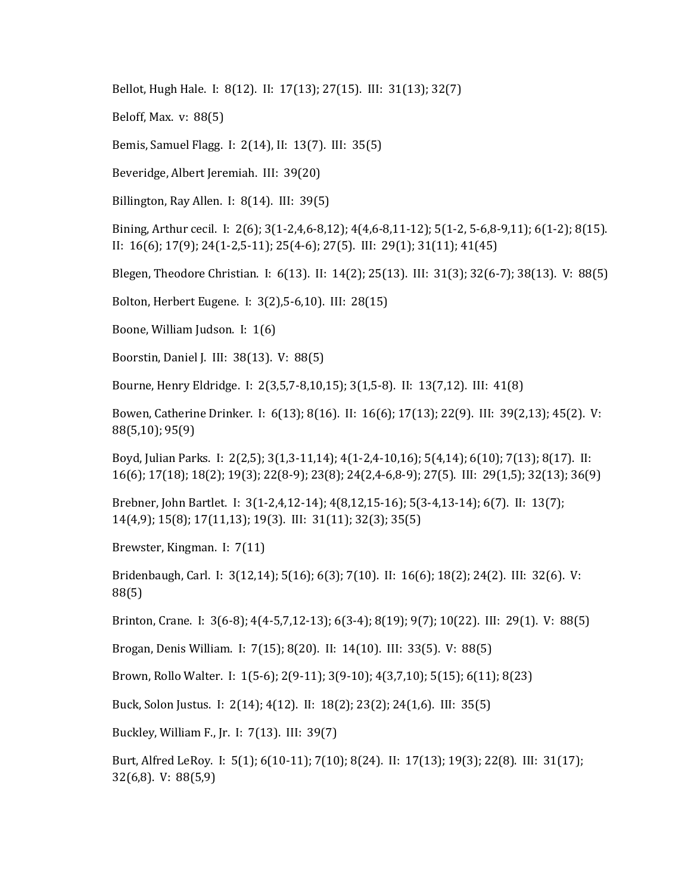Bellot, Hugh Hale. I: 8(12). II: 17(13); 27(15). III: 31(13); 32(7)

Beloff, Max. v: 88(5)

Bemis, Samuel Flagg. I: 2(14), II: 13(7). III: 35(5)

Beveridge, Albert Jeremiah. III: 39(20)

Billington, Ray Allen. I: 8(14). III: 39(5)

Bining, Arthur cecil. I: 2(6); 3(1-2,4,6-8,12); 4(4,6-8,11-12); 5(1-2, 5-6,8-9,11); 6(1-2); 8(15). II: 16(6); 17(9); 24(1-2,5-11); 25(4-6); 27(5). III: 29(1); 31(11); 41(45)

Blegen, Theodore Christian. I: 6(13). II: 14(2); 25(13). III: 31(3); 32(6-7); 38(13). V: 88(5)

Bolton, Herbert Eugene. I: 3(2),5-6,10). III: 28(15)

Boone, William Judson. I: 1(6)

Boorstin, Daniel J. III: 38(13). V: 88(5)

Bourne, Henry Eldridge. I: 2(3,5,7-8,10,15); 3(1,5-8). II: 13(7,12). III: 41(8)

Bowen, Catherine Drinker. I: 6(13); 8(16). II: 16(6); 17(13); 22(9). III: 39(2,13); 45(2). V: 88(5,10); 95(9)

Boyd, Julian Parks. I: 2(2,5); 3(1,3-11,14); 4(1-2,4-10,16); 5(4,14); 6(10); 7(13); 8(17). II: 16(6); 17(18); 18(2); 19(3); 22(8-9); 23(8); 24(2,4-6,8-9); 27(5). III: 29(1,5); 32(13); 36(9)

Brebner, John Bartlet. I: 3(1-2,4,12-14); 4(8,12,15-16); 5(3-4,13-14); 6(7). II: 13(7); 14(4,9); 15(8); 17(11,13); 19(3). III: 31(11); 32(3); 35(5)

Brewster, Kingman. I: 7(11)

Bridenbaugh, Carl. I: 3(12,14); 5(16); 6(3); 7(10). II: 16(6); 18(2); 24(2). III: 32(6). V: 88(5)

Brinton, Crane. I: 3(6-8); 4(4-5,7,12-13); 6(3-4); 8(19); 9(7); 10(22). III: 29(1). V: 88(5)

Brogan, Denis William. I: 7(15); 8(20). II: 14(10). III: 33(5). V: 88(5)

Brown, Rollo Walter. I: 1(5-6); 2(9-11); 3(9-10); 4(3,7,10); 5(15); 6(11); 8(23)

Buck, Solon Justus. I: 2(14); 4(12). II: 18(2); 23(2); 24(1,6). III: 35(5)

Buckley, William F., Jr. I: 7(13). III: 39(7)

Burt, Alfred LeRoy. I: 5(1); 6(10-11); 7(10); 8(24). II: 17(13); 19(3); 22(8). III: 31(17); 32(6,8). V: 88(5,9)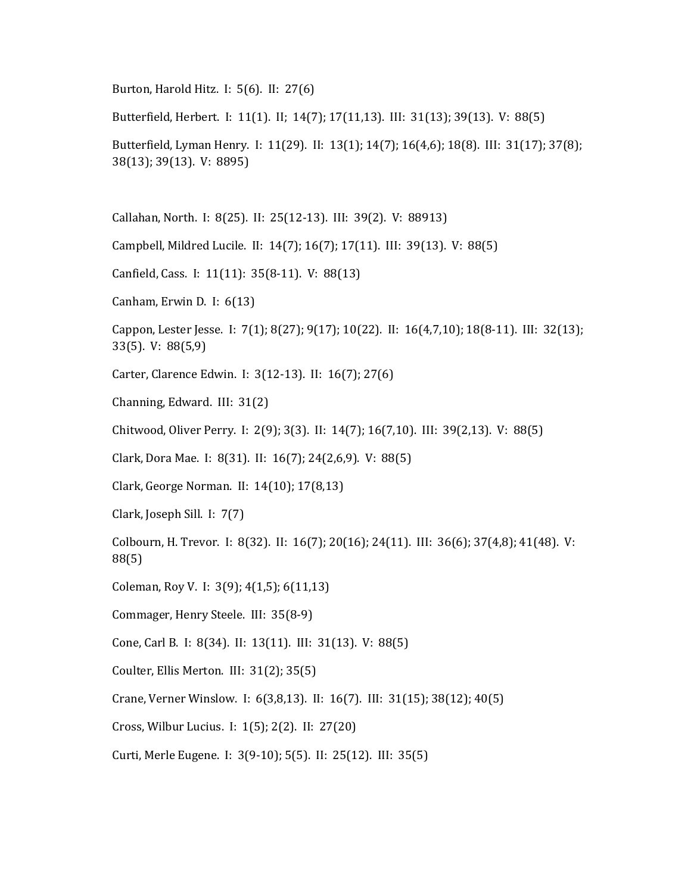Burton, Harold Hitz. I: 5(6). II: 27(6)

Butterfield, Herbert. I: 11(1). II; 14(7); 17(11,13). III: 31(13); 39(13). V: 88(5)

Butterfield, Lyman Henry. I: 11(29). II: 13(1); 14(7); 16(4,6); 18(8). III: 31(17); 37(8); 38(13); 39(13). V: 8895)

Callahan, North. I: 8(25). II: 25(12-13). III: 39(2). V: 88913)

Campbell, Mildred Lucile. II: 14(7); 16(7); 17(11). III: 39(13). V: 88(5)

Canfield, Cass. I: 11(11): 35(8-11). V: 88(13)

Canham, Erwin D. I: 6(13)

Cappon, Lester Jesse. I: 7(1); 8(27); 9(17); 10(22). II: 16(4,7,10); 18(8-11). III: 32(13); 33(5). V: 88(5,9)

Carter, Clarence Edwin. I: 3(12-13). II: 16(7); 27(6)

Channing, Edward. III: 31(2)

Chitwood, Oliver Perry. I: 2(9); 3(3). II: 14(7); 16(7,10). III: 39(2,13). V: 88(5)

Clark, Dora Mae. I: 8(31). II: 16(7); 24(2,6,9). V: 88(5)

Clark, George Norman. II: 14(10); 17(8,13)

Clark, Joseph Sill. I: 7(7)

Colbourn, H. Trevor. I: 8(32). II: 16(7); 20(16); 24(11). III: 36(6); 37(4,8); 41(48). V: 88(5)

Coleman, Roy V. I: 3(9); 4(1,5); 6(11,13)

Commager, Henry Steele. III: 35(8-9)

Cone, Carl B. I: 8(34). II: 13(11). III: 31(13). V: 88(5)

Coulter, Ellis Merton. III: 31(2); 35(5)

Crane, Verner Winslow. I: 6(3,8,13). II: 16(7). III: 31(15); 38(12); 40(5)

Cross, Wilbur Lucius. I: 1(5); 2(2). II: 27(20)

Curti, Merle Eugene. I: 3(9-10); 5(5). II: 25(12). III: 35(5)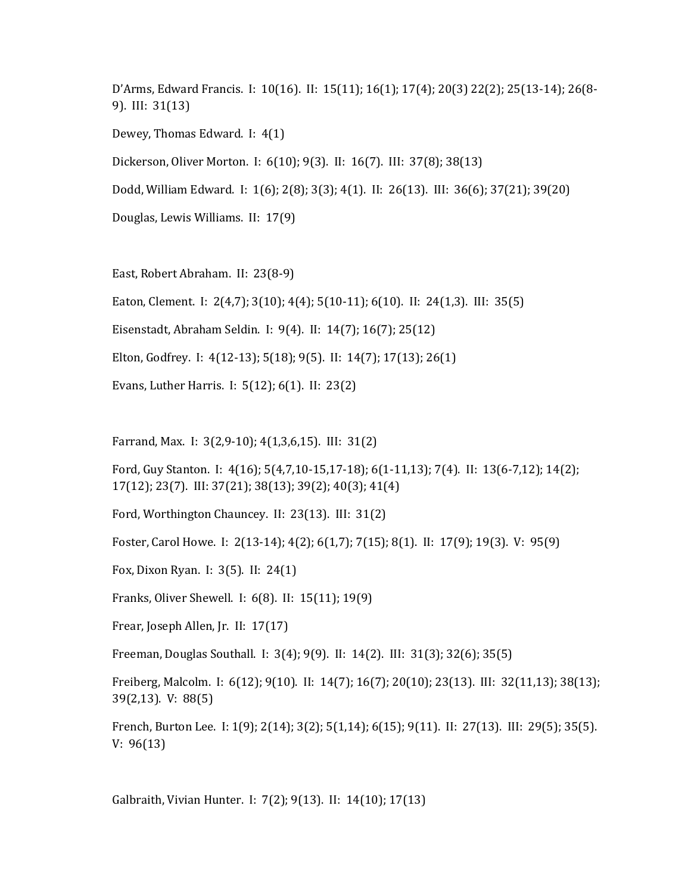D'Arms, Edward Francis. I: 10(16). II: 15(11); 16(1); 17(4); 20(3) 22(2); 25(13-14); 26(8- 9). III: 31(13) Dewey, Thomas Edward. I: 4(1) Dickerson, Oliver Morton. I: 6(10); 9(3). II: 16(7). III: 37(8); 38(13) Dodd, William Edward. I: 1(6); 2(8); 3(3); 4(1). II: 26(13). III: 36(6); 37(21); 39(20) Douglas, Lewis Williams. II: 17(9)

East, Robert Abraham. II: 23(8-9)

Eaton, Clement. I: 2(4,7); 3(10); 4(4); 5(10-11); 6(10). II: 24(1,3). III: 35(5)

Eisenstadt, Abraham Seldin. I: 9(4). II: 14(7); 16(7); 25(12)

Elton, Godfrey. I: 4(12-13); 5(18); 9(5). II: 14(7); 17(13); 26(1)

Evans, Luther Harris. I: 5(12); 6(1). II: 23(2)

Farrand, Max. I: 3(2,9-10); 4(1,3,6,15). III: 31(2)

Ford, Guy Stanton. I: 4(16); 5(4,7,10-15,17-18); 6(1-11,13); 7(4). II: 13(6-7,12); 14(2); 17(12); 23(7). III: 37(21); 38(13); 39(2); 40(3); 41(4)

Ford, Worthington Chauncey. II: 23(13). III: 31(2)

Foster, Carol Howe. I: 2(13-14); 4(2); 6(1,7); 7(15); 8(1). II: 17(9); 19(3). V: 95(9)

Fox, Dixon Ryan. I: 3(5). II: 24(1)

Franks, Oliver Shewell. I: 6(8). II: 15(11); 19(9)

Frear, Joseph Allen, Jr. II: 17(17)

Freeman, Douglas Southall. I: 3(4); 9(9). II: 14(2). III: 31(3); 32(6); 35(5)

Freiberg, Malcolm. I: 6(12); 9(10). II: 14(7); 16(7); 20(10); 23(13). III: 32(11,13); 38(13); 39(2,13). V: 88(5)

French, Burton Lee. I: 1(9); 2(14); 3(2); 5(1,14); 6(15); 9(11). II: 27(13). III: 29(5); 35(5). V: 96(13)

Galbraith, Vivian Hunter. I: 7(2); 9(13). II: 14(10); 17(13)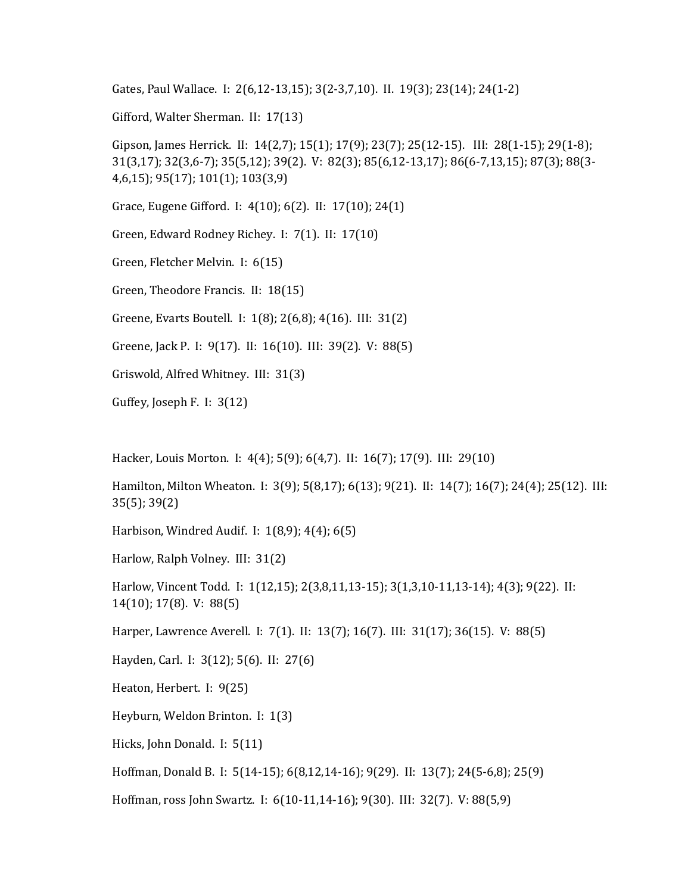Gates, Paul Wallace. I: 2(6,12-13,15); 3(2-3,7,10). II. 19(3); 23(14); 24(1-2)

Gifford, Walter Sherman. II: 17(13)

Gipson, James Herrick. II: 14(2,7); 15(1); 17(9); 23(7); 25(12-15). III: 28(1-15); 29(1-8); 31(3,17); 32(3,6-7); 35(5,12); 39(2). V: 82(3); 85(6,12-13,17); 86(6-7,13,15); 87(3); 88(3- 4,6,15); 95(17); 101(1); 103(3,9)

Grace, Eugene Gifford. I: 4(10); 6(2). II: 17(10); 24(1)

Green, Edward Rodney Richey. I: 7(1). II: 17(10)

Green, Fletcher Melvin. I: 6(15)

Green, Theodore Francis. II: 18(15)

Greene, Evarts Boutell. I: 1(8); 2(6,8); 4(16). III: 31(2)

Greene, Jack P. I: 9(17). II: 16(10). III: 39(2). V: 88(5)

Griswold, Alfred Whitney. III: 31(3)

Guffey, Joseph F. I: 3(12)

Hacker, Louis Morton. I: 4(4); 5(9); 6(4,7). II: 16(7); 17(9). III: 29(10)

Hamilton, Milton Wheaton. I: 3(9); 5(8,17); 6(13); 9(21). II: 14(7); 16(7); 24(4); 25(12). III: 35(5); 39(2)

Harbison, Windred Audif. I: 1(8,9); 4(4); 6(5)

Harlow, Ralph Volney. III: 31(2)

Harlow, Vincent Todd. I: 1(12,15); 2(3,8,11,13-15); 3(1,3,10-11,13-14); 4(3); 9(22). II: 14(10); 17(8). V: 88(5)

Harper, Lawrence Averell. I: 7(1). II: 13(7); 16(7). III: 31(17); 36(15). V: 88(5)

Hayden, Carl. I: 3(12); 5(6). II: 27(6)

Heaton, Herbert. I: 9(25)

Heyburn, Weldon Brinton. I: 1(3)

Hicks, John Donald. I: 5(11)

Hoffman, Donald B. I: 5(14-15); 6(8,12,14-16); 9(29). II: 13(7); 24(5-6,8); 25(9)

Hoffman, ross John Swartz. I: 6(10-11,14-16); 9(30). III: 32(7). V: 88(5,9)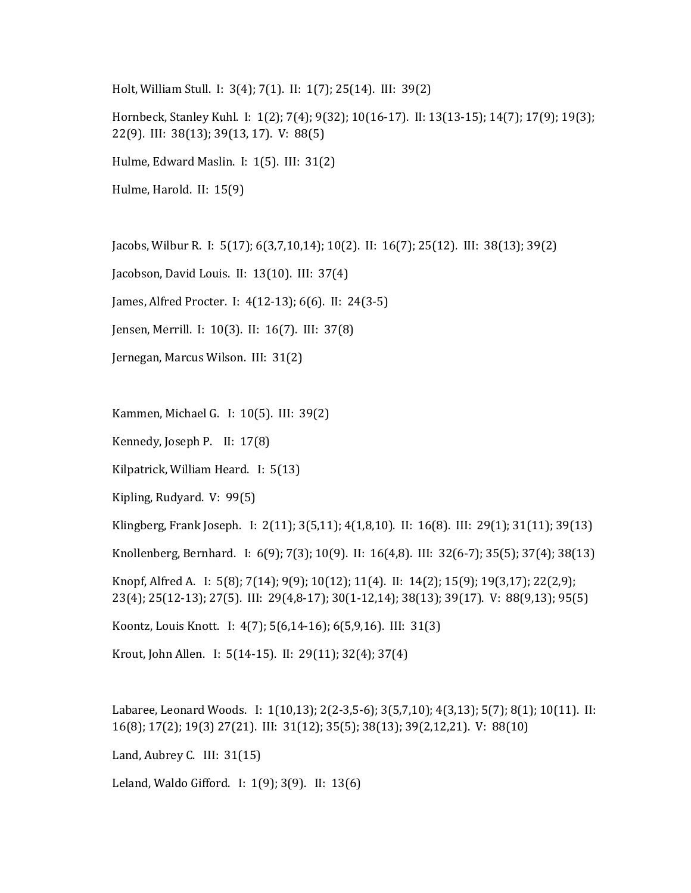Holt, William Stull. I: 3(4); 7(1). II: 1(7); 25(14). III: 39(2)

Hornbeck, Stanley Kuhl. I: 1(2); 7(4); 9(32); 10(16-17). II: 13(13-15); 14(7); 17(9); 19(3); 22(9). III: 38(13); 39(13, 17). V: 88(5)

Hulme, Edward Maslin. I: 1(5). III: 31(2)

Hulme, Harold. II: 15(9)

Jacobs, Wilbur R. I: 5(17); 6(3,7,10,14); 10(2). II: 16(7); 25(12). III: 38(13); 39(2)

Jacobson, David Louis. II: 13(10). III: 37(4)

James, Alfred Procter. I: 4(12-13); 6(6). II: 24(3-5)

Jensen, Merrill. I: 10(3). II: 16(7). III: 37(8)

Jernegan, Marcus Wilson. III: 31(2)

Kammen, Michael G. I: 10(5). III: 39(2)

Kennedy, Joseph P. II: 17(8)

Kilpatrick, William Heard. I: 5(13)

Kipling, Rudyard. V: 99(5)

Klingberg, Frank Joseph. I: 2(11); 3(5,11); 4(1,8,10). II: 16(8). III: 29(1); 31(11); 39(13)

Knollenberg, Bernhard. I: 6(9); 7(3); 10(9). II: 16(4,8). III: 32(6-7); 35(5); 37(4); 38(13)

Knopf, Alfred A. I: 5(8); 7(14); 9(9); 10(12); 11(4). II: 14(2); 15(9); 19(3,17); 22(2,9); 23(4); 25(12-13); 27(5). III: 29(4,8-17); 30(1-12,14); 38(13); 39(17). V: 88(9,13); 95(5)

Koontz, Louis Knott. I: 4(7); 5(6,14-16); 6(5,9,16). III: 31(3)

Krout, John Allen. I: 5(14-15). II: 29(11); 32(4); 37(4)

Labaree, Leonard Woods. I: 1(10,13); 2(2-3,5-6); 3(5,7,10); 4(3,13); 5(7); 8(1); 10(11). II: 16(8); 17(2); 19(3) 27(21). III: 31(12); 35(5); 38(13); 39(2,12,21). V: 88(10)

Land, Aubrey C. III: 31(15)

Leland, Waldo Gifford. I: 1(9); 3(9). II: 13(6)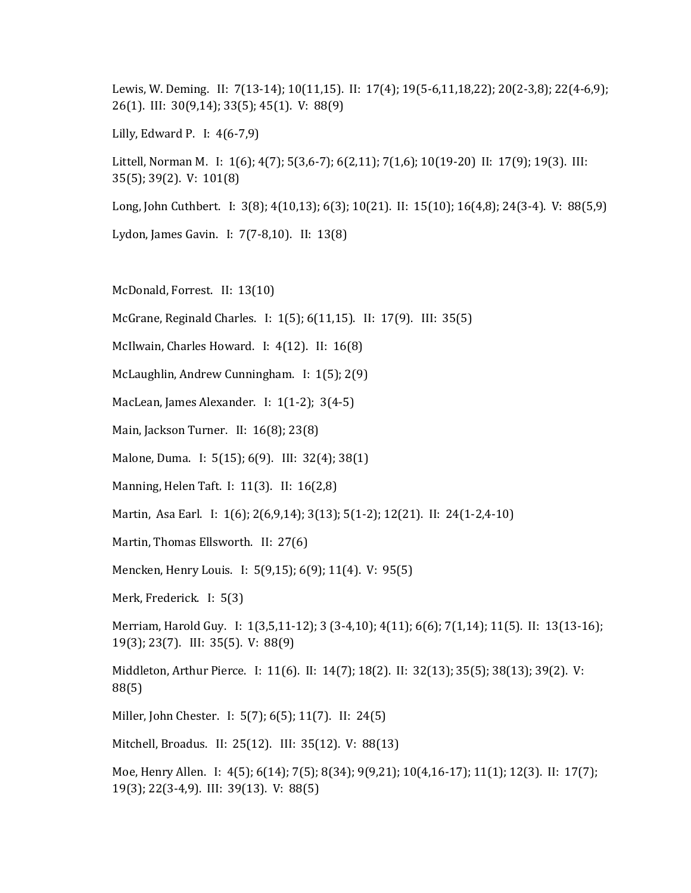Lewis, W. Deming. II: 7(13-14); 10(11,15). II: 17(4); 19(5-6,11,18,22); 20(2-3,8); 22(4-6,9); 26(1). III: 30(9,14); 33(5); 45(1). V: 88(9)

Lilly, Edward P. I: 4(6-7,9)

Littell, Norman M. I: 1(6); 4(7); 5(3,6-7); 6(2,11); 7(1,6); 10(19-20) II: 17(9); 19(3). III: 35(5); 39(2). V: 101(8)

Long, John Cuthbert. I: 3(8); 4(10,13); 6(3); 10(21). II: 15(10); 16(4,8); 24(3-4). V: 88(5,9)

Lydon, James Gavin. I: 7(7-8,10). II: 13(8)

McDonald, Forrest. II: 13(10)

McGrane, Reginald Charles. I: 1(5); 6(11,15). II: 17(9). III: 35(5)

McIlwain, Charles Howard. I: 4(12). II: 16(8)

McLaughlin, Andrew Cunningham. I: 1(5); 2(9)

MacLean, James Alexander. I: 1(1-2); 3(4-5)

Main, Jackson Turner. II: 16(8); 23(8)

Malone, Duma. I: 5(15); 6(9). III: 32(4); 38(1)

Manning, Helen Taft. I: 11(3). II: 16(2,8)

Martin, Asa Earl. I: 1(6); 2(6,9,14); 3(13); 5(1-2); 12(21). II: 24(1-2,4-10)

Martin, Thomas Ellsworth. II: 27(6)

Mencken, Henry Louis. I: 5(9,15); 6(9); 11(4). V: 95(5)

Merk, Frederick. I: 5(3)

Merriam, Harold Guy. I: 1(3,5,11-12); 3 (3-4,10); 4(11); 6(6); 7(1,14); 11(5). II: 13(13-16); 19(3); 23(7). III: 35(5). V: 88(9)

Middleton, Arthur Pierce. I: 11(6). II: 14(7); 18(2). II: 32(13); 35(5); 38(13); 39(2). V: 88(5)

Miller, John Chester. I: 5(7); 6(5); 11(7). II: 24(5)

Mitchell, Broadus. II: 25(12). III: 35(12). V: 88(13)

Moe, Henry Allen. I: 4(5); 6(14); 7(5); 8(34); 9(9,21); 10(4,16-17); 11(1); 12(3). II: 17(7); 19(3); 22(3-4,9). III: 39(13). V: 88(5)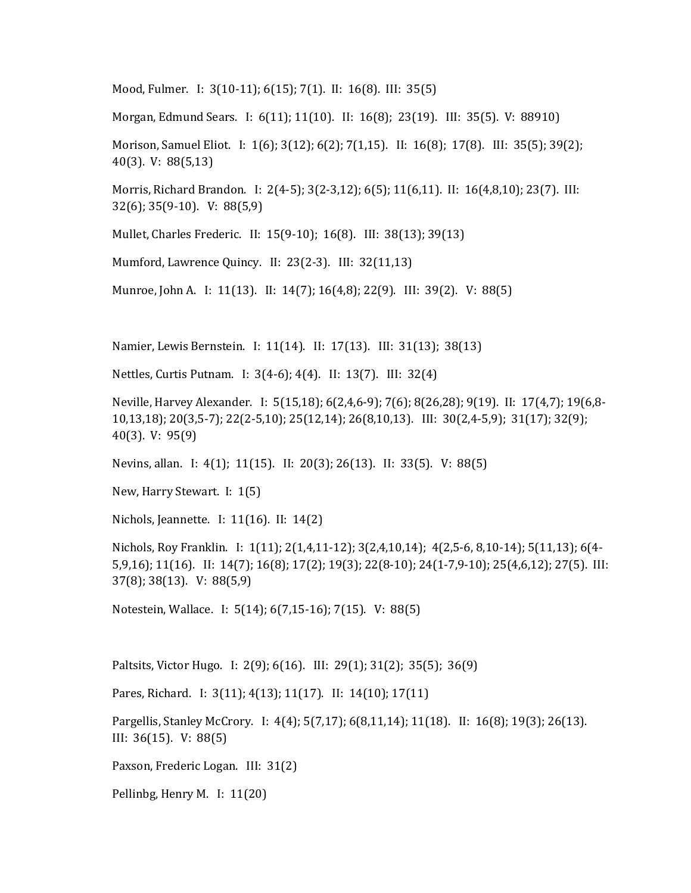Mood, Fulmer. I: 3(10-11); 6(15); 7(1). II: 16(8). III: 35(5)

Morgan, Edmund Sears. I: 6(11); 11(10). II: 16(8); 23(19). III: 35(5). V: 88910)

Morison, Samuel Eliot. I: 1(6); 3(12); 6(2); 7(1,15). II: 16(8); 17(8). III: 35(5); 39(2); 40(3). V: 88(5,13)

Morris, Richard Brandon. I: 2(4-5); 3(2-3,12); 6(5); 11(6,11). II: 16(4,8,10); 23(7). III: 32(6); 35(9-10). V: 88(5,9)

Mullet, Charles Frederic. II: 15(9-10); 16(8). III: 38(13); 39(13)

Mumford, Lawrence Quincy. II: 23(2-3). III: 32(11,13)

Munroe, John A. I: 11(13). II: 14(7); 16(4,8); 22(9). III: 39(2). V: 88(5)

Namier, Lewis Bernstein. I: 11(14). II: 17(13). III: 31(13); 38(13)

Nettles, Curtis Putnam. I: 3(4-6); 4(4). II: 13(7). III: 32(4)

Neville, Harvey Alexander. I: 5(15,18); 6(2,4,6-9); 7(6); 8(26,28); 9(19). II: 17(4,7); 19(6,8- 10,13,18); 20(3,5-7); 22(2-5,10); 25(12,14); 26(8,10,13). III: 30(2,4-5,9); 31(17); 32(9); 40(3). V: 95(9)

Nevins, allan. I: 4(1); 11(15). II: 20(3); 26(13). II: 33(5). V: 88(5)

New, Harry Stewart. I: 1(5)

Nichols, Jeannette. I: 11(16). II: 14(2)

Nichols, Roy Franklin. I: 1(11); 2(1,4,11-12); 3(2,4,10,14); 4(2,5-6, 8,10-14); 5(11,13); 6(4- 5,9,16); 11(16). II: 14(7); 16(8); 17(2); 19(3); 22(8-10); 24(1-7,9-10); 25(4,6,12); 27(5). III: 37(8); 38(13). V: 88(5,9)

Notestein, Wallace. I: 5(14); 6(7,15-16); 7(15). V: 88(5)

Paltsits, Victor Hugo. I: 2(9); 6(16). III: 29(1); 31(2); 35(5); 36(9)

Pares, Richard. I: 3(11); 4(13); 11(17). II: 14(10); 17(11)

Pargellis, Stanley McCrory. I: 4(4); 5(7,17); 6(8,11,14); 11(18). II: 16(8); 19(3); 26(13). III: 36(15). V: 88(5)

Paxson, Frederic Logan. III: 31(2)

Pellinbg, Henry M. I: 11(20)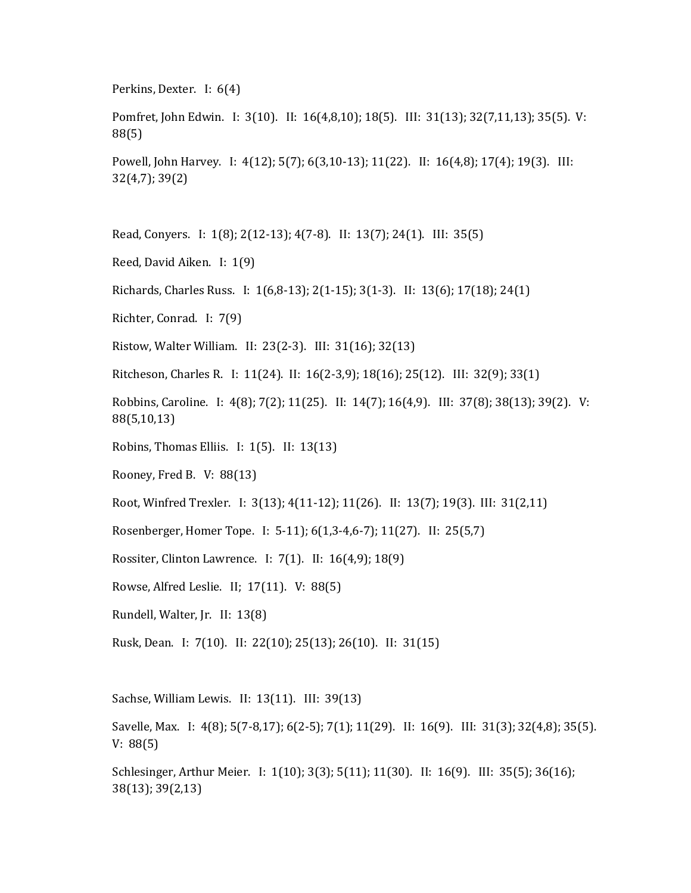Perkins, Dexter. I: 6(4)

Pomfret, John Edwin. I: 3(10). II: 16(4,8,10); 18(5). III: 31(13); 32(7,11,13); 35(5). V: 88(5)

Powell, John Harvey. I: 4(12); 5(7); 6(3,10-13); 11(22). II: 16(4,8); 17(4); 19(3). III: 32(4,7); 39(2)

Read, Conyers. I: 1(8); 2(12-13); 4(7-8). II: 13(7); 24(1). III: 35(5)

Reed, David Aiken. I: 1(9)

Richards, Charles Russ. I: 1(6,8-13); 2(1-15); 3(1-3). II: 13(6); 17(18); 24(1)

Richter, Conrad. I: 7(9)

Ristow, Walter William. II: 23(2-3). III: 31(16); 32(13)

Ritcheson, Charles R. I: 11(24). II: 16(2-3,9); 18(16); 25(12). III: 32(9); 33(1)

Robbins, Caroline. I: 4(8); 7(2); 11(25). II: 14(7); 16(4,9). III: 37(8); 38(13); 39(2). V: 88(5,10,13)

Robins, Thomas Elliis. I: 1(5). II: 13(13)

Rooney, Fred B. V: 88(13)

Root, Winfred Trexler. I: 3(13); 4(11-12); 11(26). II: 13(7); 19(3). III: 31(2,11)

Rosenberger, Homer Tope. I: 5-11); 6(1,3-4,6-7); 11(27). II: 25(5,7)

Rossiter, Clinton Lawrence. I: 7(1). II: 16(4,9); 18(9)

Rowse, Alfred Leslie. II; 17(11). V: 88(5)

Rundell, Walter, Jr. II: 13(8)

Rusk, Dean. I: 7(10). II: 22(10); 25(13); 26(10). II: 31(15)

Sachse, William Lewis. II: 13(11). III: 39(13)

Savelle, Max. I: 4(8); 5(7-8,17); 6(2-5); 7(1); 11(29). II: 16(9). III: 31(3); 32(4,8); 35(5). V: 88(5)

Schlesinger, Arthur Meier. I: 1(10); 3(3); 5(11); 11(30). II: 16(9). III: 35(5); 36(16); 38(13); 39(2,13)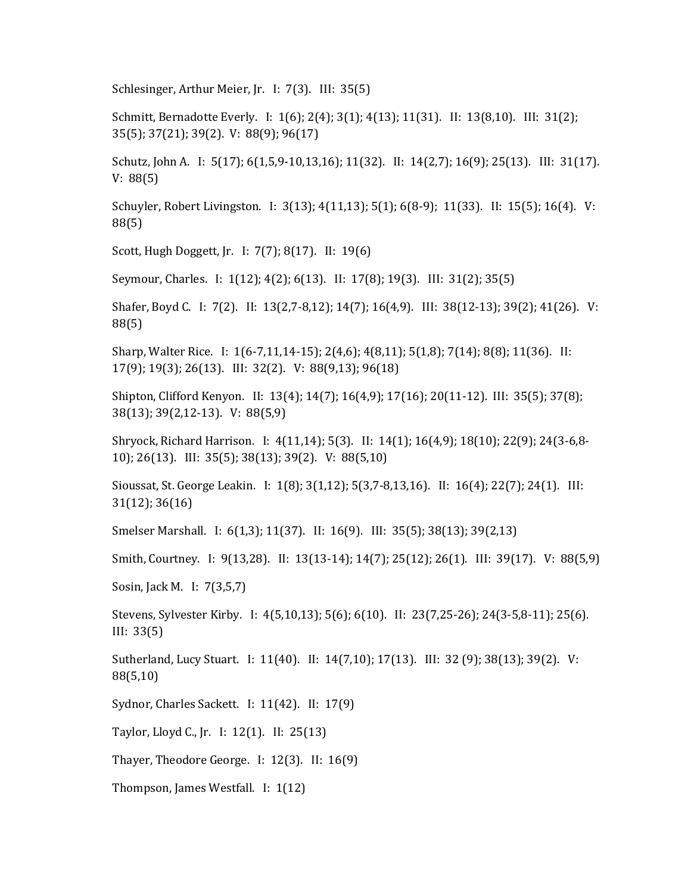Schlesinger, Arthur Meier, Jr. I: 7(3). III: 35(5)

Schmitt, Bernadotte Everly. I: 1(6); 2(4); 3(1); 4(13); 11(31). II: 13(8,10). III: 31(2); 35(5); 37(21); 39(2). V: 88(9); 96(17)

Schutz, John A. I: 5(17); 6(1,5,9-10,13,16); 11(32). II: 14(2,7); 16(9); 25(13). III: 31(17). V: 88(5)

Schuyler, Robert Livingston. I: 3(13); 4(11,13); 5(1); 6(8-9); 11(33). II: 15(5); 16(4). V: 88(5)

Scott, Hugh Doggett, Jr. I: 7(7); 8(17). II: 19(6)

Seymour, Charles. I: 1(12); 4(2); 6(13). II: 17(8); 19(3). III: 31(2); 35(5)

Shafer, Boyd C. I: 7(2). II: 13(2,7-8,12); 14(7); 16(4,9). III: 38(12-13); 39(2); 41(26). V: 88(5)

Sharp, Walter Rice. I: 1(6-7,11,14-15); 2(4,6); 4(8,11); 5(1,8); 7(14); 8(8); 11(36). II: 17(9); 19(3); 26(13). III: 32(2). V: 88(9,13); 96(18)

Shipton, Clifford Kenyon. II: 13(4); 14(7); 16(4,9); 17(16); 20(11-12). III: 35(5); 37(8); 38(13); 39(2,12-13). V: 88(5,9)

Shryock, Richard Harrison. I: 4(11,14); 5(3). II: 14(1); 16(4,9); 18(10); 22(9); 24(3-6,8- 10); 26(13). III: 35(5); 38(13); 39(2). V: 88(5,10)

Sioussat, St. George Leakin. I: 1(8); 3(1,12); 5(3,7-8,13,16). II: 16(4); 22(7); 24(1). III: 31(12); 36(16)

Smelser Marshall. I: 6(1,3); 11(37). II: 16(9). III: 35(5); 38(13); 39(2,13)

Smith, Courtney. I: 9(13,28). II: 13(13-14); 14(7); 25(12); 26(1). III: 39(17). V: 88(5,9)

Sosin, Jack M. I: 7(3,5,7)

Stevens, Sylvester Kirby. I: 4(5,10,13); 5(6); 6(10). II: 23(7,25-26); 24(3-5,8-11); 25(6). III: 33(5)

Sutherland, Lucy Stuart. I: 11(40). II: 14(7,10); 17(13). III: 32 (9); 38(13); 39(2). V: 88(5,10)

Sydnor, Charles Sackett. I: 11(42). II: 17(9)

Taylor, Lloyd C., Jr. I: 12(1). II: 25(13)

Thayer, Theodore George. I: 12(3). II: 16(9)

Thompson, James Westfall. I: 1(12)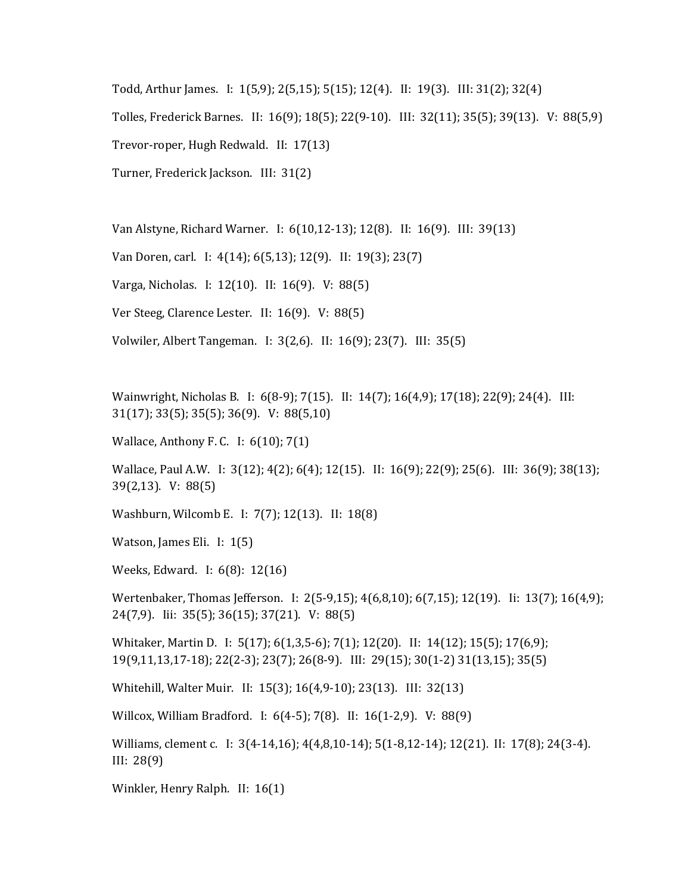Todd, Arthur James. I: 1(5,9); 2(5,15); 5(15); 12(4). II: 19(3). III: 31(2); 32(4)

Tolles, Frederick Barnes. II: 16(9); 18(5); 22(9-10). III: 32(11); 35(5); 39(13). V: 88(5,9)

Trevor-roper, Hugh Redwald. II: 17(13)

Turner, Frederick Jackson. III: 31(2)

Van Alstyne, Richard Warner. I: 6(10,12-13); 12(8). II: 16(9). III: 39(13)

Van Doren, carl. I: 4(14); 6(5,13); 12(9). II: 19(3); 23(7)

Varga, Nicholas. I: 12(10). II: 16(9). V: 88(5)

Ver Steeg, Clarence Lester. II: 16(9). V: 88(5)

Volwiler, Albert Tangeman. I: 3(2,6). II: 16(9); 23(7). III: 35(5)

Wainwright, Nicholas B. I: 6(8-9); 7(15). II: 14(7); 16(4,9); 17(18); 22(9); 24(4). III: 31(17); 33(5); 35(5); 36(9). V: 88(5,10)

Wallace, Anthony F. C. I: 6(10); 7(1)

Wallace, Paul A.W. I: 3(12); 4(2); 6(4); 12(15). II: 16(9); 22(9); 25(6). III: 36(9); 38(13); 39(2,13). V: 88(5)

Washburn, Wilcomb E. I: 7(7); 12(13). II: 18(8)

Watson, James Eli. I: 1(5)

Weeks, Edward. I: 6(8): 12(16)

Wertenbaker, Thomas Jefferson. I: 2(5-9,15); 4(6,8,10); 6(7,15); 12(19). Ii: 13(7); 16(4,9); 24(7,9). Iii: 35(5); 36(15); 37(21). V: 88(5)

Whitaker, Martin D. I: 5(17); 6(1,3,5-6); 7(1); 12(20). II: 14(12); 15(5); 17(6,9); 19(9,11,13,17-18); 22(2-3); 23(7); 26(8-9). III: 29(15); 30(1-2) 31(13,15); 35(5)

Whitehill, Walter Muir. II: 15(3); 16(4,9-10); 23(13). III: 32(13)

Willcox, William Bradford. I: 6(4-5); 7(8). II: 16(1-2,9). V: 88(9)

Williams, clement c. I: 3(4-14,16); 4(4,8,10-14); 5(1-8,12-14); 12(21). II: 17(8); 24(3-4). III: 28(9)

Winkler, Henry Ralph. II: 16(1)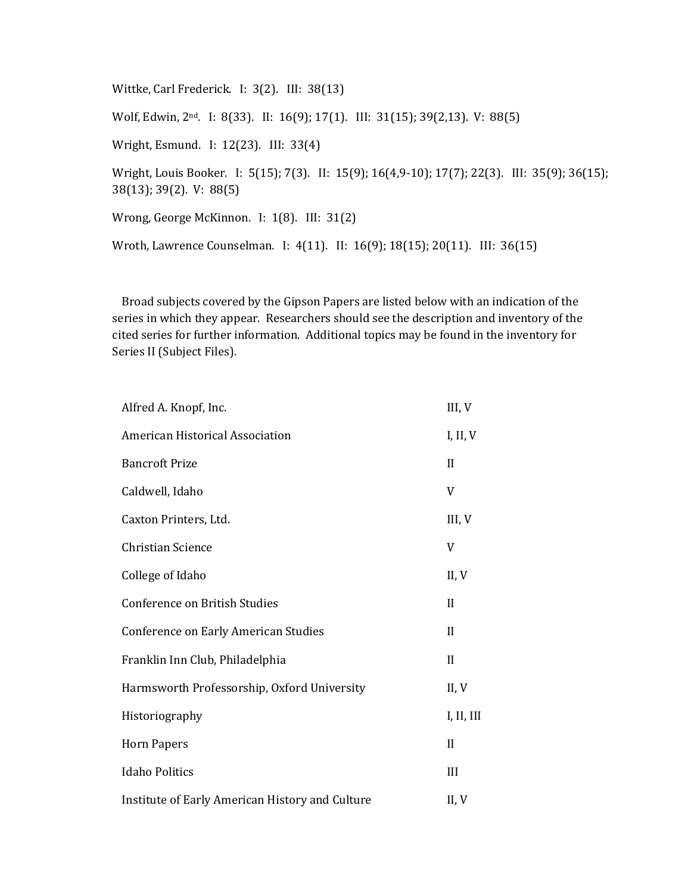Wittke, Carl Frederick. I: 3(2). III: 38(13)

Wolf, Edwin, 2nd. I: 8(33). II: 16(9); 17(1). III: 31(15); 39(2,13). V: 88(5)

Wright, Esmund. I: 12(23). III: 33(4)

Wright, Louis Booker. I: 5(15); 7(3). II: 15(9); 16(4,9-10); 17(7); 22(3). III: 35(9); 36(15); 38(13); 39(2). V: 88(5)

Wrong, George McKinnon. I: 1(8). III: 31(2)

Wroth, Lawrence Counselman. I: 4(11). II: 16(9); 18(15); 20(11). III: 36(15)

Broad subjects covered by the Gipson Papers are listed below with an indication of the series in which they appear. Researchers should see the description and inventory of the cited series for further information. Additional topics may be found in the inventory for Series II (Subject Files).

| Alfred A. Knopf, Inc.                           | III, V       |
|-------------------------------------------------|--------------|
| American Historical Association                 | I, II, V     |
| <b>Bancroft Prize</b>                           | $_{\rm II}$  |
| Caldwell, Idaho                                 | V            |
| Caxton Printers, Ltd.                           | III, V       |
| <b>Christian Science</b>                        | V            |
| College of Idaho                                | II, V        |
| Conference on British Studies                   | $\mathbf{I}$ |
| Conference on Early American Studies            | $\mathbf{I}$ |
| Franklin Inn Club, Philadelphia                 | $\mathbf{I}$ |
| Harmsworth Professorship, Oxford University     | II, V        |
| Historiography                                  | I, II, III   |
| <b>Horn Papers</b>                              | II           |
| <b>Idaho Politics</b>                           | III          |
| Institute of Early American History and Culture | II, V        |